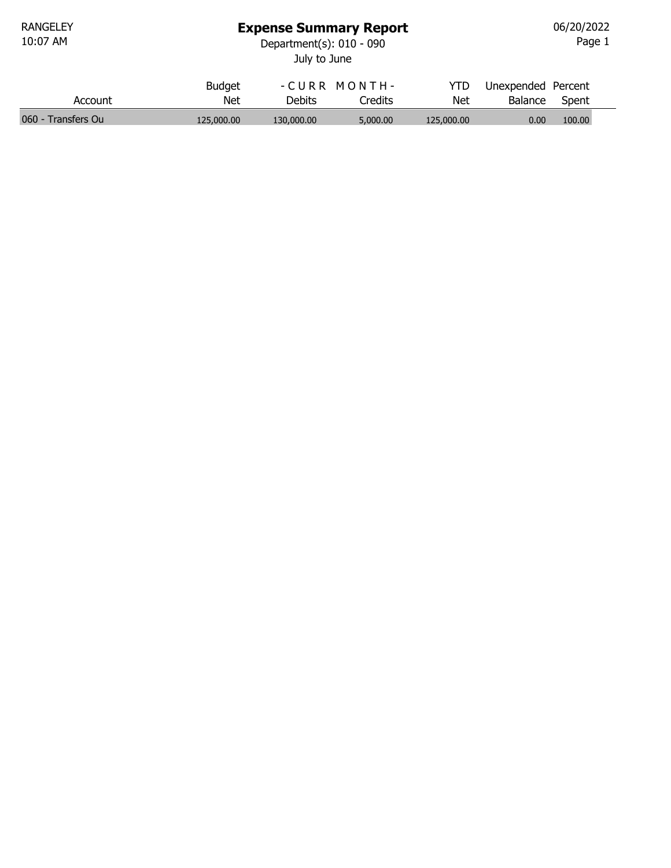## Expense Summary Report

10:07 AM Department(s): 010 - 090

Page 1 06/20/2022

| ະparunenius). UIU - U9U |  |
|-------------------------|--|
| July to June            |  |

|                    | <b>Budget</b> |            | -CURR MONTH- | YTD        | Unexpended Percent |        |  |
|--------------------|---------------|------------|--------------|------------|--------------------|--------|--|
| Account            | Net           | Debits     | Credits      | Net        | Balance            | Spent  |  |
| 060 - Transfers Ou | 125,000,00    | 130,000,00 | 5,000,00     | 125,000,00 | 0.00               | 100.00 |  |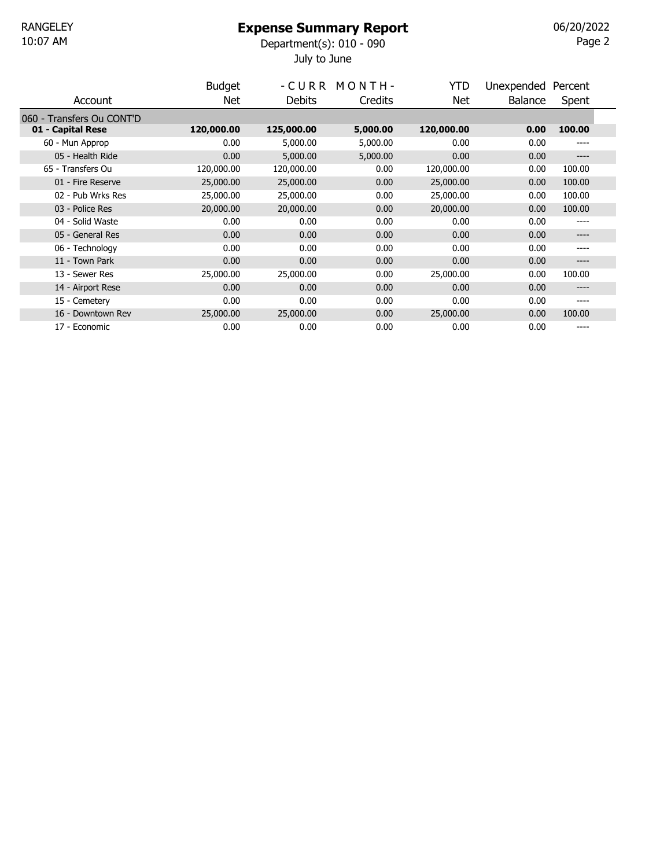## Expense Summary Report

July to June 10:07 AM Department(s): 010 - 090

 $P$ age 2 06/20/2022

|                           | <b>Budget</b> |            | -CURR MONTH- | YTD        | Unexpended     | Percent |  |
|---------------------------|---------------|------------|--------------|------------|----------------|---------|--|
| Account                   | Net.          | Debits     | Credits      | Net        | <b>Balance</b> | Spent   |  |
| 060 - Transfers Ou CONT'D |               |            |              |            |                |         |  |
| 01 - Capital Rese         | 120,000.00    | 125,000.00 | 5,000.00     | 120,000.00 | 0.00           | 100.00  |  |
| 60 - Mun Approp           | 0.00          | 5,000.00   | 5,000.00     | 0.00       | 0.00           | ----    |  |
| 05 - Health Ride          | 0.00          | 5,000.00   | 5,000.00     | 0.00       | 0.00           | $--- -$ |  |
| 65 - Transfers Ou         | 120,000.00    | 120,000.00 | 0.00         | 120,000.00 | 0.00           | 100.00  |  |
| 01 - Fire Reserve         | 25,000.00     | 25,000.00  | 0.00         | 25,000.00  | 0.00           | 100.00  |  |
| 02 - Pub Wrks Res         | 25,000.00     | 25,000.00  | 0.00         | 25,000.00  | 0.00           | 100.00  |  |
| 03 - Police Res           | 20,000.00     | 20,000.00  | 0.00         | 20,000.00  | 0.00           | 100.00  |  |
| 04 - Solid Waste          | 0.00          | 0.00       | 0.00         | 0.00       | 0.00           | ----    |  |
| 05 - General Res          | 0.00          | 0.00       | 0.00         | 0.00       | 0.00           | ----    |  |
| 06 - Technology           | 0.00          | 0.00       | 0.00         | 0.00       | 0.00           | ----    |  |
| 11 - Town Park            | 0.00          | 0.00       | 0.00         | 0.00       | 0.00           | ----    |  |
| 13 - Sewer Res            | 25,000.00     | 25,000.00  | 0.00         | 25,000.00  | 0.00           | 100.00  |  |
| 14 - Airport Rese         | 0.00          | 0.00       | 0.00         | 0.00       | 0.00           | ----    |  |
| 15 - Cemetery             | 0.00          | 0.00       | 0.00         | 0.00       | 0.00           | ----    |  |
| 16 - Downtown Rev         | 25,000.00     | 25,000.00  | 0.00         | 25,000.00  | 0.00           | 100.00  |  |
| 17 - Economic             | 0.00          | 0.00       | 0.00         | 0.00       | 0.00           | ----    |  |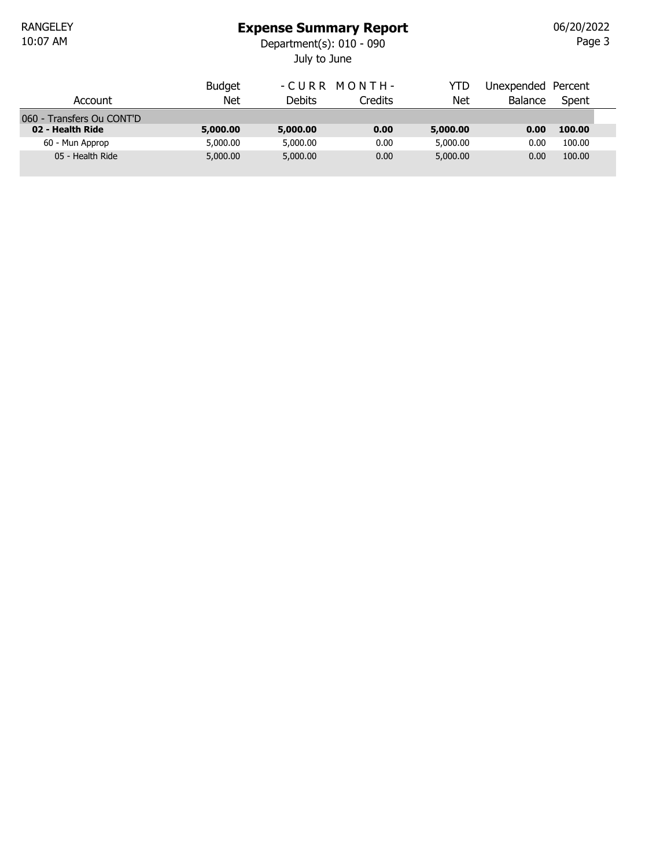### Expense Summary Report

July to June 10:07 AM Department(s): 010 - 090

Page 3 06/20/2022

|                           | <b>Budget</b> | -CURR MONTH- |         | YTD        | Unexpended Percent |        |  |
|---------------------------|---------------|--------------|---------|------------|--------------------|--------|--|
| Account                   | Net           | Debits       | Credits | <b>Net</b> | <b>Balance</b>     | Spent  |  |
| 060 - Transfers Ou CONT'D |               |              |         |            |                    |        |  |
| 02 - Health Ride          | 5,000.00      | 5,000.00     | 0.00    | 5,000.00   | 0.00               | 100.00 |  |
| 60 - Mun Approp           | 5,000.00      | 5,000.00     | 0.00    | 5,000.00   | 0.00               | 100.00 |  |
| 05 - Health Ride          | 5,000.00      | 5,000.00     | 0.00    | 5,000.00   | 0.00               | 100.00 |  |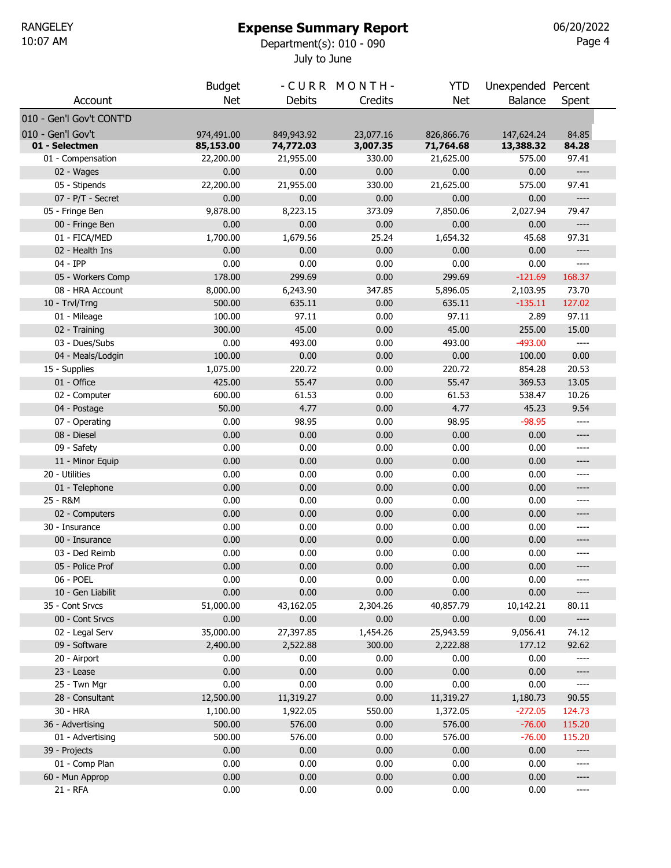10:07 AM Department(s): 010 - 090

 $P$ age 4 06/20/2022

July to June

|                          | <b>Budget</b> |               | -CURR MONTH- | YTD        | Unexpended Percent |                                                                                                                                                                                   |
|--------------------------|---------------|---------------|--------------|------------|--------------------|-----------------------------------------------------------------------------------------------------------------------------------------------------------------------------------|
| Account                  | <b>Net</b>    | <b>Debits</b> | Credits      | Net        | <b>Balance</b>     | Spent                                                                                                                                                                             |
| 010 - Gen'l Gov't CONT'D |               |               |              |            |                    |                                                                                                                                                                                   |
| 010 - Gen'l Gov't        | 974,491.00    | 849,943.92    | 23,077.16    | 826,866.76 | 147,624.24         | 84.85                                                                                                                                                                             |
| 01 - Selectmen           | 85,153.00     | 74,772.03     | 3,007.35     | 71,764.68  | 13,388.32          | 84.28                                                                                                                                                                             |
| 01 - Compensation        | 22,200.00     | 21,955.00     | 330.00       | 21,625.00  | 575.00             | 97.41                                                                                                                                                                             |
| 02 - Wages               | 0.00          | 0.00          | 0.00         | 0.00       | 0.00               | $---$                                                                                                                                                                             |
| 05 - Stipends            | 22,200.00     | 21,955.00     | 330.00       | 21,625.00  | 575.00             | 97.41                                                                                                                                                                             |
| $07 - P/T -$ Secret      | 0.00          | 0.00          | 0.00         | 0.00       | 0.00               | $---$                                                                                                                                                                             |
| 05 - Fringe Ben          | 9,878.00      | 8,223.15      | 373.09       | 7,850.06   | 2,027.94           | 79.47                                                                                                                                                                             |
| 00 - Fringe Ben          | 0.00          | 0.00          | 0.00         | 0.00       | 0.00               | $---$                                                                                                                                                                             |
| 01 - FICA/MED            | 1,700.00      | 1,679.56      | 25.24        | 1,654.32   | 45.68              | 97.31                                                                                                                                                                             |
| 02 - Health Ins          | 0.00          | 0.00          | 0.00         | 0.00       | 0.00               | ----                                                                                                                                                                              |
| 04 - IPP                 | 0.00          | 0.00          | 0.00         | 0.00       | 0.00               | $---$                                                                                                                                                                             |
| 05 - Workers Comp        | 178.00        | 299.69        | 0.00         | 299.69     | $-121.69$          | 168.37                                                                                                                                                                            |
| 08 - HRA Account         | 8,000.00      | 6,243.90      | 347.85       | 5,896.05   | 2,103.95           | 73.70                                                                                                                                                                             |
| 10 - Trvl/Trng           | 500.00        | 635.11        | 0.00         | 635.11     | $-135.11$          | 127.02                                                                                                                                                                            |
| 01 - Mileage             | 100.00        | 97.11         | 0.00         | 97.11      | 2.89               | 97.11                                                                                                                                                                             |
| 02 - Training            | 300.00        | 45.00         | 0.00         | 45.00      | 255.00             | 15.00                                                                                                                                                                             |
| 03 - Dues/Subs           | 0.00          | 493.00        | 0.00         | 493.00     | $-493.00$          | $\hspace{0.02in} \hspace{0.02in} \hspace{0.02in} \hspace{0.02in} \hspace{0.02in} \hspace{0.02in} \hspace{0.02in} \hspace{0.02in} \hspace{0.02in} \hspace{0.02in} \hspace{0.02in}$ |
| 04 - Meals/Lodgin        | 100.00        | 0.00          | 0.00         | 0.00       | 100.00             | 0.00                                                                                                                                                                              |
| 15 - Supplies            | 1,075.00      | 220.72        | 0.00         | 220.72     | 854.28             | 20.53                                                                                                                                                                             |
| 01 - Office              | 425.00        | 55.47         | 0.00         | 55.47      | 369.53             | 13.05                                                                                                                                                                             |
| 02 - Computer            | 600.00        | 61.53         | 0.00         | 61.53      | 538.47             | 10.26                                                                                                                                                                             |
| 04 - Postage             | 50.00         | 4.77          | 0.00         | 4.77       | 45.23              | 9.54                                                                                                                                                                              |
| 07 - Operating           | 0.00          | 98.95         | 0.00         | 98.95      | $-98.95$           | ----                                                                                                                                                                              |
| 08 - Diesel              | 0.00          | 0.00          | 0.00         | 0.00       | 0.00               | ----                                                                                                                                                                              |
| 09 - Safety              | 0.00          | 0.00          | 0.00         | 0.00       | 0.00               | ----                                                                                                                                                                              |
| 11 - Minor Equip         | 0.00          | 0.00          | 0.00         | 0.00       | 0.00               | ----                                                                                                                                                                              |
| 20 - Utilities           | 0.00          | 0.00          | 0.00         | 0.00       | 0.00               | ----                                                                                                                                                                              |
| 01 - Telephone           | 0.00          | 0.00          | 0.00         | 0.00       | 0.00               | ----                                                                                                                                                                              |
| 25 - R&M                 | 0.00          | 0.00          | 0.00         | 0.00       | 0.00               | ----                                                                                                                                                                              |
| 02 - Computers           | 0.00          | 0.00          | 0.00         | 0.00       | 0.00               | ----                                                                                                                                                                              |
| 30 - Insurance           | 0.00          | 0.00          | 0.00         | 0.00       | 0.00               | ----                                                                                                                                                                              |
| 00 - Insurance           | 0.00          | 0.00          | 0.00         | 0.00       | 0.00               | ----                                                                                                                                                                              |
| 03 - Ded Reimb           | 0.00          | 0.00          | 0.00         | 0.00       | 0.00               | ----                                                                                                                                                                              |
| 05 - Police Prof         | 0.00          | 0.00          | 0.00         | 0.00       | 0.00               | ----                                                                                                                                                                              |
| 06 - POEL                | 0.00          | 0.00          | 0.00         | 0.00       | 0.00               | ----                                                                                                                                                                              |
| 10 - Gen Liabilit        | 0.00          | 0.00          | 0.00         | 0.00       | 0.00               | ----                                                                                                                                                                              |
| 35 - Cont Srvcs          | 51,000.00     | 43,162.05     | 2,304.26     | 40,857.79  | 10,142.21          | 80.11                                                                                                                                                                             |
| 00 - Cont Srvcs          | 0.00          | 0.00          | 0.00         | 0.00       | 0.00               | ----                                                                                                                                                                              |
| 02 - Legal Serv          | 35,000.00     | 27,397.85     | 1,454.26     | 25,943.59  | 9,056.41           | 74.12                                                                                                                                                                             |
| 09 - Software            | 2,400.00      | 2,522.88      | 300.00       | 2,222.88   | 177.12             | 92.62                                                                                                                                                                             |
| 20 - Airport             | 0.00          | 0.00          | 0.00         | 0.00       | 0.00               | ----                                                                                                                                                                              |
| 23 - Lease               | 0.00          | 0.00          | 0.00         | 0.00       | 0.00               | ----                                                                                                                                                                              |
| 25 - Twn Mgr             | 0.00          | 0.00          | 0.00         | 0.00       | 0.00               | ----                                                                                                                                                                              |
| 28 - Consultant          | 12,500.00     | 11,319.27     | 0.00         | 11,319.27  | 1,180.73           | 90.55                                                                                                                                                                             |
| 30 - HRA                 | 1,100.00      | 1,922.05      | 550.00       | 1,372.05   | $-272.05$          | 124.73                                                                                                                                                                            |
| 36 - Advertising         | 500.00        | 576.00        | 0.00         | 576.00     | $-76.00$           | 115.20                                                                                                                                                                            |
| 01 - Advertising         | 500.00        | 576.00        | 0.00         | 576.00     | $-76.00$           | 115.20                                                                                                                                                                            |
| 39 - Projects            | 0.00          | 0.00          | 0.00         | 0.00       | 0.00               | ----                                                                                                                                                                              |
| 01 - Comp Plan           | 0.00          | 0.00          | 0.00         | 0.00       | 0.00               | ----                                                                                                                                                                              |
| 60 - Mun Approp          | 0.00          | 0.00          | 0.00         | 0.00       | 0.00               | ----                                                                                                                                                                              |
| 21 - RFA                 | 0.00          | 0.00          | 0.00         | 0.00       | 0.00               | ----                                                                                                                                                                              |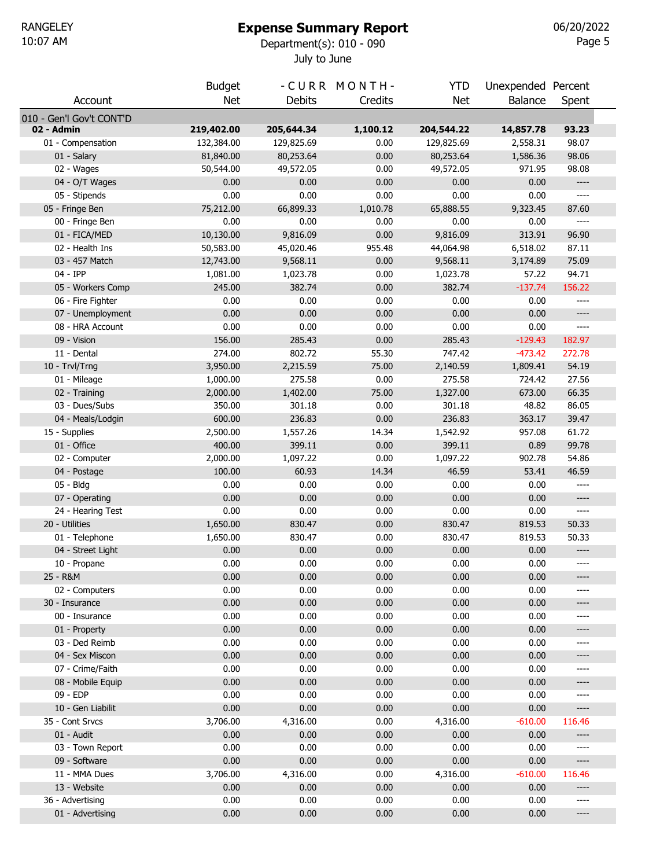#### Expense Summary Report

July to June 10:07 AM Department(s): 010 - 090

|                          | <b>Budget</b> |               | -CURR MONTH- | YTD        | Unexpended Percent |                                                                                                                                                                                                                                                                                                                                                                   |  |
|--------------------------|---------------|---------------|--------------|------------|--------------------|-------------------------------------------------------------------------------------------------------------------------------------------------------------------------------------------------------------------------------------------------------------------------------------------------------------------------------------------------------------------|--|
| Account                  | Net           | <b>Debits</b> | Credits      | <b>Net</b> | Balance            | Spent                                                                                                                                                                                                                                                                                                                                                             |  |
| 010 - Gen'l Gov't CONT'D |               |               |              |            |                    |                                                                                                                                                                                                                                                                                                                                                                   |  |
| 02 - Admin               | 219,402.00    | 205,644.34    | 1,100.12     | 204,544.22 | 14,857.78          | 93.23                                                                                                                                                                                                                                                                                                                                                             |  |
| 01 - Compensation        | 132,384.00    | 129,825.69    | 0.00         | 129,825.69 | 2,558.31           | 98.07                                                                                                                                                                                                                                                                                                                                                             |  |
| 01 - Salary              | 81,840.00     | 80,253.64     | 0.00         | 80,253.64  | 1,586.36           | 98.06                                                                                                                                                                                                                                                                                                                                                             |  |
| 02 - Wages               | 50,544.00     | 49,572.05     | 0.00         | 49,572.05  | 971.95             | 98.08                                                                                                                                                                                                                                                                                                                                                             |  |
| 04 - O/T Wages           | 0.00          | 0.00          | 0.00         | 0.00       | 0.00               | ----                                                                                                                                                                                                                                                                                                                                                              |  |
| 05 - Stipends            | 0.00          | 0.00          | 0.00         | 0.00       | 0.00               | $\cdots$                                                                                                                                                                                                                                                                                                                                                          |  |
| 05 - Fringe Ben          | 75,212.00     | 66,899.33     | 1,010.78     | 65,888.55  | 9,323.45           | 87.60                                                                                                                                                                                                                                                                                                                                                             |  |
| 00 - Fringe Ben          | 0.00          | 0.00          | 0.00         | 0.00       | 0.00               | ----                                                                                                                                                                                                                                                                                                                                                              |  |
| 01 - FICA/MED            | 10,130.00     | 9,816.09      | 0.00         | 9,816.09   | 313.91             | 96.90                                                                                                                                                                                                                                                                                                                                                             |  |
| 02 - Health Ins          | 50,583.00     | 45,020.46     | 955.48       | 44,064.98  | 6,518.02           | 87.11                                                                                                                                                                                                                                                                                                                                                             |  |
| 03 - 457 Match           | 12,743.00     | 9,568.11      | 0.00         | 9,568.11   | 3,174.89           | 75.09                                                                                                                                                                                                                                                                                                                                                             |  |
| 04 - IPP                 | 1,081.00      | 1,023.78      | 0.00         | 1,023.78   | 57.22              | 94.71                                                                                                                                                                                                                                                                                                                                                             |  |
| 05 - Workers Comp        | 245.00        | 382.74        | 0.00         | 382.74     | $-137.74$          | 156.22                                                                                                                                                                                                                                                                                                                                                            |  |
| 06 - Fire Fighter        | 0.00          | 0.00          | 0.00         | 0.00       | 0.00               | $---$                                                                                                                                                                                                                                                                                                                                                             |  |
| 07 - Unemployment        | 0.00          | 0.00          | 0.00         | 0.00       | 0.00               | $-----$                                                                                                                                                                                                                                                                                                                                                           |  |
| 08 - HRA Account         | 0.00          | 0.00          | 0.00         | 0.00       | 0.00               | $\qquad \qquad - - -$                                                                                                                                                                                                                                                                                                                                             |  |
| 09 - Vision              | 156.00        | 285.43        | 0.00         | 285.43     | $-129.43$          | 182.97                                                                                                                                                                                                                                                                                                                                                            |  |
| 11 - Dental              | 274.00        | 802.72        | 55.30        | 747.42     | $-473.42$          | 272.78                                                                                                                                                                                                                                                                                                                                                            |  |
| 10 - Trvl/Trng           | 3,950.00      | 2,215.59      | 75.00        | 2,140.59   | 1,809.41           | 54.19                                                                                                                                                                                                                                                                                                                                                             |  |
| 01 - Mileage             | 1,000.00      | 275.58        | 0.00         | 275.58     | 724.42             | 27.56                                                                                                                                                                                                                                                                                                                                                             |  |
| 02 - Training            | 2,000.00      | 1,402.00      | 75.00        | 1,327.00   | 673.00             | 66.35                                                                                                                                                                                                                                                                                                                                                             |  |
| 03 - Dues/Subs           | 350.00        | 301.18        | 0.00         | 301.18     | 48.82              | 86.05                                                                                                                                                                                                                                                                                                                                                             |  |
| 04 - Meals/Lodgin        | 600.00        | 236.83        | 0.00         | 236.83     | 363.17             | 39.47                                                                                                                                                                                                                                                                                                                                                             |  |
| 15 - Supplies            | 2,500.00      | 1,557.26      | 14.34        | 1,542.92   | 957.08             | 61.72                                                                                                                                                                                                                                                                                                                                                             |  |
| 01 - Office              | 400.00        | 399.11        | 0.00         | 399.11     | 0.89               | 99.78                                                                                                                                                                                                                                                                                                                                                             |  |
| 02 - Computer            | 2,000.00      | 1,097.22      | 0.00         | 1,097.22   | 902.78             | 54.86                                                                                                                                                                                                                                                                                                                                                             |  |
| 04 - Postage             | 100.00        | 60.93         | 14.34        | 46.59      | 53.41              | 46.59                                                                                                                                                                                                                                                                                                                                                             |  |
| 05 - Bldg                | 0.00          | 0.00          | 0.00         | 0.00       | 0.00               | $\qquad \qquad - - -$                                                                                                                                                                                                                                                                                                                                             |  |
| 07 - Operating           | 0.00          | 0.00          | 0.00         | 0.00       | 0.00               | $-----$                                                                                                                                                                                                                                                                                                                                                           |  |
| 24 - Hearing Test        | 0.00          | 0.00          | 0.00         | 0.00       | 0.00               | $\hspace{0.02in} \hspace{0.02in} \hspace{0.02in} \hspace{0.02in} \hspace{0.02in} \hspace{0.02in} \hspace{0.02in} \hspace{0.02in} \hspace{0.02in} \hspace{0.02in} \hspace{0.02in} \hspace{0.02in}$                                                                                                                                                                 |  |
| 20 - Utilities           | 1,650.00      | 830.47        | 0.00         | 830.47     | 819.53             | 50.33                                                                                                                                                                                                                                                                                                                                                             |  |
| 01 - Telephone           | 1,650.00      | 830.47        | 0.00         | 830.47     | 819.53             | 50.33                                                                                                                                                                                                                                                                                                                                                             |  |
| 04 - Street Light        | 0.00          | 0.00          | 0.00         | 0.00       | 0.00               | $\hspace{0.02in} \hspace{0.02in} \hspace{0.02in} \hspace{0.02in} \hspace{0.02in} \hspace{0.02in} \hspace{0.02in} \hspace{0.02in} \hspace{0.02in} \hspace{0.02in} \hspace{0.02in} \hspace{0.02in} \hspace{0.02in} \hspace{0.02in} \hspace{0.02in} \hspace{0.02in} \hspace{0.02in} \hspace{0.02in} \hspace{0.02in} \hspace{0.02in} \hspace{0.02in} \hspace{0.02in}$ |  |
| 10 - Propane             | 0.00          | 0.00          | 0.00         | 0.00       | 0.00               | $\qquad \qquad - - -$                                                                                                                                                                                                                                                                                                                                             |  |
| 25 - R&M                 | 0.00          | 0.00          | 0.00         | 0.00       | 0.00               | ----                                                                                                                                                                                                                                                                                                                                                              |  |
| 02 - Computers           | 0.00          | 0.00          | 0.00         | 0.00       | 0.00               | $-----$                                                                                                                                                                                                                                                                                                                                                           |  |
| 30 - Insurance           | 0.00          | 0.00          | 0.00         | 0.00       | 0.00               | ----                                                                                                                                                                                                                                                                                                                                                              |  |
| 00 - Insurance           | 0.00          | 0.00          | 0.00         | 0.00       | 0.00               | $-----$                                                                                                                                                                                                                                                                                                                                                           |  |
| 01 - Property            | 0.00          | 0.00          | 0.00         | 0.00       | 0.00               | ----                                                                                                                                                                                                                                                                                                                                                              |  |
| 03 - Ded Reimb           | 0.00          | 0.00          | 0.00         | 0.00       | 0.00               | $-----$                                                                                                                                                                                                                                                                                                                                                           |  |
| 04 - Sex Miscon          | 0.00          | 0.00          | 0.00         | 0.00       | 0.00               | ----                                                                                                                                                                                                                                                                                                                                                              |  |
| 07 - Crime/Faith         | 0.00          | 0.00          | 0.00         | 0.00       | 0.00               | $-----$                                                                                                                                                                                                                                                                                                                                                           |  |
| 08 - Mobile Equip        | 0.00          | 0.00          | 0.00         | 0.00       | 0.00               | ----                                                                                                                                                                                                                                                                                                                                                              |  |
| 09 - EDP                 | 0.00          | 0.00          | 0.00         | 0.00       | 0.00               | $-----$                                                                                                                                                                                                                                                                                                                                                           |  |
| 10 - Gen Liabilit        | 0.00          | 0.00          | 0.00         | 0.00       | 0.00               | ----                                                                                                                                                                                                                                                                                                                                                              |  |
| 35 - Cont Srvcs          | 3,706.00      | 4,316.00      | 0.00         | 4,316.00   | $-610.00$          | 116.46                                                                                                                                                                                                                                                                                                                                                            |  |
| 01 - Audit               | 0.00          | 0.00          | 0.00         | 0.00       | 0.00               | ----                                                                                                                                                                                                                                                                                                                                                              |  |
| 03 - Town Report         | 0.00          | 0.00          | 0.00         | 0.00       | 0.00               | ----                                                                                                                                                                                                                                                                                                                                                              |  |
| 09 - Software            | 0.00          | 0.00          | 0.00         | 0.00       | 0.00               | $-----$                                                                                                                                                                                                                                                                                                                                                           |  |
| 11 - MMA Dues            | 3,706.00      | 4,316.00      | 0.00         | 4,316.00   | $-610.00$          | 116.46                                                                                                                                                                                                                                                                                                                                                            |  |
| 13 - Website             | 0.00          | 0.00          | 0.00         | 0.00       | 0.00               | ----                                                                                                                                                                                                                                                                                                                                                              |  |
| 36 - Advertising         | 0.00          | 0.00          | 0.00         | 0.00       | 0.00               | ----                                                                                                                                                                                                                                                                                                                                                              |  |
| 01 - Advertising         | 0.00          | 0.00          | 0.00         | 0.00       | 0.00               | $\hspace{1.5cm} \textbf{---} \hspace{1.5cm}$                                                                                                                                                                                                                                                                                                                      |  |
|                          |               |               |              |            |                    |                                                                                                                                                                                                                                                                                                                                                                   |  |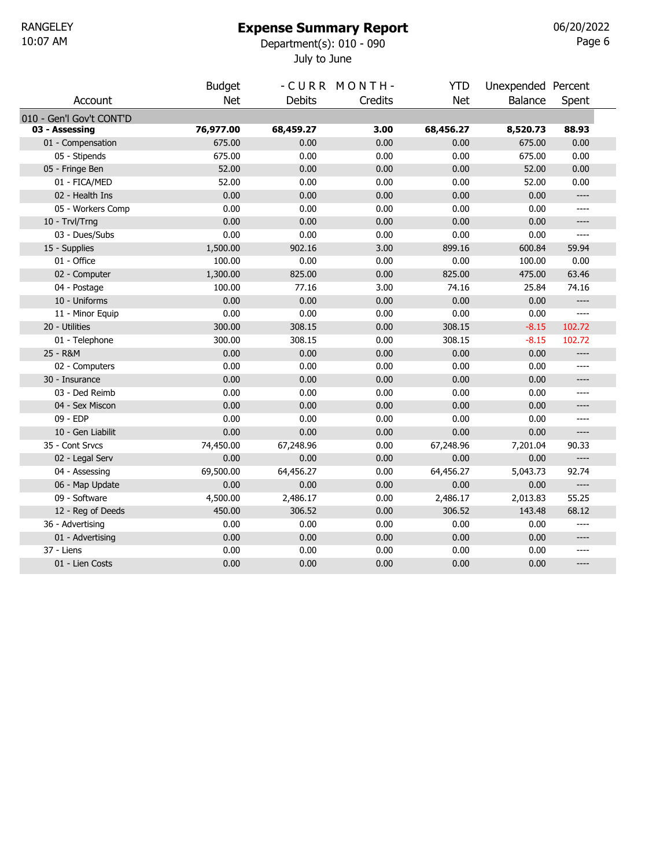#### Expense Summary Report

July to June 10:07 AM Department(s): 010 - 090

Page  $6$ 06/20/2022

|                          | <b>Budget</b> |           | -CURR MONTH- | YTD        | Unexpended Percent |                                                                                                                                                                                                   |  |
|--------------------------|---------------|-----------|--------------|------------|--------------------|---------------------------------------------------------------------------------------------------------------------------------------------------------------------------------------------------|--|
| Account                  | <b>Net</b>    | Debits    | Credits      | <b>Net</b> | <b>Balance</b>     | Spent                                                                                                                                                                                             |  |
| 010 - Gen'l Gov't CONT'D |               |           |              |            |                    |                                                                                                                                                                                                   |  |
| 03 - Assessing           | 76,977.00     | 68,459.27 | 3.00         | 68,456.27  | 8,520.73           | 88.93                                                                                                                                                                                             |  |
| 01 - Compensation        | 675.00        | 0.00      | 0.00         | 0.00       | 675.00             | 0.00                                                                                                                                                                                              |  |
| 05 - Stipends            | 675.00        | 0.00      | 0.00         | 0.00       | 675.00             | 0.00                                                                                                                                                                                              |  |
| 05 - Fringe Ben          | 52.00         | 0.00      | 0.00         | 0.00       | 52.00              | 0.00                                                                                                                                                                                              |  |
| 01 - FICA/MED            | 52.00         | 0.00      | 0.00         | 0.00       | 52.00              | 0.00                                                                                                                                                                                              |  |
| 02 - Health Ins          | 0.00          | 0.00      | 0.00         | 0.00       | 0.00               | $\hspace{0.02in} \hspace{0.02in} \hspace{0.02in} \hspace{0.02in} \hspace{0.02in} \hspace{0.02in} \hspace{0.02in} \hspace{0.02in} \hspace{0.02in} \hspace{0.02in} \hspace{0.02in} \hspace{0.02in}$ |  |
| 05 - Workers Comp        | 0.00          | 0.00      | 0.00         | 0.00       | 0.00               | ----                                                                                                                                                                                              |  |
| 10 - Trvl/Trng           | 0.00          | 0.00      | 0.00         | 0.00       | 0.00               | ----                                                                                                                                                                                              |  |
| 03 - Dues/Subs           | 0.00          | 0.00      | 0.00         | 0.00       | 0.00               | ----                                                                                                                                                                                              |  |
| 15 - Supplies            | 1,500.00      | 902.16    | 3.00         | 899.16     | 600.84             | 59.94                                                                                                                                                                                             |  |
| 01 - Office              | 100.00        | 0.00      | 0.00         | 0.00       | 100.00             | 0.00                                                                                                                                                                                              |  |
| 02 - Computer            | 1,300.00      | 825.00    | 0.00         | 825.00     | 475.00             | 63.46                                                                                                                                                                                             |  |
| 04 - Postage             | 100.00        | 77.16     | 3.00         | 74.16      | 25.84              | 74.16                                                                                                                                                                                             |  |
| 10 - Uniforms            | 0.00          | 0.00      | 0.00         | 0.00       | 0.00               | $\hspace{0.02in} \hspace{0.02in} \hspace{0.02in} \hspace{0.02in} \hspace{0.02in} \hspace{0.02in} \hspace{0.02in} \hspace{0.02in} \hspace{0.02in} \hspace{0.02in} \hspace{0.02in} \hspace{0.02in}$ |  |
| 11 - Minor Equip         | 0.00          | 0.00      | 0.00         | 0.00       | 0.00               | ----                                                                                                                                                                                              |  |
| 20 - Utilities           | 300.00        | 308.15    | 0.00         | 308.15     | $-8.15$            | 102.72                                                                                                                                                                                            |  |
| 01 - Telephone           | 300.00        | 308.15    | 0.00         | 308.15     | $-8.15$            | 102.72                                                                                                                                                                                            |  |
| 25 - R&M                 | 0.00          | 0.00      | 0.00         | 0.00       | 0.00               | $---$                                                                                                                                                                                             |  |
| 02 - Computers           | 0.00          | 0.00      | 0.00         | 0.00       | 0.00               | ----                                                                                                                                                                                              |  |
| 30 - Insurance           | 0.00          | 0.00      | 0.00         | 0.00       | 0.00               | ----                                                                                                                                                                                              |  |
| 03 - Ded Reimb           | 0.00          | 0.00      | 0.00         | 0.00       | 0.00               | ----                                                                                                                                                                                              |  |
| 04 - Sex Miscon          | 0.00          | 0.00      | 0.00         | 0.00       | 0.00               | ----                                                                                                                                                                                              |  |
| 09 - EDP                 | 0.00          | 0.00      | 0.00         | 0.00       | 0.00               | ----                                                                                                                                                                                              |  |
| 10 - Gen Liabilit        | 0.00          | 0.00      | 0.00         | 0.00       | 0.00               | $-----$                                                                                                                                                                                           |  |
| 35 - Cont Srvcs          | 74,450.00     | 67,248.96 | 0.00         | 67,248.96  | 7,201.04           | 90.33                                                                                                                                                                                             |  |
| 02 - Legal Serv          | 0.00          | 0.00      | 0.00         | 0.00       | 0.00               | $\hspace{0.05cm} \ldots \hspace{0.05cm}$                                                                                                                                                          |  |
| 04 - Assessing           | 69,500.00     | 64,456.27 | 0.00         | 64,456.27  | 5,043.73           | 92.74                                                                                                                                                                                             |  |
| 06 - Map Update          | 0.00          | 0.00      | 0.00         | 0.00       | 0.00               | $---$                                                                                                                                                                                             |  |
| 09 - Software            | 4,500.00      | 2,486.17  | 0.00         | 2,486.17   | 2,013.83           | 55.25                                                                                                                                                                                             |  |
| 12 - Reg of Deeds        | 450.00        | 306.52    | 0.00         | 306.52     | 143.48             | 68.12                                                                                                                                                                                             |  |
| 36 - Advertising         | 0.00          | 0.00      | 0.00         | 0.00       | 0.00               | $---$                                                                                                                                                                                             |  |
| 01 - Advertising         | 0.00          | 0.00      | 0.00         | 0.00       | 0.00               | ----                                                                                                                                                                                              |  |
| 37 - Liens               | 0.00          | 0.00      | 0.00         | 0.00       | 0.00               | ----                                                                                                                                                                                              |  |
| 01 - Lien Costs          | 0.00          | 0.00      | 0.00         | 0.00       | 0.00               | $---$                                                                                                                                                                                             |  |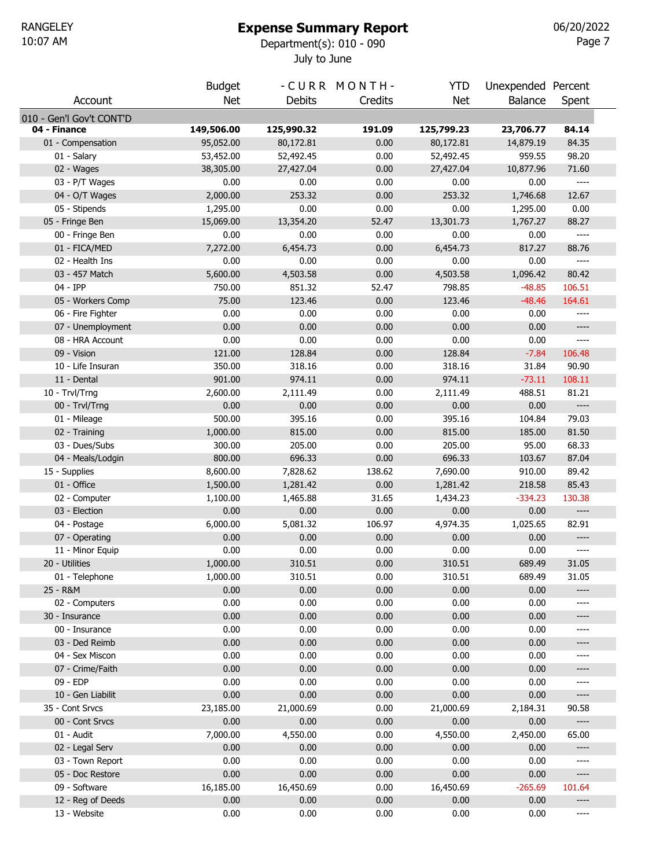# Expense Summary Report

July to June 10:07 AM Department(s): 010 - 090

Page 7 06/20/2022

|                               | <b>Budget</b>  |                | -CURR MONTH- | <b>YTD</b>     | Unexpended Percent |                                                                                                                                                                                                                                                                                                                                                                            |
|-------------------------------|----------------|----------------|--------------|----------------|--------------------|----------------------------------------------------------------------------------------------------------------------------------------------------------------------------------------------------------------------------------------------------------------------------------------------------------------------------------------------------------------------------|
| Account                       | <b>Net</b>     | <b>Debits</b>  | Credits      | <b>Net</b>     | <b>Balance</b>     | Spent                                                                                                                                                                                                                                                                                                                                                                      |
| 010 - Gen'l Gov't CONT'D      |                |                |              |                |                    |                                                                                                                                                                                                                                                                                                                                                                            |
| 04 - Finance                  | 149,506.00     | 125,990.32     | 191.09       | 125,799.23     | 23,706.77          | 84.14                                                                                                                                                                                                                                                                                                                                                                      |
| 01 - Compensation             | 95,052.00      | 80,172.81      | 0.00         | 80,172.81      | 14,879.19          | 84.35                                                                                                                                                                                                                                                                                                                                                                      |
| 01 - Salary                   | 53,452.00      | 52,492.45      | 0.00         | 52,492.45      | 959.55             | 98.20                                                                                                                                                                                                                                                                                                                                                                      |
| 02 - Wages                    | 38,305.00      | 27,427.04      | 0.00         | 27,427.04      | 10,877.96          | 71.60                                                                                                                                                                                                                                                                                                                                                                      |
| 03 - P/T Wages                | 0.00           | 0.00           | 0.00         | 0.00           | 0.00               | $\cdots$                                                                                                                                                                                                                                                                                                                                                                   |
| 04 - O/T Wages                | 2,000.00       | 253.32         | 0.00         | 253.32         | 1,746.68           | 12.67                                                                                                                                                                                                                                                                                                                                                                      |
| 05 - Stipends                 | 1,295.00       | 0.00           | 0.00         | 0.00           | 1,295.00           | 0.00                                                                                                                                                                                                                                                                                                                                                                       |
| 05 - Fringe Ben               | 15,069.00      | 13,354.20      | 52.47        | 13,301.73      | 1,767.27           | 88.27                                                                                                                                                                                                                                                                                                                                                                      |
| 00 - Fringe Ben               | 0.00           | 0.00           | 0.00         | 0.00           | 0.00               | $\cdots$                                                                                                                                                                                                                                                                                                                                                                   |
| 01 - FICA/MED                 | 7,272.00       | 6,454.73       | 0.00         | 6,454.73       | 817.27             | 88.76                                                                                                                                                                                                                                                                                                                                                                      |
| 02 - Health Ins               | 0.00           | 0.00           | 0.00         | 0.00           | 0.00               | $\cdots$                                                                                                                                                                                                                                                                                                                                                                   |
| 03 - 457 Match                | 5,600.00       | 4,503.58       | 0.00         | 4,503.58       | 1,096.42           | 80.42                                                                                                                                                                                                                                                                                                                                                                      |
| 04 - IPP                      | 750.00         | 851.32         | 52.47        | 798.85         | $-48.85$           | 106.51                                                                                                                                                                                                                                                                                                                                                                     |
| 05 - Workers Comp             | 75.00          | 123.46         | 0.00         | 123.46         | $-48.46$           | 164.61                                                                                                                                                                                                                                                                                                                                                                     |
| 06 - Fire Fighter             | 0.00           | 0.00           | 0.00         | 0.00           | 0.00               | ----                                                                                                                                                                                                                                                                                                                                                                       |
| 07 - Unemployment             | 0.00           | 0.00           | 0.00         | 0.00           | 0.00               | $-----$                                                                                                                                                                                                                                                                                                                                                                    |
| 08 - HRA Account              | 0.00           | 0.00           | 0.00         | 0.00           | 0.00               | $\qquad \qquad - - -$                                                                                                                                                                                                                                                                                                                                                      |
| 09 - Vision                   | 121.00         | 128.84         | 0.00         | 128.84         | $-7.84$            | 106.48                                                                                                                                                                                                                                                                                                                                                                     |
| 10 - Life Insuran             | 350.00         | 318.16         | 0.00         | 318.16         | 31.84              | 90.90                                                                                                                                                                                                                                                                                                                                                                      |
| 11 - Dental                   | 901.00         | 974.11         | 0.00         | 974.11         | $-73.11$           | 108.11                                                                                                                                                                                                                                                                                                                                                                     |
| 10 - Trvl/Trng                | 2,600.00       | 2,111.49       | 0.00         | 2,111.49       | 488.51             | 81.21<br>$\hspace{0.02in} \hspace{0.02in} \hspace{0.02in} \hspace{0.02in} \hspace{0.02in} \hspace{0.02in} \hspace{0.02in} \hspace{0.02in} \hspace{0.02in} \hspace{0.02in} \hspace{0.02in} \hspace{0.02in} \hspace{0.02in} \hspace{0.02in} \hspace{0.02in} \hspace{0.02in} \hspace{0.02in} \hspace{0.02in} \hspace{0.02in} \hspace{0.02in} \hspace{0.02in} \hspace{0.02in}$ |
| 00 - Trvl/Trng                | 0.00<br>500.00 | 0.00<br>395.16 | 0.00         | 0.00<br>395.16 | 0.00               | 79.03                                                                                                                                                                                                                                                                                                                                                                      |
| 01 - Mileage<br>02 - Training | 1,000.00       | 815.00         | 0.00<br>0.00 | 815.00         | 104.84<br>185.00   | 81.50                                                                                                                                                                                                                                                                                                                                                                      |
| 03 - Dues/Subs                | 300.00         | 205.00         | 0.00         | 205.00         | 95.00              | 68.33                                                                                                                                                                                                                                                                                                                                                                      |
| 04 - Meals/Lodgin             | 800.00         | 696.33         | 0.00         | 696.33         | 103.67             | 87.04                                                                                                                                                                                                                                                                                                                                                                      |
| 15 - Supplies                 | 8,600.00       | 7,828.62       | 138.62       | 7,690.00       | 910.00             | 89.42                                                                                                                                                                                                                                                                                                                                                                      |
| 01 - Office                   | 1,500.00       | 1,281.42       | 0.00         | 1,281.42       | 218.58             | 85.43                                                                                                                                                                                                                                                                                                                                                                      |
| 02 - Computer                 | 1,100.00       | 1,465.88       | 31.65        | 1,434.23       | $-334.23$          | 130.38                                                                                                                                                                                                                                                                                                                                                                     |
| 03 - Election                 | 0.00           | 0.00           | 0.00         | 0.00           | 0.00               | $\hspace{0.02in} \hspace{0.02in} \hspace{0.02in} \hspace{0.02in} \hspace{0.02in} \hspace{0.02in} \hspace{0.02in} \hspace{0.02in} \hspace{0.02in} \hspace{0.02in} \hspace{0.02in} \hspace{0.02in} \hspace{0.02in} \hspace{0.02in} \hspace{0.02in} \hspace{0.02in} \hspace{0.02in} \hspace{0.02in} \hspace{0.02in} \hspace{0.02in} \hspace{0.02in} \hspace{0.02in}$          |
| 04 - Postage                  | 6,000.00       | 5,081.32       | 106.97       | 4,974.35       | 1,025.65           | 82.91                                                                                                                                                                                                                                                                                                                                                                      |
| 07 - Operating                | 0.00           | 0.00           | 0.00         | 0.00           | 0.00               | $-----$                                                                                                                                                                                                                                                                                                                                                                    |
| 11 - Minor Equip              | 0.00           | 0.00           | 0.00         | 0.00           | 0.00               | $---$                                                                                                                                                                                                                                                                                                                                                                      |
| 20 - Utilities                | 1,000.00       | 310.51         | 0.00         | 310.51         | 689.49             | 31.05                                                                                                                                                                                                                                                                                                                                                                      |
| 01 - Telephone                | 1,000.00       | 310.51         | 0.00         | 310.51         | 689.49             | 31.05                                                                                                                                                                                                                                                                                                                                                                      |
| 25 - R&M                      | 0.00           | 0.00           | 0.00         | 0.00           | 0.00               | ----                                                                                                                                                                                                                                                                                                                                                                       |
| 02 - Computers                | 0.00           | 0.00           | 0.00         | 0.00           | 0.00               | ----                                                                                                                                                                                                                                                                                                                                                                       |
| 30 - Insurance                | 0.00           | 0.00           | 0.00         | 0.00           | 0.00               | ----                                                                                                                                                                                                                                                                                                                                                                       |
| 00 - Insurance                | 0.00           | 0.00           | 0.00         | 0.00           | 0.00               | ----                                                                                                                                                                                                                                                                                                                                                                       |
| 03 - Ded Reimb                | 0.00           | 0.00           | 0.00         | 0.00           | 0.00               | ----                                                                                                                                                                                                                                                                                                                                                                       |
| 04 - Sex Miscon               | 0.00           | 0.00           | 0.00         | 0.00           | 0.00               | ----                                                                                                                                                                                                                                                                                                                                                                       |
| 07 - Crime/Faith              | 0.00           | 0.00           | 0.00         | 0.00           | 0.00               | ----                                                                                                                                                                                                                                                                                                                                                                       |
| 09 - EDP                      | 0.00           | 0.00           | 0.00         | 0.00           | 0.00               | ----                                                                                                                                                                                                                                                                                                                                                                       |
| 10 - Gen Liabilit             | 0.00           | 0.00           | 0.00         | 0.00           | 0.00               | ----                                                                                                                                                                                                                                                                                                                                                                       |
| 35 - Cont Srvcs               | 23,185.00      | 21,000.69      | 0.00         | 21,000.69      | 2,184.31           | 90.58                                                                                                                                                                                                                                                                                                                                                                      |
| 00 - Cont Srvcs               | 0.00           | 0.00           | 0.00         | 0.00           | 0.00               | $\hspace{0.02in} \hspace{0.02in} \hspace{0.02in} \hspace{0.02in} \hspace{0.02in} \hspace{0.02in} \hspace{0.02in} \hspace{0.02in} \hspace{0.02in} \hspace{0.02in} \hspace{0.02in} \hspace{0.02in} \hspace{0.02in} \hspace{0.02in} \hspace{0.02in} \hspace{0.02in} \hspace{0.02in} \hspace{0.02in} \hspace{0.02in} \hspace{0.02in} \hspace{0.02in} \hspace{0.02in}$          |
| 01 - Audit                    | 7,000.00       | 4,550.00       | 0.00         | 4,550.00       | 2,450.00           | 65.00                                                                                                                                                                                                                                                                                                                                                                      |
| 02 - Legal Serv               | 0.00           | 0.00           | 0.00         | 0.00           | 0.00               | ----                                                                                                                                                                                                                                                                                                                                                                       |
| 03 - Town Report              | 0.00           | 0.00           | 0.00         | 0.00           | 0.00               | ----                                                                                                                                                                                                                                                                                                                                                                       |
| 05 - Doc Restore              | 0.00           | 0.00           | 0.00         | 0.00           | 0.00               | ----                                                                                                                                                                                                                                                                                                                                                                       |
| 09 - Software                 | 16,185.00      | 16,450.69      | 0.00         | 16,450.69      | $-265.69$          | 101.64                                                                                                                                                                                                                                                                                                                                                                     |
| 12 - Reg of Deeds             | 0.00           | 0.00           | 0.00         | 0.00           | 0.00               | ----                                                                                                                                                                                                                                                                                                                                                                       |
| 13 - Website                  | 0.00           | 0.00           | 0.00         | 0.00           | 0.00               | ----                                                                                                                                                                                                                                                                                                                                                                       |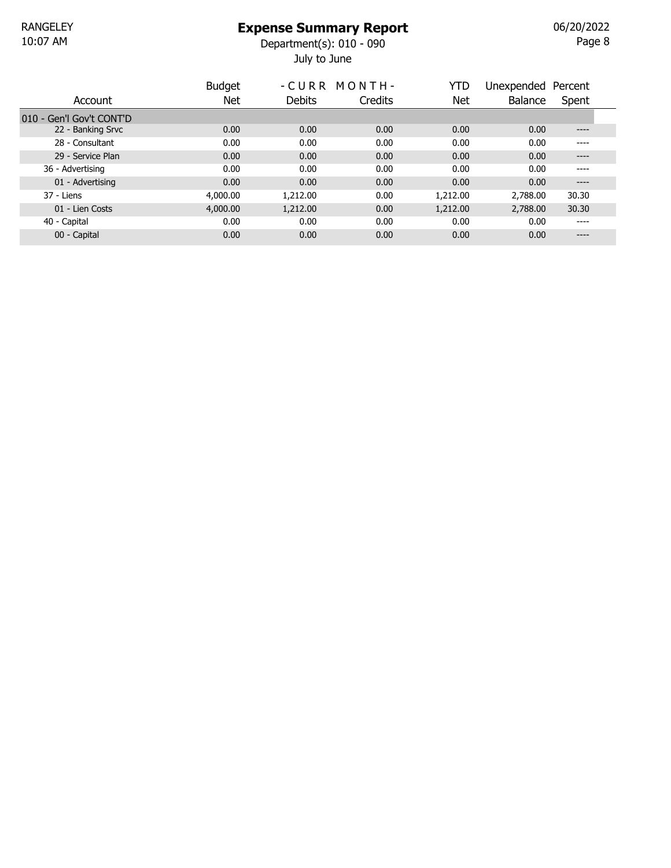July to June 10:07 AM Department(s): 010 - 090

Page  $8$ 06/20/2022

|                          | <b>Budget</b> |          | -CURR MONTH- | YTD      | Unexpended     | Percent |  |
|--------------------------|---------------|----------|--------------|----------|----------------|---------|--|
| Account                  | <b>Net</b>    | Debits   | Credits      | Net      | <b>Balance</b> | Spent   |  |
| 010 - Gen'l Gov't CONT'D |               |          |              |          |                |         |  |
| 22 - Banking Srvc        | 0.00          | 0.00     | 0.00         | 0.00     | 0.00           | ----    |  |
| 28 - Consultant          | 0.00          | 0.00     | 0.00         | 0.00     | 0.00           | ----    |  |
| 29 - Service Plan        | 0.00          | 0.00     | 0.00         | 0.00     | 0.00           | ----    |  |
| 36 - Advertising         | 0.00          | 0.00     | 0.00         | 0.00     | 0.00           | ----    |  |
| 01 - Advertising         | 0.00          | 0.00     | 0.00         | 0.00     | 0.00           | ----    |  |
| 37 - Liens               | 4,000.00      | 1,212.00 | 0.00         | 1,212.00 | 2,788.00       | 30.30   |  |
| 01 - Lien Costs          | 4,000.00      | 1,212.00 | 0.00         | 1,212.00 | 2,788.00       | 30.30   |  |
| 40 - Capital             | 0.00          | 0.00     | 0.00         | 0.00     | 0.00           | ----    |  |
| 00 - Capital             | 0.00          | 0.00     | 0.00         | 0.00     | 0.00           | ----    |  |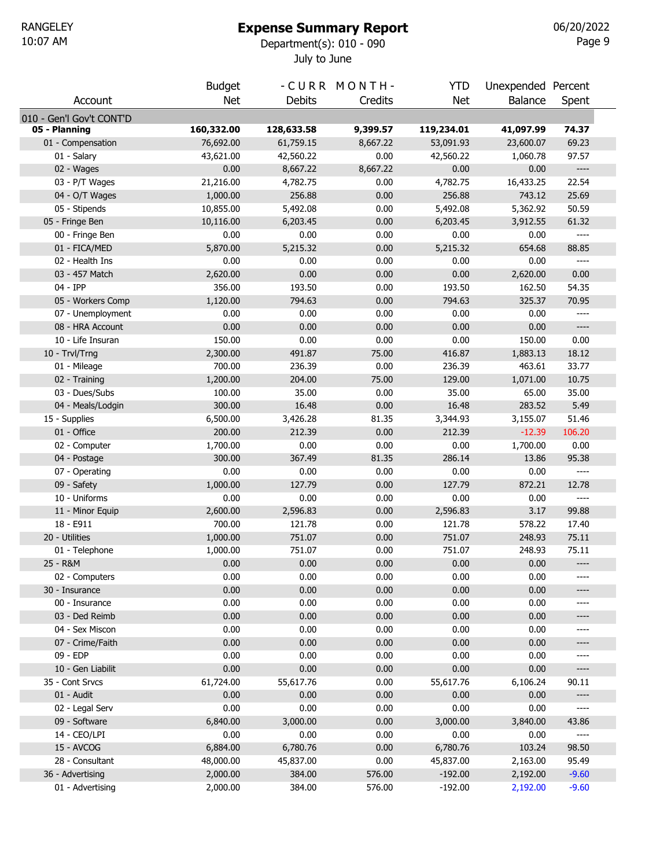# Expense Summary Report

July to June 10:07 AM Department(s): 010 - 090

Page 9 06/20/2022

|                                  | <b>Budget</b> |               | -CURR MONTH- | <b>YTD</b>   | Unexpended Percent |                                                                                                                                                                                                   |  |
|----------------------------------|---------------|---------------|--------------|--------------|--------------------|---------------------------------------------------------------------------------------------------------------------------------------------------------------------------------------------------|--|
| Account                          | <b>Net</b>    | <b>Debits</b> | Credits      | <b>Net</b>   | <b>Balance</b>     | Spent                                                                                                                                                                                             |  |
| 010 - Gen'l Gov't CONT'D         |               |               |              |              |                    |                                                                                                                                                                                                   |  |
| 05 - Planning                    | 160,332.00    | 128,633.58    | 9,399.57     | 119,234.01   | 41,097.99          | 74.37                                                                                                                                                                                             |  |
| 01 - Compensation                | 76,692.00     | 61,759.15     | 8,667.22     | 53,091.93    | 23,600.07          | 69.23                                                                                                                                                                                             |  |
| 01 - Salary                      | 43,621.00     | 42,560.22     | 0.00         | 42,560.22    | 1,060.78           | 97.57                                                                                                                                                                                             |  |
| 02 - Wages                       | 0.00          | 8,667.22      | 8,667.22     | 0.00         | 0.00               | $\hspace{0.02in} \hspace{0.02in} \hspace{0.02in} \hspace{0.02in} \hspace{0.02in} \hspace{0.02in} \hspace{0.02in} \hspace{0.02in} \hspace{0.02in} \hspace{0.02in} \hspace{0.02in} \hspace{0.02in}$ |  |
| 03 - P/T Wages                   | 21,216.00     | 4,782.75      | 0.00         | 4,782.75     | 16,433.25          | 22.54                                                                                                                                                                                             |  |
| 04 - O/T Wages                   | 1,000.00      | 256.88        | 0.00         | 256.88       | 743.12             | 25.69                                                                                                                                                                                             |  |
| 05 - Stipends                    | 10,855.00     | 5,492.08      | 0.00         | 5,492.08     | 5,362.92           | 50.59                                                                                                                                                                                             |  |
| 05 - Fringe Ben                  | 10,116.00     | 6,203.45      | 0.00         | 6,203.45     | 3,912.55           | 61.32                                                                                                                                                                                             |  |
| 00 - Fringe Ben                  | 0.00          | 0.00          | 0.00         | 0.00         | 0.00               | $\qquad \qquad - - -$                                                                                                                                                                             |  |
| 01 - FICA/MED                    | 5,870.00      | 5,215.32      | 0.00         | 5,215.32     | 654.68             | 88.85                                                                                                                                                                                             |  |
| 02 - Health Ins                  | 0.00          | 0.00          | 0.00         | 0.00         | 0.00               | $\qquad \qquad - - -$                                                                                                                                                                             |  |
| 03 - 457 Match                   | 2,620.00      | 0.00          | 0.00         | 0.00         | 2,620.00           | 0.00                                                                                                                                                                                              |  |
| 04 - IPP                         | 356.00        | 193.50        | 0.00         | 193.50       | 162.50             | 54.35                                                                                                                                                                                             |  |
| 05 - Workers Comp                | 1,120.00      | 794.63        | 0.00         | 794.63       | 325.37             | 70.95                                                                                                                                                                                             |  |
| 07 - Unemployment                | 0.00          | 0.00          | 0.00         | 0.00         | 0.00               | $---$                                                                                                                                                                                             |  |
| 08 - HRA Account                 | 0.00          | 0.00          | 0.00         | 0.00         | 0.00               | ----                                                                                                                                                                                              |  |
| 10 - Life Insuran                | 150.00        | 0.00          | 0.00         | 0.00         | 150.00             | 0.00                                                                                                                                                                                              |  |
| 10 - Trvl/Trng                   | 2,300.00      | 491.87        | 75.00        | 416.87       | 1,883.13           | 18.12                                                                                                                                                                                             |  |
| 01 - Mileage                     | 700.00        | 236.39        | 0.00         | 236.39       | 463.61             | 33.77                                                                                                                                                                                             |  |
| 02 - Training                    | 1,200.00      | 204.00        | 75.00        | 129.00       | 1,071.00           | 10.75                                                                                                                                                                                             |  |
| 03 - Dues/Subs                   | 100.00        | 35.00         | 0.00         | 35.00        | 65.00              | 35.00                                                                                                                                                                                             |  |
| 04 - Meals/Lodgin                | 300.00        | 16.48         | 0.00         | 16.48        | 283.52             | 5.49                                                                                                                                                                                              |  |
| 15 - Supplies                    | 6,500.00      | 3,426.28      | 81.35        | 3,344.93     | 3,155.07           | 51.46                                                                                                                                                                                             |  |
| 01 - Office                      | 200.00        | 212.39        | 0.00         | 212.39       | $-12.39$           | 106.20                                                                                                                                                                                            |  |
| 02 - Computer                    | 1,700.00      | 0.00          | 0.00         | 0.00         | 1,700.00           | 0.00                                                                                                                                                                                              |  |
| 04 - Postage                     | 300.00        | 367.49        | 81.35        | 286.14       | 13.86              | 95.38                                                                                                                                                                                             |  |
| 07 - Operating                   | 0.00          | 0.00          | 0.00         | 0.00         | 0.00               | $\qquad \qquad - - -$                                                                                                                                                                             |  |
| 09 - Safety                      | 1,000.00      | 127.79        | 0.00         | 127.79       | 872.21             | 12.78                                                                                                                                                                                             |  |
| 10 - Uniforms                    | 0.00          | 0.00          | 0.00         | 0.00         | 0.00               | $\hspace{0.02in} \hspace{0.02in} \hspace{0.02in} \hspace{0.02in} \hspace{0.02in} \hspace{0.02in} \hspace{0.02in} \hspace{0.02in} \hspace{0.02in} \hspace{0.02in} \hspace{0.02in} \hspace{0.02in}$ |  |
| 11 - Minor Equip                 | 2,600.00      | 2,596.83      | 0.00         | 2,596.83     | 3.17               | 99.88                                                                                                                                                                                             |  |
| 18 - E911                        | 700.00        | 121.78        | 0.00         | 121.78       | 578.22             | 17.40                                                                                                                                                                                             |  |
| 20 - Utilities                   | 1,000.00      | 751.07        | 0.00         | 751.07       | 248.93             | 75.11                                                                                                                                                                                             |  |
| 01 - Telephone                   | 1,000.00      | 751.07        | 0.00         | 751.07       | 248.93             | 75.11                                                                                                                                                                                             |  |
| 25 - R&M                         | 0.00          | 0.00          | 0.00         | 0.00         | 0.00               | ----                                                                                                                                                                                              |  |
| 02 - Computers<br>30 - Insurance | 0.00<br>0.00  | 0.00<br>0.00  | 0.00<br>0.00 | 0.00<br>0.00 | 0.00<br>0.00       | ----<br>----                                                                                                                                                                                      |  |
| 00 - Insurance                   | 0.00          | 0.00          | 0.00         | 0.00         | 0.00               | ----                                                                                                                                                                                              |  |
| 03 - Ded Reimb                   | 0.00          | 0.00          | 0.00         | 0.00         | 0.00               | ----                                                                                                                                                                                              |  |
| 04 - Sex Miscon                  | 0.00          | 0.00          | 0.00         | 0.00         | 0.00               | ----                                                                                                                                                                                              |  |
| 07 - Crime/Faith                 | 0.00          | 0.00          | 0.00         | 0.00         | 0.00               | ----                                                                                                                                                                                              |  |
| 09 - EDP                         | 0.00          | 0.00          | 0.00         | 0.00         | 0.00               |                                                                                                                                                                                                   |  |
| 10 - Gen Liabilit                | 0.00          | 0.00          | 0.00         | 0.00         | 0.00               | ----                                                                                                                                                                                              |  |
| 35 - Cont Srvcs                  | 61,724.00     | 55,617.76     | 0.00         | 55,617.76    | 6,106.24           | 90.11                                                                                                                                                                                             |  |
| 01 - Audit                       | 0.00          | 0.00          | 0.00         | 0.00         | 0.00               | ----                                                                                                                                                                                              |  |
| 02 - Legal Serv                  | 0.00          | 0.00          | 0.00         | 0.00         | 0.00               | ----                                                                                                                                                                                              |  |
| 09 - Software                    | 6,840.00      | 3,000.00      | 0.00         | 3,000.00     | 3,840.00           | 43.86                                                                                                                                                                                             |  |
| 14 - CEO/LPI                     | 0.00          | 0.00          | 0.00         | 0.00         | 0.00               | $---$                                                                                                                                                                                             |  |
| 15 - AVCOG                       | 6,884.00      | 6,780.76      | 0.00         | 6,780.76     | 103.24             | 98.50                                                                                                                                                                                             |  |
| 28 - Consultant                  | 48,000.00     | 45,837.00     | 0.00         | 45,837.00    | 2,163.00           | 95.49                                                                                                                                                                                             |  |
| 36 - Advertising                 | 2,000.00      | 384.00        | 576.00       | $-192.00$    | 2,192.00           | $-9.60$                                                                                                                                                                                           |  |
| 01 - Advertising                 | 2,000.00      | 384.00        | 576.00       | $-192.00$    | 2,192.00           | $-9.60$                                                                                                                                                                                           |  |
|                                  |               |               |              |              |                    |                                                                                                                                                                                                   |  |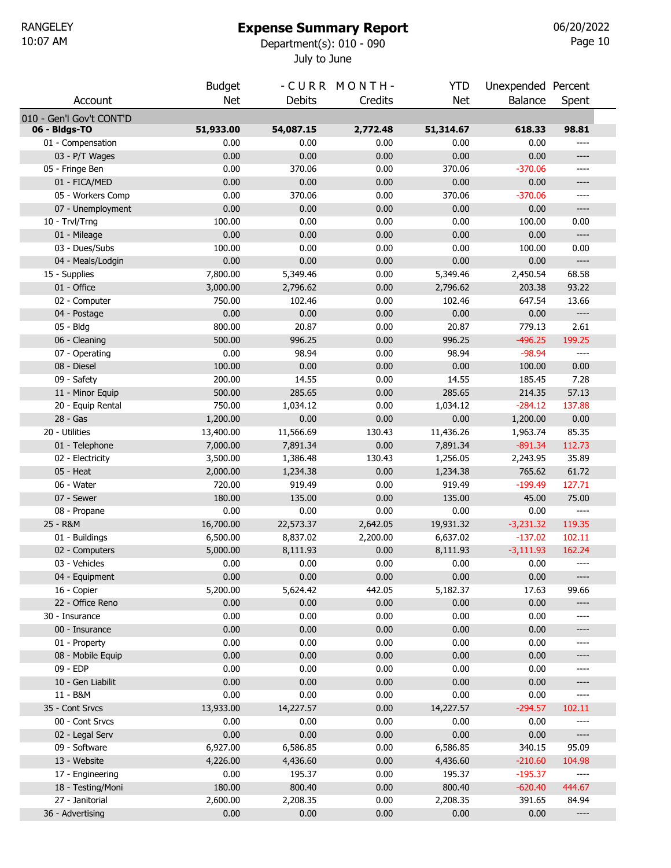# Expense Summary Report

July to June 10:07 AM Department(s): 010 - 090

Page 10 06/20/2022

|                                   | <b>Budget</b>     |                   | -CURR MONTH-     | <b>YTD</b>     | Unexpended Percent |              |
|-----------------------------------|-------------------|-------------------|------------------|----------------|--------------------|--------------|
| Account                           | <b>Net</b>        | <b>Debits</b>     | Credits          | <b>Net</b>     | <b>Balance</b>     | Spent        |
|                                   |                   |                   |                  |                |                    |              |
| 010 - Gen'l Gov't CONT'D          |                   |                   |                  |                |                    |              |
| 06 - Bldgs-TO                     | 51,933.00<br>0.00 | 54,087.15<br>0.00 | 2,772.48<br>0.00 | 51,314.67      | 618.33<br>0.00     | 98.81        |
| 01 - Compensation                 |                   |                   |                  | 0.00           |                    | ----         |
| 03 - P/T Wages<br>05 - Fringe Ben | 0.00<br>0.00      | 0.00<br>370.06    | 0.00<br>0.00     | 0.00<br>370.06 | 0.00<br>$-370.06$  | ----<br>---- |
| 01 - FICA/MED                     | 0.00              | 0.00              | 0.00             | 0.00           | 0.00               | ----         |
| 05 - Workers Comp                 | 0.00              | 370.06            | 0.00             | 370.06         | $-370.06$          | ----         |
| 07 - Unemployment                 | 0.00              | 0.00              | 0.00             | 0.00           | 0.00               | ----         |
| 10 - Trvl/Trng                    | 100.00            | 0.00              | 0.00             | 0.00           | 100.00             | 0.00         |
| 01 - Mileage                      | 0.00              | 0.00              | 0.00             | 0.00           | 0.00               | ----         |
| 03 - Dues/Subs                    | 100.00            | 0.00              | 0.00             | 0.00           | 100.00             | 0.00         |
| 04 - Meals/Lodgin                 | 0.00              | 0.00              | 0.00             | 0.00           | 0.00               | $-----$      |
| 15 - Supplies                     | 7,800.00          | 5,349.46          | 0.00             | 5,349.46       | 2,450.54           | 68.58        |
| 01 - Office                       | 3,000.00          | 2,796.62          | 0.00             | 2,796.62       | 203.38             | 93.22        |
| 02 - Computer                     | 750.00            | 102.46            | 0.00             | 102.46         | 647.54             | 13.66        |
| 04 - Postage                      | 0.00              | 0.00              | 0.00             | 0.00           | 0.00               | $-----$      |
| 05 - Bldg                         | 800.00            | 20.87             | 0.00             | 20.87          | 779.13             | 2.61         |
| 06 - Cleaning                     | 500.00            | 996.25            | 0.00             | 996.25         | $-496.25$          | 199.25       |
| 07 - Operating                    | 0.00              | 98.94             | 0.00             | 98.94          | $-98.94$           | ----         |
| 08 - Diesel                       | 100.00            | 0.00              | 0.00             | 0.00           | 100.00             | 0.00         |
| 09 - Safety                       | 200.00            | 14.55             | 0.00             | 14.55          | 185.45             | 7.28         |
| 11 - Minor Equip                  | 500.00            | 285.65            | 0.00             | 285.65         | 214.35             | 57.13        |
| 20 - Equip Rental                 | 750.00            | 1,034.12          | 0.00             | 1,034.12       | $-284.12$          | 137.88       |
| 28 - Gas                          | 1,200.00          | 0.00              | 0.00             | 0.00           | 1,200.00           | 0.00         |
| 20 - Utilities                    | 13,400.00         | 11,566.69         | 130.43           | 11,436.26      | 1,963.74           | 85.35        |
| 01 - Telephone                    | 7,000.00          | 7,891.34          | 0.00             | 7,891.34       | $-891.34$          | 112.73       |
| 02 - Electricity                  | 3,500.00          | 1,386.48          | 130.43           | 1,256.05       | 2,243.95           | 35.89        |
| 05 - Heat                         | 2,000.00          | 1,234.38          | 0.00             | 1,234.38       | 765.62             | 61.72        |
| 06 - Water                        | 720.00            | 919.49            | 0.00             | 919.49         | $-199.49$          | 127.71       |
| 07 - Sewer                        | 180.00            | 135.00            | 0.00             | 135.00         | 45.00              | 75.00        |
| 08 - Propane                      | 0.00              | 0.00              | 0.00             | 0.00           | 0.00               | $---$        |
| 25 - R&M                          | 16,700.00         | 22,573.37         | 2,642.05         | 19,931.32      | $-3,231.32$        | 119.35       |
| 01 - Buildings                    | 6,500.00          | 8,837.02          | 2,200.00         | 6,637.02       | $-137.02$          | 102.11       |
| 02 - Computers                    | 5,000.00          | 8,111.93          | 0.00             | 8,111.93       | $-3,111.93$        | 162.24       |
| 03 - Vehicles                     | 0.00              | 0.00              | 0.00             | 0.00           | 0.00               | ----         |
| 04 - Equipment                    | 0.00              | 0.00              | 0.00             | 0.00           | 0.00               | ----         |
| 16 - Copier                       | 5,200.00          | 5,624.42          | 442.05           | 5,182.37       | 17.63              | 99.66        |
| 22 - Office Reno                  | 0.00              | 0.00              | 0.00             | 0.00           | 0.00               | ----         |
| 30 - Insurance                    | 0.00              | 0.00              | 0.00             | 0.00           | 0.00               | ----         |
| 00 - Insurance                    | 0.00              | 0.00              | 0.00             | 0.00           | 0.00               | ----         |
| 01 - Property                     | 0.00              | 0.00              | 0.00             | 0.00           | 0.00               | ----         |
| 08 - Mobile Equip                 | 0.00              | 0.00              | 0.00             | 0.00           | 0.00               | ----         |
| 09 - EDP                          | 0.00              | 0.00              | 0.00             | 0.00           | 0.00               | ----         |
| 10 - Gen Liabilit                 | 0.00              | 0.00              | 0.00             | 0.00           | 0.00               | ----         |
| 11 - B&M                          | 0.00              | 0.00              | 0.00             | 0.00           | 0.00               | ----         |
| 35 - Cont Srvcs                   | 13,933.00         | 14,227.57         | 0.00             | 14,227.57      | $-294.57$          | 102.11       |
| 00 - Cont Srvcs                   | 0.00              | 0.00              | 0.00             | 0.00           | 0.00               | ----         |
| 02 - Legal Serv                   | 0.00              | 0.00              | 0.00             | 0.00           | 0.00               | ----         |
| 09 - Software                     | 6,927.00          | 6,586.85          | 0.00             | 6,586.85       | 340.15             | 95.09        |
| 13 - Website                      | 4,226.00          | 4,436.60          | 0.00             | 4,436.60       | $-210.60$          | 104.98       |
| 17 - Engineering                  | 0.00              | 195.37            | 0.00             | 195.37         | $-195.37$          | ----         |
| 18 - Testing/Moni                 | 180.00            | 800.40            | 0.00             | 800.40         | $-620.40$          | 444.67       |
| 27 - Janitorial                   | 2,600.00          | 2,208.35          | 0.00             | 2,208.35       | 391.65             | 84.94        |
| 36 - Advertising                  | 0.00              | 0.00              | 0.00             | 0.00           | 0.00               | ----         |
|                                   |                   |                   |                  |                |                    |              |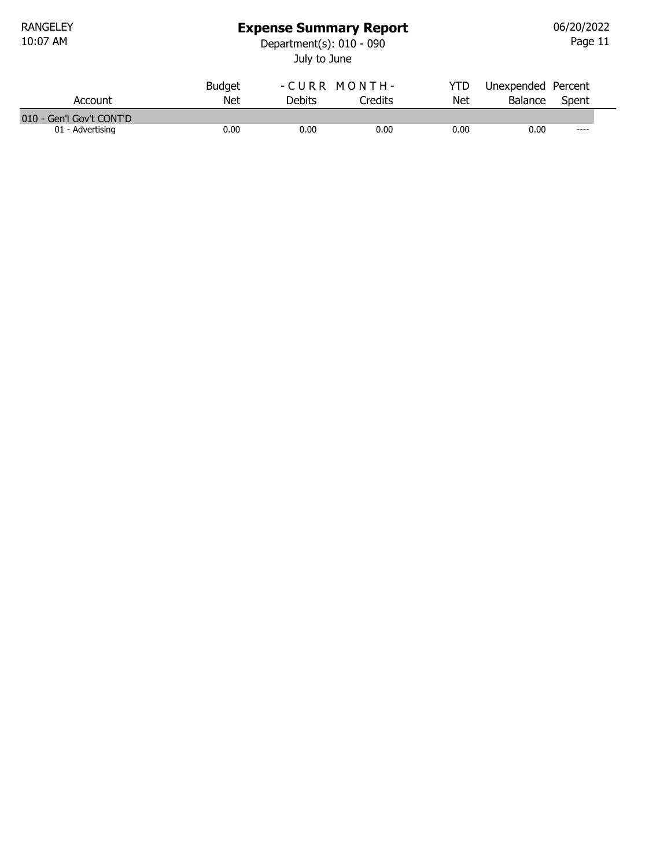RANGELEY<br>10:07 AM

## Expense Summary Report

July to June 10:07 AM Department(s): 010 - 090

Page 11 06/20/2022

| Account                  | <b>Budget</b><br>Net | <b>Debits</b> | -CURR MONTH-<br>Credits | YTD<br><b>Net</b> | Unexpended Percent<br>Balance | Spent |
|--------------------------|----------------------|---------------|-------------------------|-------------------|-------------------------------|-------|
| 010 - Gen'l Gov't CONT'D |                      |               |                         |                   |                               |       |
| 01 - Advertising         | 0.00                 | 0.00          | 0.00                    | 0.00              | 0.00                          | $---$ |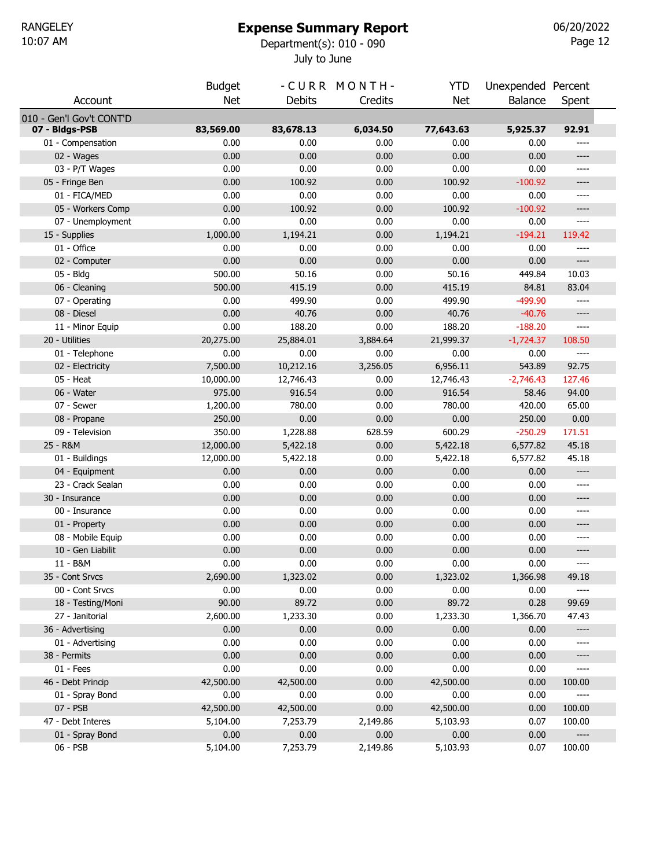# Expense Summary Report

July to June 10:07 AM Department(s): 010 - 090

Page 12 06/20/2022

|                          | <b>Budget</b> |               | -CURR MONTH- | <b>YTD</b> | Unexpended Percent |        |  |
|--------------------------|---------------|---------------|--------------|------------|--------------------|--------|--|
| Account                  | <b>Net</b>    | <b>Debits</b> | Credits      | <b>Net</b> | Balance            | Spent  |  |
| 010 - Gen'l Gov't CONT'D |               |               |              |            |                    |        |  |
| 07 - Bldgs-PSB           | 83,569.00     | 83,678.13     | 6,034.50     | 77,643.63  | 5,925.37           | 92.91  |  |
| 01 - Compensation        | 0.00          | 0.00          | 0.00         | 0.00       | 0.00               | ----   |  |
| 02 - Wages               | 0.00          | 0.00          | 0.00         | 0.00       | 0.00               | ----   |  |
| 03 - P/T Wages           | 0.00          | 0.00          | 0.00         | 0.00       | 0.00               | ----   |  |
| 05 - Fringe Ben          | 0.00          | 100.92        | 0.00         | 100.92     | $-100.92$          | ----   |  |
| 01 - FICA/MED            | 0.00          | 0.00          | 0.00         | 0.00       | 0.00               | ----   |  |
| 05 - Workers Comp        | 0.00          | 100.92        | 0.00         | 100.92     | $-100.92$          | ----   |  |
| 07 - Unemployment        | 0.00          | 0.00          | 0.00         | 0.00       | 0.00               | ----   |  |
| 15 - Supplies            | 1,000.00      | 1,194.21      | 0.00         | 1,194.21   | $-194.21$          | 119.42 |  |
| 01 - Office              | 0.00          | 0.00          | 0.00         | 0.00       | 0.00               | ----   |  |
| 02 - Computer            | 0.00          | 0.00          | 0.00         | 0.00       | 0.00               | ----   |  |
| 05 - Bldg                | 500.00        | 50.16         | 0.00         | 50.16      | 449.84             | 10.03  |  |
| 06 - Cleaning            | 500.00        | 415.19        | 0.00         | 415.19     | 84.81              | 83.04  |  |
| 07 - Operating           | 0.00          | 499.90        | 0.00         | 499.90     | -499.90            | ----   |  |
| 08 - Diesel              | 0.00          | 40.76         | 0.00         | 40.76      | $-40.76$           | ----   |  |
| 11 - Minor Equip         | 0.00          | 188.20        | 0.00         | 188.20     | $-188.20$          | ----   |  |
| 20 - Utilities           | 20,275.00     | 25,884.01     | 3,884.64     | 21,999.37  | $-1,724.37$        | 108.50 |  |
| 01 - Telephone           | 0.00          | 0.00          | 0.00         | 0.00       | 0.00               | ----   |  |
| 02 - Electricity         | 7,500.00      | 10,212.16     | 3,256.05     | 6,956.11   | 543.89             | 92.75  |  |
| 05 - Heat                | 10,000.00     | 12,746.43     | 0.00         | 12,746.43  | $-2,746.43$        | 127.46 |  |
| 06 - Water               | 975.00        | 916.54        | 0.00         | 916.54     | 58.46              | 94.00  |  |
| 07 - Sewer               | 1,200.00      | 780.00        | 0.00         | 780.00     | 420.00             | 65.00  |  |
| 08 - Propane             | 250.00        | 0.00          | 0.00         | 0.00       | 250.00             | 0.00   |  |
| 09 - Television          | 350.00        | 1,228.88      | 628.59       | 600.29     | $-250.29$          | 171.51 |  |
| 25 - R&M                 | 12,000.00     | 5,422.18      | 0.00         | 5,422.18   | 6,577.82           | 45.18  |  |
| 01 - Buildings           | 12,000.00     | 5,422.18      | 0.00         | 5,422.18   | 6,577.82           | 45.18  |  |
| 04 - Equipment           | 0.00          | 0.00          | 0.00         | 0.00       | 0.00               | ----   |  |
| 23 - Crack Sealan        | 0.00          | 0.00          | 0.00         | 0.00       | 0.00               | ----   |  |
| 30 - Insurance           | 0.00          | 0.00          | 0.00         | 0.00       | 0.00               | ----   |  |
| 00 - Insurance           | 0.00          | 0.00          | 0.00         | 0.00       | 0.00               | ----   |  |
| 01 - Property            | 0.00          | 0.00          | 0.00         | 0.00       | 0.00               | ----   |  |
| 08 - Mobile Equip        | 0.00          | 0.00          | 0.00         | 0.00       | 0.00               | ----   |  |
| 10 - Gen Liabilit        | 0.00          | 0.00          | 0.00         | 0.00       | 0.00               | ----   |  |
| 11 - B&M                 | 0.00          | 0.00          | 0.00         | 0.00       | 0.00               | ----   |  |
| 35 - Cont Srvcs          | 2,690.00      | 1,323.02      | 0.00         | 1,323.02   | 1,366.98           | 49.18  |  |
| 00 - Cont Srvcs          | 0.00          | 0.00          | 0.00         | 0.00       | 0.00               | $---$  |  |
| 18 - Testing/Moni        | 90.00         | 89.72         | 0.00         | 89.72      | 0.28               | 99.69  |  |
| 27 - Janitorial          | 2,600.00      | 1,233.30      | 0.00         | 1,233.30   | 1,366.70           | 47.43  |  |
| 36 - Advertising         | 0.00          | 0.00          | 0.00         | 0.00       | 0.00               | ----   |  |
| 01 - Advertising         | 0.00          | 0.00          | 0.00         | 0.00       | 0.00               | ----   |  |
| 38 - Permits             | 0.00          | 0.00          | 0.00         | 0.00       | 0.00               | ----   |  |
| $01 - Fees$              | 0.00          | 0.00          | 0.00         | 0.00       | 0.00               | ----   |  |
| 46 - Debt Princip        | 42,500.00     | 42,500.00     | 0.00         | 42,500.00  | 0.00               | 100.00 |  |
| 01 - Spray Bond          | 0.00          | 0.00          | 0.00         | 0.00       | 0.00               | ----   |  |
| 07 - PSB                 | 42,500.00     | 42,500.00     | 0.00         | 42,500.00  | 0.00               | 100.00 |  |
| 47 - Debt Interes        | 5,104.00      | 7,253.79      | 2,149.86     | 5,103.93   | 0.07               | 100.00 |  |
| 01 - Spray Bond          | 0.00          | 0.00          | 0.00         | 0.00       | 0.00               | ----   |  |
| 06 - PSB                 | 5,104.00      | 7,253.79      | 2,149.86     | 5,103.93   | 0.07               | 100.00 |  |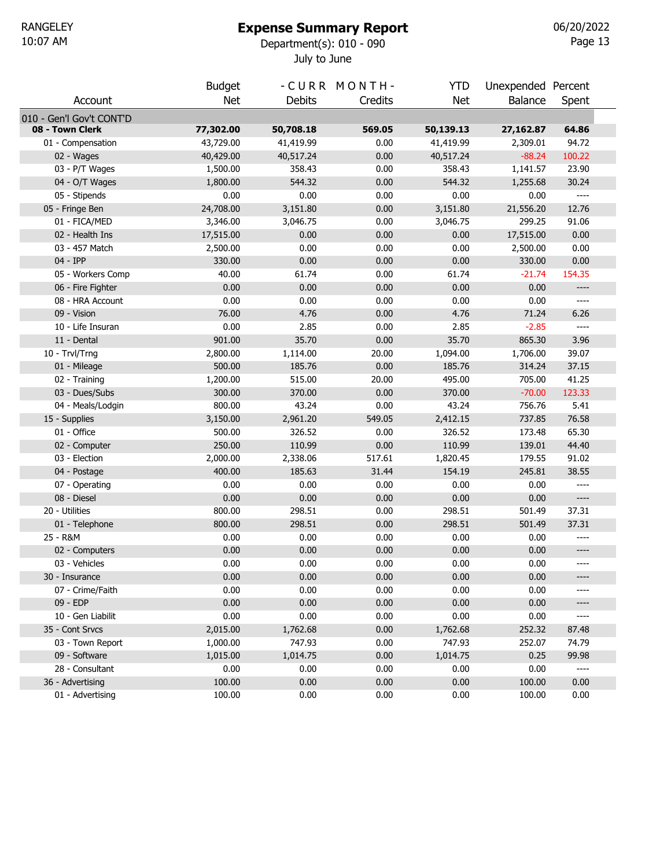# Expense Summary Report

July to June 10:07 AM Department(s): 010 - 090

Page 13 06/20/2022

|                                        | <b>Budget</b> |               | -CURR MONTH- | <b>YTD</b>    | Unexpended Percent |                       |  |
|----------------------------------------|---------------|---------------|--------------|---------------|--------------------|-----------------------|--|
| Account                                | <b>Net</b>    | <b>Debits</b> | Credits      | <b>Net</b>    | <b>Balance</b>     | Spent                 |  |
| 010 - Gen'l Gov't CONT'D               |               |               |              |               |                    |                       |  |
| 08 - Town Clerk                        | 77,302.00     | 50,708.18     | 569.05       | 50,139.13     | 27,162.87          | 64.86                 |  |
| 01 - Compensation                      | 43,729.00     | 41,419.99     | 0.00         | 41,419.99     | 2,309.01           | 94.72                 |  |
| 02 - Wages                             | 40,429.00     | 40,517.24     | 0.00         | 40,517.24     | $-88.24$           | 100.22                |  |
| 03 - P/T Wages                         | 1,500.00      | 358.43        | 0.00         | 358.43        | 1,141.57           | 23.90                 |  |
| 04 - O/T Wages                         | 1,800.00      | 544.32        | 0.00         | 544.32        | 1,255.68           | 30.24                 |  |
| 05 - Stipends                          | 0.00          | 0.00          | 0.00         | 0.00          | 0.00               | $\qquad \qquad - - -$ |  |
| 05 - Fringe Ben                        | 24,708.00     | 3,151.80      | 0.00         | 3,151.80      | 21,556.20          | 12.76                 |  |
| 01 - FICA/MED                          | 3,346.00      | 3,046.75      | 0.00         | 3,046.75      | 299.25             | 91.06                 |  |
| 02 - Health Ins                        | 17,515.00     | 0.00          | 0.00         | 0.00          | 17,515.00          | 0.00                  |  |
| 03 - 457 Match                         | 2,500.00      | 0.00          | 0.00         | 0.00          | 2,500.00           | 0.00                  |  |
| 04 - IPP                               | 330.00        | 0.00          | 0.00<br>0.00 | 0.00<br>61.74 | 330.00             | 0.00<br>154.35        |  |
| 05 - Workers Comp<br>06 - Fire Fighter | 40.00<br>0.00 | 61.74<br>0.00 | 0.00         | 0.00          | $-21.74$<br>0.00   | ----                  |  |
| 08 - HRA Account                       | 0.00          | 0.00          | 0.00         | 0.00          | 0.00               | ----                  |  |
| 09 - Vision                            | 76.00         | 4.76          | 0.00         | 4.76          | 71.24              | 6.26                  |  |
| 10 - Life Insuran                      | 0.00          | 2.85          | 0.00         | 2.85          | $-2.85$            | $---$                 |  |
| 11 - Dental                            | 901.00        | 35.70         | 0.00         | 35.70         | 865.30             | 3.96                  |  |
| 10 - Trvl/Trng                         | 2,800.00      | 1,114.00      | 20.00        | 1,094.00      | 1,706.00           | 39.07                 |  |
| 01 - Mileage                           | 500.00        | 185.76        | 0.00         | 185.76        | 314.24             | 37.15                 |  |
| 02 - Training                          | 1,200.00      | 515.00        | 20.00        | 495.00        | 705.00             | 41.25                 |  |
| 03 - Dues/Subs                         | 300.00        | 370.00        | 0.00         | 370.00        | $-70.00$           | 123.33                |  |
| 04 - Meals/Lodgin                      | 800.00        | 43.24         | 0.00         | 43.24         | 756.76             | 5.41                  |  |
| 15 - Supplies                          | 3,150.00      | 2,961.20      | 549.05       | 2,412.15      | 737.85             | 76.58                 |  |
| 01 - Office                            | 500.00        | 326.52        | 0.00         | 326.52        | 173.48             | 65.30                 |  |
| 02 - Computer                          | 250.00        | 110.99        | 0.00         | 110.99        | 139.01             | 44.40                 |  |
| 03 - Election                          | 2,000.00      | 2,338.06      | 517.61       | 1,820.45      | 179.55             | 91.02                 |  |
| 04 - Postage                           | 400.00        | 185.63        | 31.44        | 154.19        | 245.81             | 38.55                 |  |
| 07 - Operating                         | 0.00          | 0.00          | 0.00         | 0.00          | 0.00               | ----                  |  |
| 08 - Diesel                            | 0.00          | 0.00          | 0.00         | 0.00          | 0.00               | $---$                 |  |
| 20 - Utilities                         | 800.00        | 298.51        | 0.00         | 298.51        | 501.49             | 37.31                 |  |
| 01 - Telephone<br>25 - R&M             | 800.00        | 298.51        | 0.00         | 298.51        | 501.49             | 37.31                 |  |
| 02 - Computers                         | 0.00<br>0.00  | 0.00<br>0.00  | 0.00<br>0.00 | 0.00<br>0.00  | 0.00<br>0.00       | ----<br>----          |  |
| 03 - Vehicles                          | 0.00          | 0.00          | 0.00         | 0.00          | 0.00               | ----                  |  |
| 30 - Insurance                         | 0.00          | 0.00          | 0.00         | 0.00          | 0.00               | ----                  |  |
| 07 - Crime/Faith                       | 0.00          | 0.00          | 0.00         | 0.00          | 0.00               |                       |  |
| 09 - EDP                               | 0.00          | 0.00          | 0.00         | 0.00          | 0.00               | ----                  |  |
| 10 - Gen Liabilit                      | 0.00          | 0.00          | 0.00         | 0.00          | 0.00               | ----                  |  |
| 35 - Cont Srvcs                        | 2,015.00      | 1,762.68      | 0.00         | 1,762.68      | 252.32             | 87.48                 |  |
| 03 - Town Report                       | 1,000.00      | 747.93        | 0.00         | 747.93        | 252.07             | 74.79                 |  |
| 09 - Software                          | 1,015.00      | 1,014.75      | 0.00         | 1,014.75      | 0.25               | 99.98                 |  |
| 28 - Consultant                        | 0.00          | 0.00          | 0.00         | 0.00          | 0.00               | $\qquad \qquad - - -$ |  |
| 36 - Advertising                       | 100.00        | 0.00          | 0.00         | 0.00          | 100.00             | 0.00                  |  |
| 01 - Advertising                       | 100.00        | 0.00          | 0.00         | 0.00          | 100.00             | 0.00                  |  |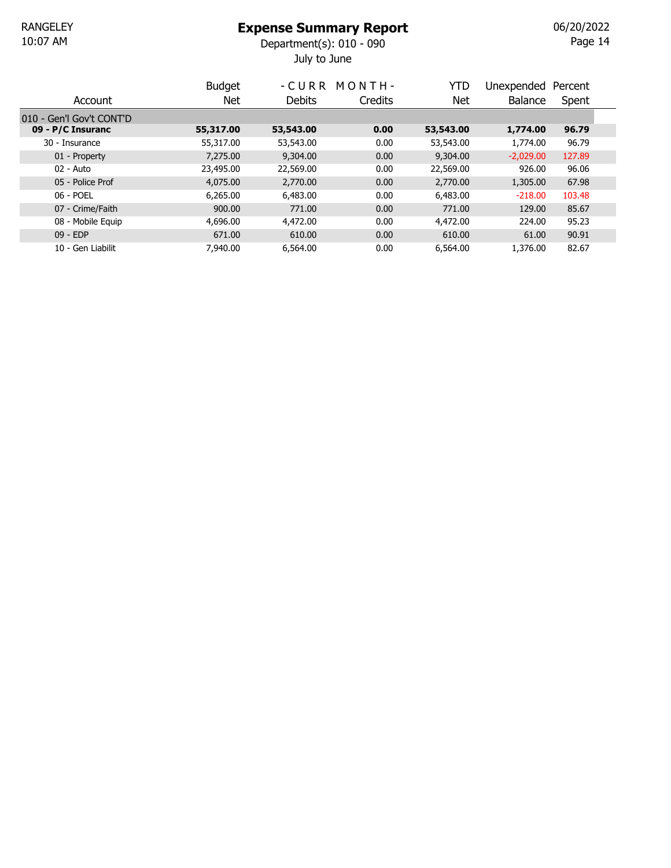July to June 10:07 AM Department(s): 010 - 090

Page 14 06/20/2022

|                          | <b>Budget</b> | - C U R R | MONTH-  | YTD       | Unexpended     | Percent |  |
|--------------------------|---------------|-----------|---------|-----------|----------------|---------|--|
| Account                  | Net           | Debits    | Credits | Net       | <b>Balance</b> | Spent   |  |
| 010 - Gen'l Gov't CONT'D |               |           |         |           |                |         |  |
| 09 - P/C Insuranc        | 55,317.00     | 53,543.00 | 0.00    | 53,543.00 | 1,774.00       | 96.79   |  |
| 30 - Insurance           | 55,317.00     | 53,543.00 | 0.00    | 53,543.00 | 1,774.00       | 96.79   |  |
| 01 - Property            | 7,275.00      | 9,304.00  | 0.00    | 9,304.00  | $-2,029.00$    | 127.89  |  |
| 02 - Auto                | 23,495.00     | 22,569.00 | 0.00    | 22,569.00 | 926.00         | 96.06   |  |
| 05 - Police Prof         | 4,075.00      | 2,770.00  | 0.00    | 2,770.00  | 1,305.00       | 67.98   |  |
| 06 - POEL                | 6,265,00      | 6,483.00  | 0.00    | 6,483,00  | $-218.00$      | 103.48  |  |
| 07 - Crime/Faith         | 900.00        | 771.00    | 0.00    | 771.00    | 129.00         | 85.67   |  |
| 08 - Mobile Equip        | 4,696.00      | 4,472,00  | 0.00    | 4,472,00  | 224.00         | 95.23   |  |
| $09 - EDP$               | 671.00        | 610.00    | 0.00    | 610.00    | 61.00          | 90.91   |  |
| 10 - Gen Liabilit        | 7.940.00      | 6,564.00  | 0.00    | 6,564.00  | 1,376.00       | 82.67   |  |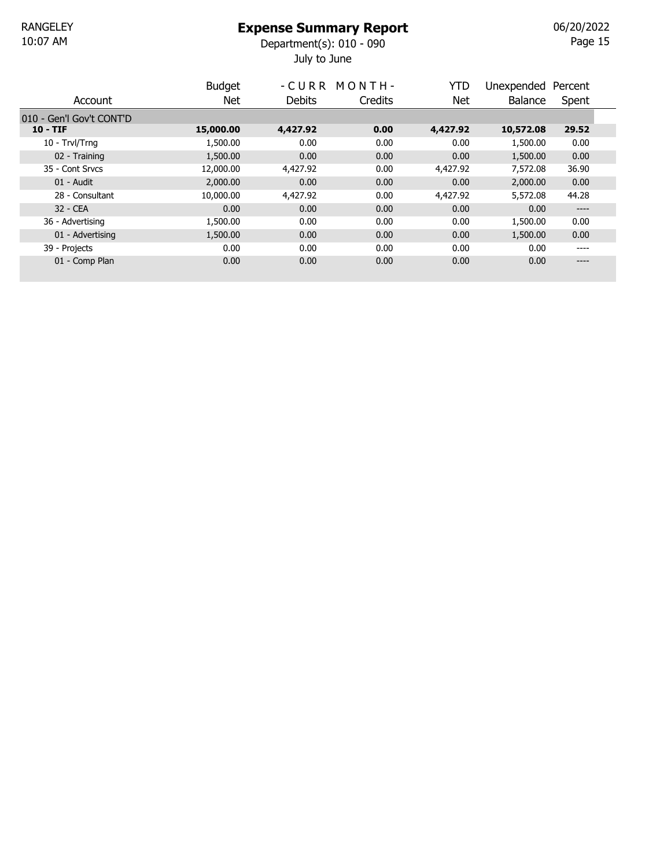July to June 10:07 AM Department(s): 010 - 090

Page 15 06/20/2022

|                          | <b>Budget</b> |          | -CURR MONTH- | <b>YTD</b> | Unexpended     | Percent |  |
|--------------------------|---------------|----------|--------------|------------|----------------|---------|--|
| Account                  | <b>Net</b>    | Debits   | Credits      | Net        | <b>Balance</b> | Spent   |  |
| 010 - Gen'l Gov't CONT'D |               |          |              |            |                |         |  |
| $10 - TIF$               | 15,000.00     | 4,427.92 | 0.00         | 4,427.92   | 10,572.08      | 29.52   |  |
| 10 - Trvl/Trng           | 1,500.00      | 0.00     | 0.00         | 0.00       | 1,500.00       | 0.00    |  |
| 02 - Training            | 1,500.00      | 0.00     | 0.00         | 0.00       | 1,500.00       | 0.00    |  |
| 35 - Cont Srvcs          | 12,000.00     | 4,427.92 | 0.00         | 4,427.92   | 7,572.08       | 36.90   |  |
| 01 - Audit               | 2,000.00      | 0.00     | 0.00         | 0.00       | 2,000.00       | 0.00    |  |
| 28 - Consultant          | 10,000.00     | 4,427.92 | 0.00         | 4,427.92   | 5,572.08       | 44.28   |  |
| 32 - CEA                 | 0.00          | 0.00     | 0.00         | 0.00       | 0.00           | ----    |  |
| 36 - Advertising         | 1,500.00      | 0.00     | 0.00         | 0.00       | 1,500.00       | 0.00    |  |
| 01 - Advertising         | 1,500.00      | 0.00     | 0.00         | 0.00       | 1,500.00       | 0.00    |  |
| 39 - Projects            | 0.00          | 0.00     | 0.00         | 0.00       | 0.00           | ----    |  |
| 01 - Comp Plan           | 0.00          | 0.00     | 0.00         | 0.00       | 0.00           | ----    |  |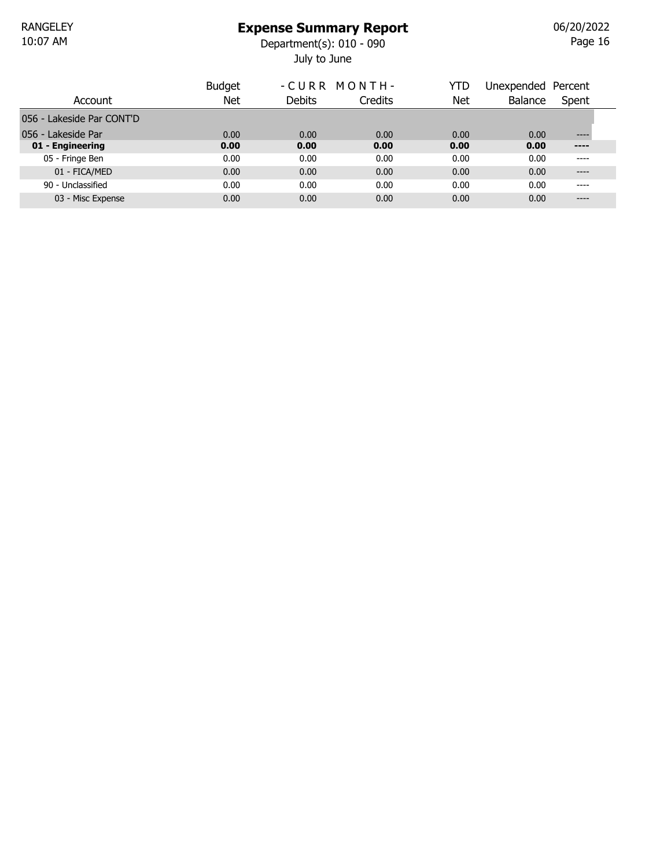July to June 10:07 AM Department(s): 010 - 090

Page 16 06/20/2022

|                           | <b>Budget</b> | -CURR MONTH-  |         | YTD  | Unexpended Percent |          |
|---------------------------|---------------|---------------|---------|------|--------------------|----------|
| Account                   | Net           | <b>Debits</b> | Credits | Net  | Balance            | Spent    |
| 056 - Lakeside Par CONT'D |               |               |         |      |                    |          |
| 056 - Lakeside Par        | 0.00          | 0.00          | 0.00    | 0.00 | 0.00               | $-- - -$ |
| 01 - Engineering          | 0.00          | 0.00          | 0.00    | 0.00 | 0.00               | $---$    |
| 05 - Fringe Ben           | 0.00          | 0.00          | 0.00    | 0.00 | 0.00               | ----     |
| 01 - FICA/MED             | 0.00          | 0.00          | 0.00    | 0.00 | 0.00               | $---$    |
| 90 - Unclassified         | 0.00          | 0.00          | 0.00    | 0.00 | 0.00               | ----     |
| 03 - Misc Expense         | 0.00          | 0.00          | 0.00    | 0.00 | 0.00               | ----     |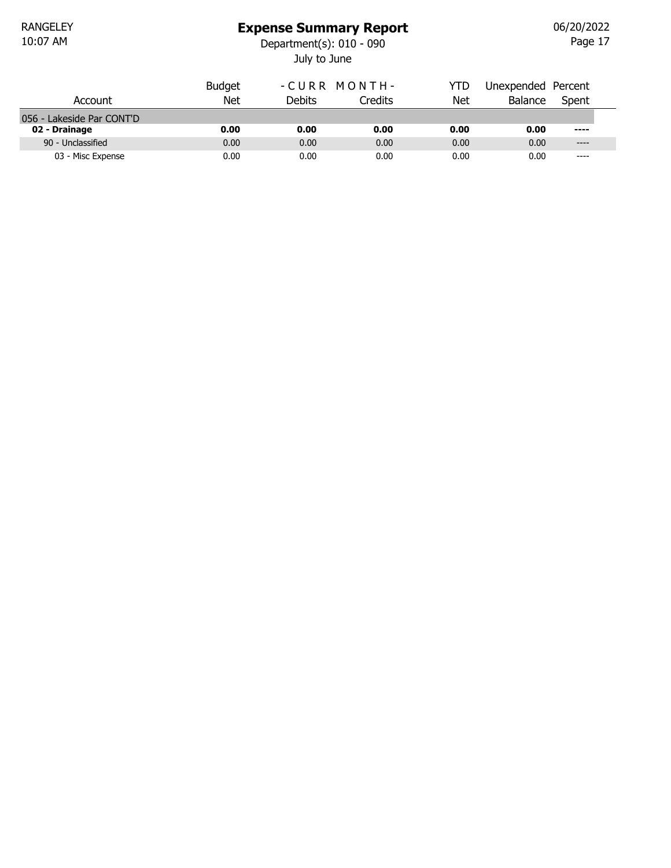### Expense Summary Report

July to June 10:07 AM Department(s): 010 - 090

Page 17 06/20/2022

|                           | <b>Budget</b> | -CURR MONTH- |         | YTD  | Unexpended Percent |           |  |
|---------------------------|---------------|--------------|---------|------|--------------------|-----------|--|
| Account                   | <b>Net</b>    | Debits       | Credits | Net  | <b>Balance</b>     | Spent     |  |
| 056 - Lakeside Par CONT'D |               |              |         |      |                    |           |  |
| 02 - Drainage             | 0.00          | 0.00         | 0.00    | 0.00 | 0.00               | $---$     |  |
| 90 - Unclassified         | 0.00          | 0.00         | 0.00    | 0.00 | 0.00               | $---$     |  |
| 03 - Misc Expense         | 0.00          | 0.00         | 0.00    | 0.00 | 0.00               | $- - - -$ |  |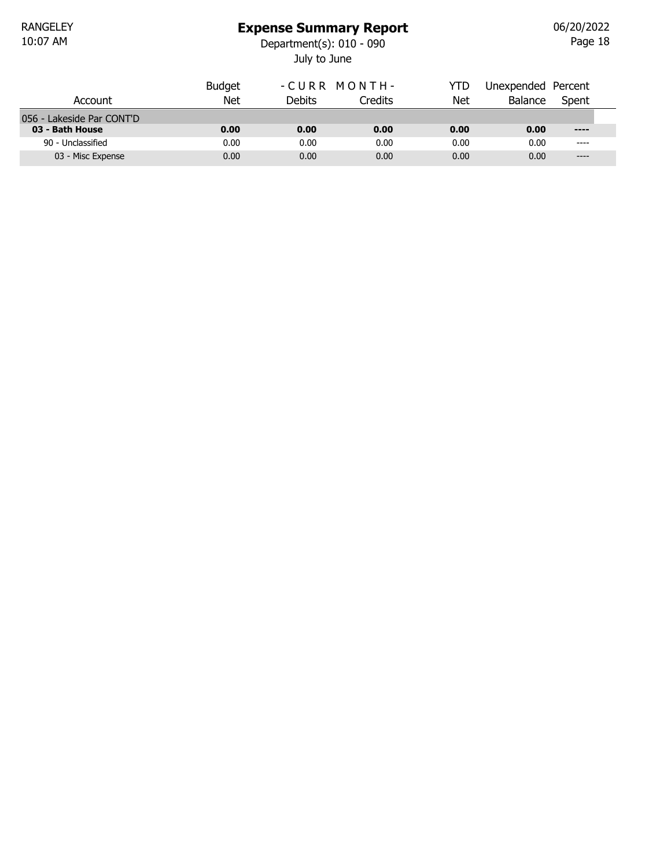### Expense Summary Report

July to June 10:07 AM Department(s): 010 - 090

Page 18 06/20/2022

|                           | <b>Budget</b> | -CURR MONTH- |         | YTD  | Unexpended Percent |       |  |
|---------------------------|---------------|--------------|---------|------|--------------------|-------|--|
| Account                   | Net           | Debits       | Credits | Net  | <b>Balance</b>     | Spent |  |
| 056 - Lakeside Par CONT'D |               |              |         |      |                    |       |  |
| 03 - Bath House           | 0.00          | 0.00         | 0.00    | 0.00 | 0.00               | $---$ |  |
| 90 - Unclassified         | 0.00          | 0.00         | 0.00    | 0.00 | 0.00               | ----  |  |
| 03 - Misc Expense         | 0.00          | 0.00         | 0.00    | 0.00 | 0.00               | $---$ |  |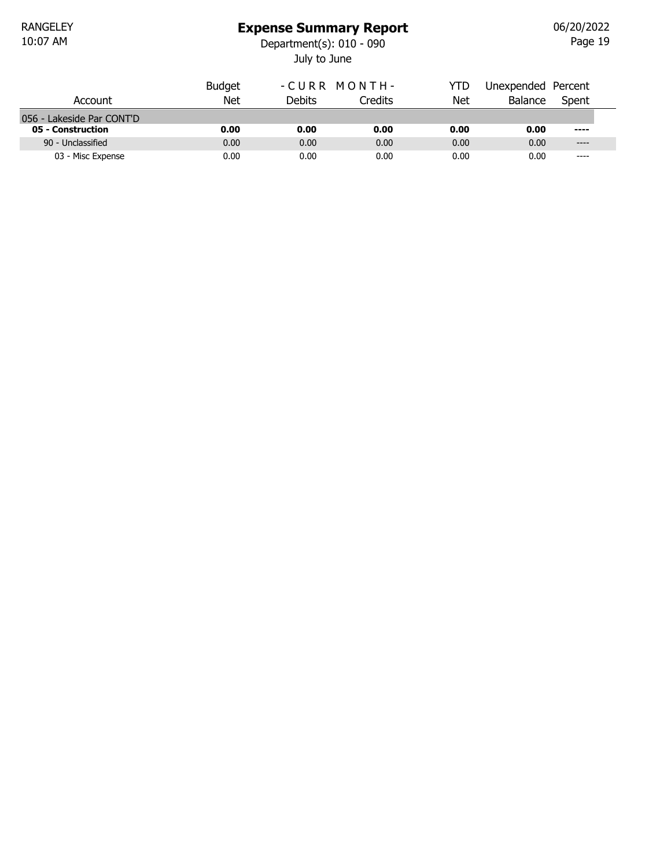RANGELEY<br>10:07 AM

### Expense Summary Report

July to June 10:07 AM Department(s): 010 - 090

Page 19 06/20/2022

|                           | <b>Budget</b> | -CURR MONTH-  |         | YTD  | Unexpended Percent |           |
|---------------------------|---------------|---------------|---------|------|--------------------|-----------|
| Account                   | Net           | <b>Debits</b> | Credits | Net  | <b>Balance</b>     | Spent     |
| 056 - Lakeside Par CONT'D |               |               |         |      |                    |           |
| 05 - Construction         | 0.00          | 0.00          | 0.00    | 0.00 | 0.00               | $- - - -$ |
| 90 - Unclassified         | 0.00          | 0.00          | 0.00    | 0.00 | 0.00               | $---$     |
| 03 - Misc Expense         | 0.00          | 0.00          | 0.00    | 0.00 | 0.00               | $---$     |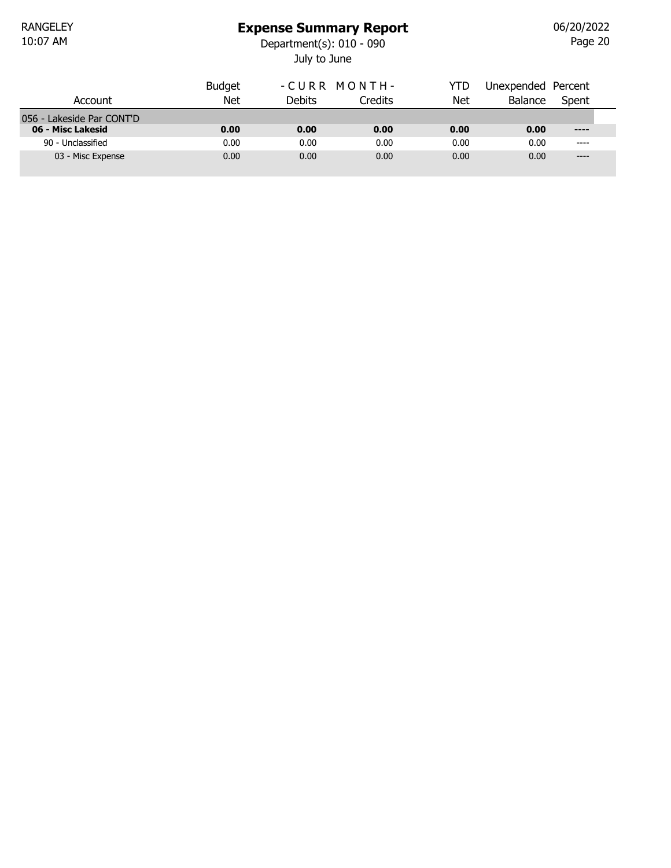### Expense Summary Report

July to June 10:07 AM Department(s): 010 - 090

Page 20 06/20/2022

|                           | <b>Budget</b> | -CURR MONTH-  |         | YTD  | Unexpended Percent |               |  |
|---------------------------|---------------|---------------|---------|------|--------------------|---------------|--|
| Account                   | Net           | <b>Debits</b> | Credits | Net  | <b>Balance</b>     | Spent         |  |
| 056 - Lakeside Par CONT'D |               |               |         |      |                    |               |  |
| 06 - Misc Lakesid         | 0.00          | 0.00          | 0.00    | 0.00 | 0.00               | $\cdots$      |  |
| 90 - Unclassified         | 0.00          | 0.00          | 0.00    | 0.00 | 0.00               | $\frac{1}{2}$ |  |
| 03 - Misc Expense         | 0.00          | 0.00          | 0.00    | 0.00 | 0.00               | $---$         |  |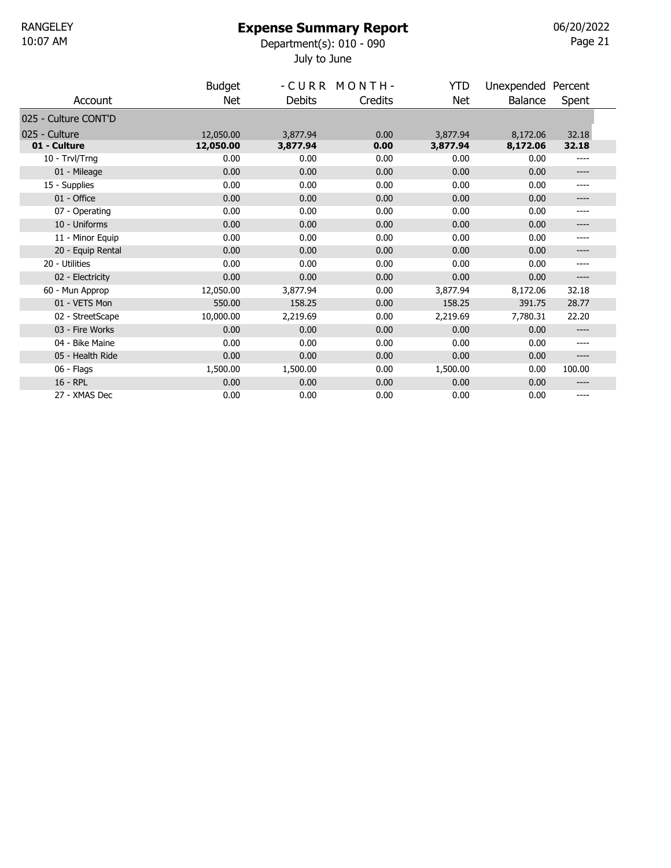### Expense Summary Report

July to June 10:07 AM Department(s): 010 - 090 06/20/2022

| ı<br>v. |  |
|---------|--|
|---------|--|

|                      | <b>Budget</b> |          | -CURR MONTH- | <b>YTD</b> | Unexpended Percent |         |
|----------------------|---------------|----------|--------------|------------|--------------------|---------|
| Account              | <b>Net</b>    | Debits   | Credits      | Net        | Balance            | Spent   |
| 025 - Culture CONT'D |               |          |              |            |                    |         |
| 025 - Culture        | 12,050,00     | 3,877.94 | 0.00         | 3,877.94   | 8,172.06           | 32.18   |
| 01 - Culture         | 12,050.00     | 3,877.94 | 0.00         | 3,877.94   | 8,172.06           | 32.18   |
| 10 - Trvl/Trng       | 0.00          | 0.00     | 0.00         | 0.00       | 0.00               | ----    |
| 01 - Mileage         | 0.00          | 0.00     | 0.00         | 0.00       | 0.00               | $--- -$ |
| 15 - Supplies        | 0.00          | 0.00     | 0.00         | 0.00       | 0.00               | ----    |
| 01 - Office          | 0.00          | 0.00     | 0.00         | 0.00       | 0.00               | ----    |
| 07 - Operating       | 0.00          | 0.00     | 0.00         | 0.00       | 0.00               | ----    |
| 10 - Uniforms        | 0.00          | 0.00     | 0.00         | 0.00       | 0.00               | ----    |
| 11 - Minor Equip     | 0.00          | 0.00     | 0.00         | 0.00       | 0.00               | ----    |
| 20 - Equip Rental    | 0.00          | 0.00     | 0.00         | 0.00       | 0.00               | ----    |
| 20 - Utilities       | 0.00          | 0.00     | 0.00         | 0.00       | 0.00               | $---$   |
| 02 - Electricity     | 0.00          | 0.00     | 0.00         | 0.00       | 0.00               | ----    |
| 60 - Mun Approp      | 12,050.00     | 3,877.94 | 0.00         | 3,877.94   | 8,172.06           | 32.18   |
| 01 - VETS Mon        | 550.00        | 158.25   | 0.00         | 158.25     | 391.75             | 28.77   |
| 02 - StreetScape     | 10,000.00     | 2,219.69 | 0.00         | 2,219.69   | 7,780.31           | 22.20   |
| 03 - Fire Works      | 0.00          | 0.00     | 0.00         | 0.00       | 0.00               | ----    |
| 04 - Bike Maine      | 0.00          | 0.00     | 0.00         | 0.00       | 0.00               | ----    |
| 05 - Health Ride     | 0.00          | 0.00     | 0.00         | 0.00       | 0.00               | ----    |
| 06 - Flags           | 1,500.00      | 1,500.00 | 0.00         | 1,500.00   | 0.00               | 100.00  |
| 16 - RPL             | 0.00          | 0.00     | 0.00         | 0.00       | 0.00               | ----    |
| 27 - XMAS Dec        | 0.00          | 0.00     | 0.00         | 0.00       | 0.00               | ----    |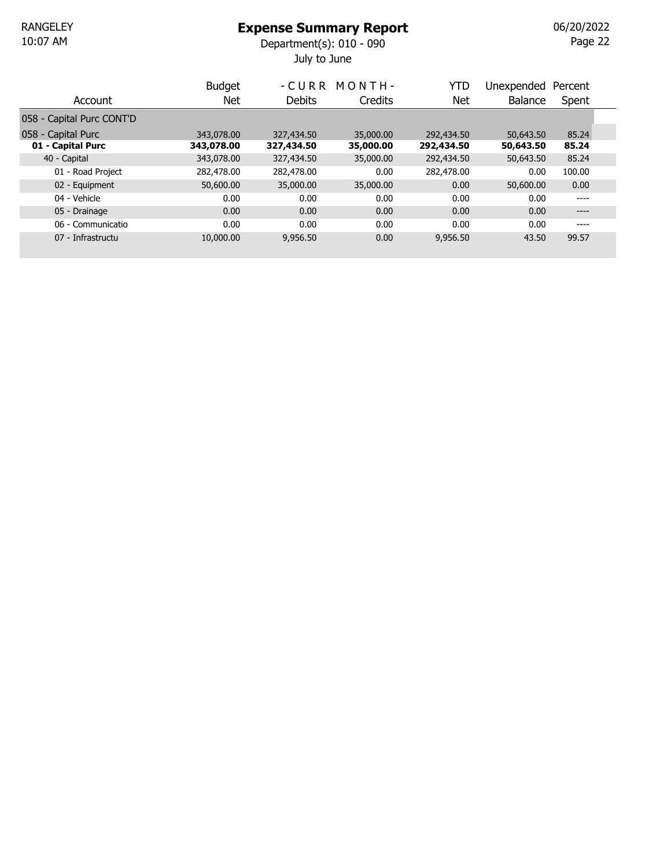July to June 10:07 AM Department(s): 010 - 090

Page 22 06/20/2022

|                           | <b>Budget</b> | - CURR     | MONTH-    | YTD        | Unexpended     | Percent |  |
|---------------------------|---------------|------------|-----------|------------|----------------|---------|--|
| Account                   | Net           | Debits     | Credits   | Net        | <b>Balance</b> | Spent   |  |
| 058 - Capital Purc CONT'D |               |            |           |            |                |         |  |
| 058 - Capital Purc        | 343,078,00    | 327,434.50 | 35,000,00 | 292,434.50 | 50,643.50      | 85.24   |  |
| 01 - Capital Purc         | 343,078.00    | 327,434.50 | 35,000.00 | 292,434.50 | 50,643.50      | 85.24   |  |
| 40 - Capital              | 343,078.00    | 327,434.50 | 35,000.00 | 292,434.50 | 50,643.50      | 85.24   |  |
| 01 - Road Project         | 282,478.00    | 282,478.00 | 0.00      | 282,478.00 | 0.00           | 100.00  |  |
| 02 - Equipment            | 50,600.00     | 35,000,00  | 35,000.00 | 0.00       | 50,600,00      | 0.00    |  |
| 04 - Vehicle              | 0.00          | 0.00       | 0.00      | 0.00       | 0.00           | ----    |  |
| 05 - Drainage             | 0.00          | 0.00       | 0.00      | 0.00       | 0.00           | $--- -$ |  |
| 06 - Communicatio         | 0.00          | 0.00       | 0.00      | 0.00       | 0.00           | ----    |  |
| 07 - Infrastructu         | 10,000,00     | 9,956.50   | 0.00      | 9,956.50   | 43.50          | 99.57   |  |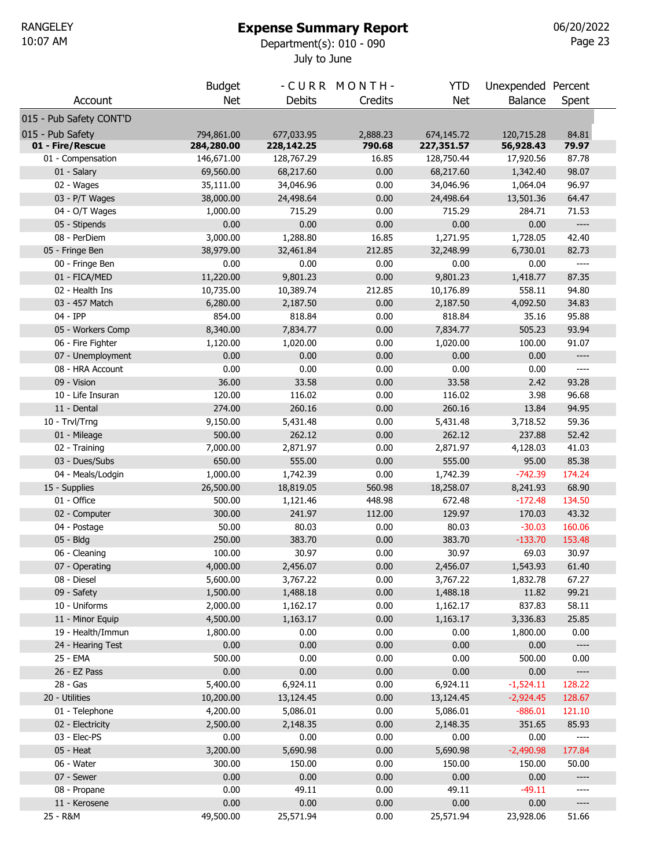# Expense Summary Report

July to June 10:07 AM Department(s): 010 - 090

Page 23 06/20/2022

|                         | <b>Budget</b> |                  | -CURR MONTH- | <b>YTD</b> | Unexpended Percent |                          |
|-------------------------|---------------|------------------|--------------|------------|--------------------|--------------------------|
| Account                 | <b>Net</b>    | <b>Debits</b>    | Credits      | <b>Net</b> | <b>Balance</b>     | Spent                    |
| 015 - Pub Safety CONT'D |               |                  |              |            |                    |                          |
| 015 - Pub Safety        | 794,861.00    | 677,033.95       | 2,888.23     | 674,145.72 | 120,715.28         | 84.81                    |
| 01 - Fire/Rescue        | 284,280.00    | 228,142.25       | 790.68       | 227,351.57 | 56,928.43          | 79.97                    |
| 01 - Compensation       | 146,671.00    | 128,767.29       | 16.85        | 128,750.44 | 17,920.56          | 87.78                    |
| 01 - Salary             | 69,560.00     | 68,217.60        | 0.00         | 68,217.60  | 1,342.40           | 98.07                    |
| 02 - Wages              | 35,111.00     | 34,046.96        | 0.00         | 34,046.96  | 1,064.04           | 96.97                    |
| 03 - P/T Wages          | 38,000.00     | 24,498.64        | 0.00         | 24,498.64  | 13,501.36          | 64.47                    |
| 04 - O/T Wages          | 1,000.00      | 715.29           | 0.00         | 715.29     | 284.71             | 71.53                    |
| 05 - Stipends           | 0.00          | 0.00             | 0.00         | 0.00       | 0.00               | $---$                    |
| 08 - PerDiem            | 3,000.00      | 1,288.80         | 16.85        | 1,271.95   | 1,728.05           | 42.40                    |
| 05 - Fringe Ben         | 38,979.00     | 32,461.84        | 212.85       | 32,248.99  | 6,730.01           | 82.73                    |
| 00 - Fringe Ben         | 0.00          | 0.00             | 0.00         | 0.00       | 0.00               | $---$                    |
| 01 - FICA/MED           | 11,220.00     | 9,801.23         | 0.00         | 9,801.23   | 1,418.77           | 87.35                    |
| 02 - Health Ins         | 10,735.00     | 10,389.74        | 212.85       | 10,176.89  | 558.11             | 94.80                    |
| 03 - 457 Match          | 6,280.00      | 2,187.50         | 0.00         | 2,187.50   | 4,092.50           | 34.83                    |
| 04 - IPP                | 854.00        | 818.84           | 0.00         | 818.84     | 35.16              | 95.88                    |
| 05 - Workers Comp       | 8,340.00      | 7,834.77         | 0.00         | 7,834.77   | 505.23             | 93.94                    |
|                         |               |                  | 0.00         |            | 100.00             | 91.07                    |
| 06 - Fire Fighter       | 1,120.00      | 1,020.00<br>0.00 | 0.00         | 1,020.00   | 0.00               | ----                     |
| 07 - Unemployment       | 0.00          |                  |              | 0.00       |                    |                          |
| 08 - HRA Account        | 0.00          | 0.00             | 0.00         | 0.00       | 0.00               | $\qquad \qquad - - -$    |
| 09 - Vision             | 36.00         | 33.58            | 0.00         | 33.58      | 2.42               | 93.28                    |
| 10 - Life Insuran       | 120.00        | 116.02           | 0.00         | 116.02     | 3.98               | 96.68                    |
| 11 - Dental             | 274.00        | 260.16           | 0.00         | 260.16     | 13.84              | 94.95                    |
| 10 - Trvl/Trng          | 9,150.00      | 5,431.48         | 0.00         | 5,431.48   | 3,718.52           | 59.36                    |
| 01 - Mileage            | 500.00        | 262.12           | 0.00         | 262.12     | 237.88             | 52.42                    |
| 02 - Training           | 7,000.00      | 2,871.97         | 0.00         | 2,871.97   | 4,128.03           | 41.03                    |
| 03 - Dues/Subs          | 650.00        | 555.00           | 0.00         | 555.00     | 95.00              | 85.38                    |
| 04 - Meals/Lodgin       | 1,000.00      | 1,742.39         | 0.00         | 1,742.39   | $-742.39$          | 174.24                   |
| 15 - Supplies           | 26,500.00     | 18,819.05        | 560.98       | 18,258.07  | 8,241.93           | 68.90                    |
| 01 - Office             | 500.00        | 1,121.46         | 448.98       | 672.48     | $-172.48$          | 134.50                   |
| 02 - Computer           | 300.00        | 241.97           | 112.00       | 129.97     | 170.03             | 43.32                    |
| 04 - Postage            | 50.00         | 80.03            | 0.00         | 80.03      | $-30.03$           | 160.06                   |
| 05 - Bldg               | 250.00        | 383.70           | 0.00         | 383.70     | $-133.70$          | 153.48                   |
| 06 - Cleaning           | 100.00        | 30.97            | 0.00         | 30.97      | 69.03              | 30.97                    |
| 07 - Operating          | 4,000.00      | 2,456.07         | 0.00         | 2,456.07   | 1,543.93           | 61.40                    |
| 08 - Diesel             | 5,600.00      | 3,767.22         | 0.00         | 3,767.22   | 1,832.78           | 67.27                    |
| 09 - Safety             | 1,500.00      | 1,488.18         | 0.00         | 1,488.18   | 11.82              | 99.21                    |
| 10 - Uniforms           | 2,000.00      | 1,162.17         | 0.00         | 1,162.17   | 837.83             | 58.11                    |
| 11 - Minor Equip        | 4,500.00      | 1,163.17         | 0.00         | 1,163.17   | 3,336.83           | 25.85                    |
| 19 - Health/Immun       | 1,800.00      | 0.00             | 0.00         | 0.00       | 1,800.00           | 0.00                     |
| 24 - Hearing Test       | 0.00          | 0.00             | 0.00         | 0.00       | 0.00               | $\overline{\phantom{a}}$ |
| 25 - EMA                | 500.00        | 0.00             | 0.00         | 0.00       | 500.00             | 0.00                     |
| 26 - EZ Pass            | 0.00          | 0.00             | 0.00         | 0.00       | 0.00               | $\overline{\phantom{a}}$ |
| 28 - Gas                | 5,400.00      | 6,924.11         | 0.00         | 6,924.11   | $-1,524.11$        | 128.22                   |
| 20 - Utilities          | 10,200.00     | 13,124.45        | 0.00         | 13,124.45  | $-2,924.45$        | 128.67                   |
| 01 - Telephone          | 4,200.00      | 5,086.01         | 0.00         | 5,086.01   | $-886.01$          | 121.10                   |
| 02 - Electricity        | 2,500.00      | 2,148.35         | 0.00         | 2,148.35   | 351.65             | 85.93                    |
| 03 - Elec-PS            | 0.00          | 0.00             | 0.00         | 0.00       | 0.00               | $\overline{\phantom{a}}$ |
| 05 - Heat               | 3,200.00      | 5,690.98         | 0.00         | 5,690.98   | $-2,490.98$        | 177.84                   |
| 06 - Water              | 300.00        | 150.00           | 0.00         | 150.00     | 150.00             | 50.00                    |
| 07 - Sewer              | 0.00          | 0.00             | 0.00         | 0.00       | 0.00               | $\overline{\phantom{a}}$ |
| 08 - Propane            | 0.00          | 49.11            | 0.00         | 49.11      | $-49.11$           | $\qquad \qquad - - -$    |
| 11 - Kerosene           | 0.00          | 0.00             | 0.00         | 0.00       | 0.00               | $---$                    |
| 25 - R&M                | 49,500.00     | 25,571.94        | 0.00         | 25,571.94  | 23,928.06          | 51.66                    |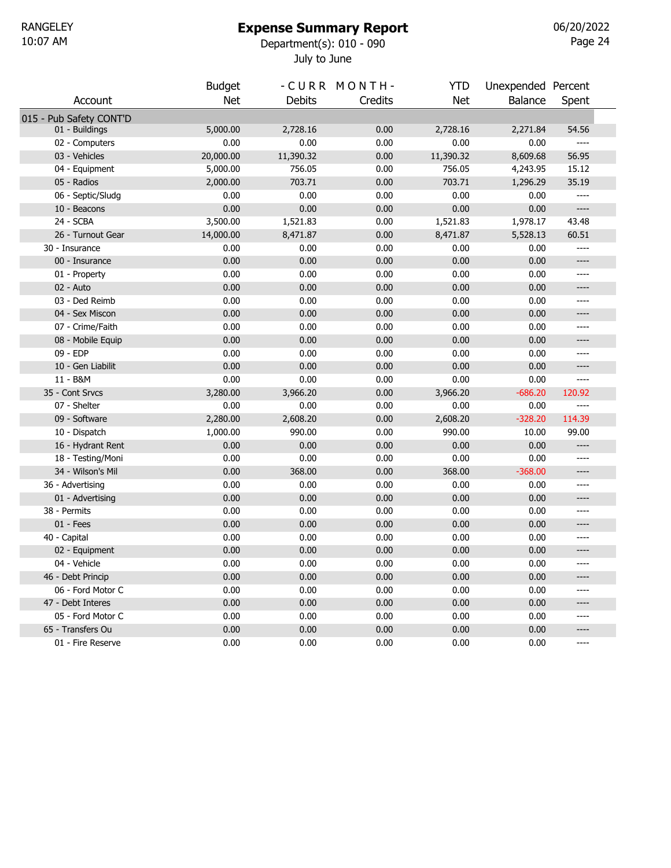### Expense Summary Report

July to June 10:07 AM Department(s): 010 - 090

Page 24 06/20/2022

|                         | <b>Budget</b> |               | -CURR MONTH- | <b>YTD</b> | Unexpended Percent |                                                                                                                                                                                                   |  |
|-------------------------|---------------|---------------|--------------|------------|--------------------|---------------------------------------------------------------------------------------------------------------------------------------------------------------------------------------------------|--|
| Account                 | <b>Net</b>    | <b>Debits</b> | Credits      | <b>Net</b> | Balance            | Spent                                                                                                                                                                                             |  |
| 015 - Pub Safety CONT'D |               |               |              |            |                    |                                                                                                                                                                                                   |  |
| 01 - Buildings          | 5,000.00      | 2,728.16      | 0.00         | 2,728.16   | 2,271.84           | 54.56                                                                                                                                                                                             |  |
| 02 - Computers          | 0.00          | 0.00          | 0.00         | 0.00       | 0.00               | $---$                                                                                                                                                                                             |  |
| 03 - Vehicles           | 20,000.00     | 11,390.32     | 0.00         | 11,390.32  | 8,609.68           | 56.95                                                                                                                                                                                             |  |
| 04 - Equipment          | 5,000.00      | 756.05        | 0.00         | 756.05     | 4,243.95           | 15.12                                                                                                                                                                                             |  |
| 05 - Radios             | 2,000.00      | 703.71        | 0.00         | 703.71     | 1,296.29           | 35.19                                                                                                                                                                                             |  |
| 06 - Septic/Sludg       | 0.00          | 0.00          | 0.00         | 0.00       | 0.00               | $\hspace{0.02in} \hspace{0.02in} \hspace{0.02in} \hspace{0.02in} \hspace{0.02in} \hspace{0.02in} \hspace{0.02in} \hspace{0.02in} \hspace{0.02in} \hspace{0.02in} \hspace{0.02in}$                 |  |
| 10 - Beacons            | 0.00          | 0.00          | 0.00         | 0.00       | 0.00               | $\hspace{0.02in} \hspace{0.02in} \hspace{0.02in} \hspace{0.02in} \hspace{0.02in} \hspace{0.02in} \hspace{0.02in} \hspace{0.02in} \hspace{0.02in} \hspace{0.02in} \hspace{0.02in} \hspace{0.02in}$ |  |
| 24 - SCBA               | 3,500.00      | 1,521.83      | 0.00         | 1,521.83   | 1,978.17           | 43.48                                                                                                                                                                                             |  |
| 26 - Turnout Gear       | 14,000.00     | 8,471.87      | 0.00         | 8,471.87   | 5,528.13           | 60.51                                                                                                                                                                                             |  |
| 30 - Insurance          | 0.00          | 0.00          | 0.00         | 0.00       | 0.00               | ----                                                                                                                                                                                              |  |
| 00 - Insurance          | 0.00          | 0.00          | 0.00         | 0.00       | 0.00               | ----                                                                                                                                                                                              |  |
| 01 - Property           | 0.00          | 0.00          | 0.00         | 0.00       | 0.00               | ----                                                                                                                                                                                              |  |
| 02 - Auto               | 0.00          | 0.00          | 0.00         | 0.00       | 0.00               | ----                                                                                                                                                                                              |  |
| 03 - Ded Reimb          | 0.00          | 0.00          | 0.00         | 0.00       | 0.00               | $---$                                                                                                                                                                                             |  |
| 04 - Sex Miscon         | 0.00          | 0.00          | 0.00         | 0.00       | 0.00               | ----                                                                                                                                                                                              |  |
| 07 - Crime/Faith        | 0.00          | 0.00          | 0.00         | 0.00       | 0.00               | ----                                                                                                                                                                                              |  |
| 08 - Mobile Equip       | 0.00          | 0.00          | 0.00         | 0.00       | 0.00               | ----                                                                                                                                                                                              |  |
| 09 - EDP                | 0.00          | 0.00          | 0.00         | 0.00       | 0.00               | ----                                                                                                                                                                                              |  |
| 10 - Gen Liabilit       | 0.00          | 0.00          | 0.00         | 0.00       | 0.00               | ----                                                                                                                                                                                              |  |
| 11 - B&M                | 0.00          | 0.00          | 0.00         | 0.00       | 0.00               | ----                                                                                                                                                                                              |  |
| 35 - Cont Srvcs         | 3,280.00      | 3,966.20      | 0.00         | 3,966.20   | $-686.20$          | 120.92                                                                                                                                                                                            |  |
| 07 - Shelter            | 0.00          | 0.00          | 0.00         | 0.00       | 0.00               | $\qquad \qquad - - -$                                                                                                                                                                             |  |
| 09 - Software           | 2,280.00      | 2,608.20      | 0.00         | 2,608.20   | $-328.20$          | 114.39                                                                                                                                                                                            |  |
| 10 - Dispatch           | 1,000.00      | 990.00        | 0.00         | 990.00     | 10.00              | 99.00                                                                                                                                                                                             |  |
| 16 - Hydrant Rent       | 0.00          | 0.00          | 0.00         | 0.00       | 0.00               | $---$                                                                                                                                                                                             |  |
| 18 - Testing/Moni       | 0.00          | 0.00          | 0.00         | 0.00       | 0.00               | ----                                                                                                                                                                                              |  |
| 34 - Wilson's Mil       | 0.00          | 368.00        | 0.00         | 368.00     | $-368.00$          | ----                                                                                                                                                                                              |  |
| 36 - Advertising        | 0.00          | 0.00          | 0.00         | 0.00       | 0.00               | ----                                                                                                                                                                                              |  |
| 01 - Advertising        | 0.00          | 0.00          | 0.00         | 0.00       | 0.00               | ----                                                                                                                                                                                              |  |
| 38 - Permits            | 0.00          | 0.00          | 0.00         | 0.00       | 0.00               | ----                                                                                                                                                                                              |  |
| $01 - Fees$             | 0.00          | 0.00          | 0.00         | 0.00       | 0.00               | ----                                                                                                                                                                                              |  |
| 40 - Capital            | 0.00          | 0.00          | 0.00         | 0.00       | 0.00               | ----                                                                                                                                                                                              |  |
| 02 - Equipment          | 0.00          | 0.00          | 0.00         | 0.00       | 0.00               | ----                                                                                                                                                                                              |  |
| 04 - Vehicle            | 0.00          | 0.00          | 0.00         | 0.00       | 0.00               | ----                                                                                                                                                                                              |  |
| 46 - Debt Princip       | 0.00          | 0.00          | 0.00         | 0.00       | 0.00               | ----                                                                                                                                                                                              |  |
| 06 - Ford Motor C       | 0.00          | 0.00          | 0.00         | 0.00       | 0.00               | $---$                                                                                                                                                                                             |  |
| 47 - Debt Interes       | 0.00          | 0.00          | 0.00         | 0.00       | 0.00               | $---$                                                                                                                                                                                             |  |
| 05 - Ford Motor C       | 0.00          | 0.00          | 0.00         | 0.00       | 0.00               | ----                                                                                                                                                                                              |  |
| 65 - Transfers Ou       | 0.00          | 0.00          | 0.00         | 0.00       | 0.00               | ----                                                                                                                                                                                              |  |
| 01 - Fire Reserve       | 0.00          | 0.00          | 0.00         | 0.00       | 0.00               | ----                                                                                                                                                                                              |  |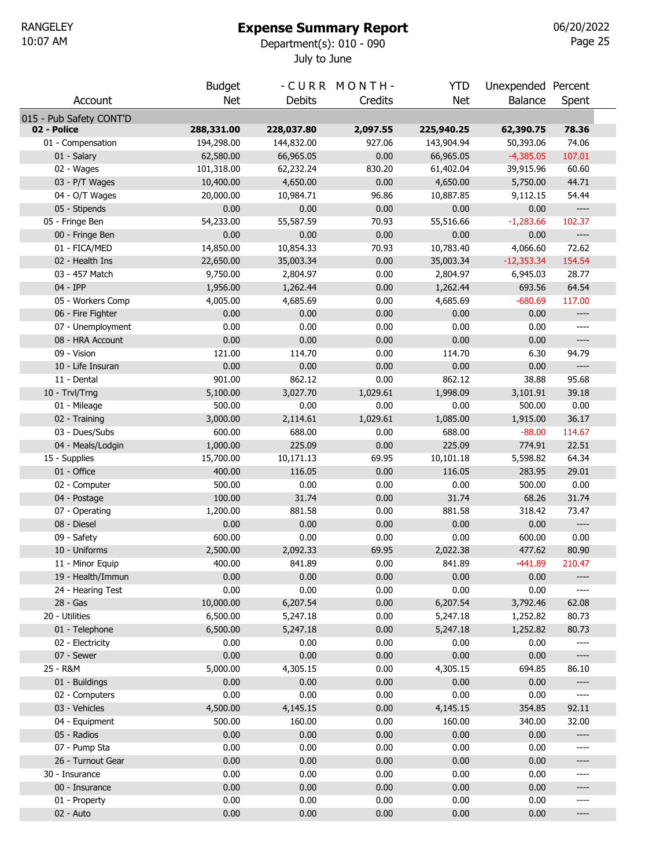#### Expense Summary Report

July to June 10:07 AM Department(s): 010 - 090

Page 25 06/20/2022

|                         | <b>Budget</b> |               | -CURR MONTH- | YTD        | Unexpended Percent |                                                                                                                                                                                                                                                                                                                                                                   |
|-------------------------|---------------|---------------|--------------|------------|--------------------|-------------------------------------------------------------------------------------------------------------------------------------------------------------------------------------------------------------------------------------------------------------------------------------------------------------------------------------------------------------------|
| Account                 | <b>Net</b>    | <b>Debits</b> | Credits      | <b>Net</b> | <b>Balance</b>     | Spent                                                                                                                                                                                                                                                                                                                                                             |
| 015 - Pub Safety CONT'D |               |               |              |            |                    |                                                                                                                                                                                                                                                                                                                                                                   |
| 02 - Police             | 288,331.00    | 228,037.80    | 2,097.55     | 225,940.25 | 62,390.75          | 78.36                                                                                                                                                                                                                                                                                                                                                             |
| 01 - Compensation       | 194,298.00    | 144,832.00    | 927.06       | 143,904.94 | 50,393.06          | 74.06                                                                                                                                                                                                                                                                                                                                                             |
| 01 - Salary             | 62,580.00     | 66,965.05     | 0.00         | 66,965.05  | $-4,385.05$        | 107.01                                                                                                                                                                                                                                                                                                                                                            |
| 02 - Wages              | 101,318.00    | 62,232.24     | 830.20       | 61,402.04  | 39,915.96          | 60.60                                                                                                                                                                                                                                                                                                                                                             |
| 03 - P/T Wages          | 10,400.00     | 4,650.00      | 0.00         | 4,650.00   | 5,750.00           | 44.71                                                                                                                                                                                                                                                                                                                                                             |
| 04 - O/T Wages          | 20,000.00     | 10,984.71     | 96.86        | 10,887.85  | 9,112.15           | 54.44                                                                                                                                                                                                                                                                                                                                                             |
| 05 - Stipends           | 0.00          | 0.00          | 0.00         | 0.00       | 0.00               | $---$                                                                                                                                                                                                                                                                                                                                                             |
| 05 - Fringe Ben         | 54,233.00     | 55,587.59     | 70.93        | 55,516.66  | $-1,283.66$        | 102.37                                                                                                                                                                                                                                                                                                                                                            |
| 00 - Fringe Ben         | 0.00          | 0.00          | 0.00         | 0.00       | 0.00               | $\hspace{1.5cm} \textbf{---}$                                                                                                                                                                                                                                                                                                                                     |
| 01 - FICA/MED           | 14,850.00     | 10,854.33     | 70.93        | 10,783.40  | 4,066.60           | 72.62                                                                                                                                                                                                                                                                                                                                                             |
| 02 - Health Ins         | 22,650.00     | 35,003.34     | 0.00         | 35,003.34  | $-12,353.34$       | 154.54                                                                                                                                                                                                                                                                                                                                                            |
| 03 - 457 Match          | 9,750.00      | 2,804.97      | 0.00         | 2,804.97   | 6,945.03           | 28.77                                                                                                                                                                                                                                                                                                                                                             |
| 04 - IPP                | 1,956.00      | 1,262.44      | 0.00         | 1,262.44   | 693.56             | 64.54                                                                                                                                                                                                                                                                                                                                                             |
| 05 - Workers Comp       | 4,005.00      | 4,685.69      | 0.00         | 4,685.69   | $-680.69$          | 117.00                                                                                                                                                                                                                                                                                                                                                            |
| 06 - Fire Fighter       | 0.00          | 0.00          | 0.00         | 0.00       | 0.00               | $\hspace{0.02in} \hspace{0.02in} \hspace{0.02in} \hspace{0.02in} \hspace{0.02in} \hspace{0.02in} \hspace{0.02in} \hspace{0.02in} \hspace{0.02in} \hspace{0.02in} \hspace{0.02in} \hspace{0.02in} \hspace{0.02in} \hspace{0.02in} \hspace{0.02in} \hspace{0.02in} \hspace{0.02in} \hspace{0.02in} \hspace{0.02in} \hspace{0.02in} \hspace{0.02in} \hspace{0.02in}$ |
| 07 - Unemployment       | 0.00          | 0.00          | 0.00         | 0.00       | 0.00               | ----                                                                                                                                                                                                                                                                                                                                                              |
| 08 - HRA Account        | 0.00          | 0.00          | 0.00         | 0.00       | 0.00               | $\hspace{1.5cm} \textbf{---}$                                                                                                                                                                                                                                                                                                                                     |
| 09 - Vision             | 121.00        | 114.70        | 0.00         | 114.70     | 6.30               | 94.79                                                                                                                                                                                                                                                                                                                                                             |
| 10 - Life Insuran       | 0.00          | 0.00          | 0.00         | 0.00       | 0.00               | $---$                                                                                                                                                                                                                                                                                                                                                             |
| 11 - Dental             | 901.00        | 862.12        | 0.00         | 862.12     | 38.88              | 95.68                                                                                                                                                                                                                                                                                                                                                             |
| 10 - Trvl/Trng          | 5,100.00      | 3,027.70      | 1,029.61     | 1,998.09   | 3,101.91           | 39.18                                                                                                                                                                                                                                                                                                                                                             |
| 01 - Mileage            | 500.00        | 0.00          | 0.00         | 0.00       | 500.00             | 0.00                                                                                                                                                                                                                                                                                                                                                              |
| 02 - Training           | 3,000.00      | 2,114.61      | 1,029.61     | 1,085.00   | 1,915.00           | 36.17                                                                                                                                                                                                                                                                                                                                                             |
| 03 - Dues/Subs          | 600.00        | 688.00        | 0.00         | 688.00     | $-88.00$           | 114.67                                                                                                                                                                                                                                                                                                                                                            |
| 04 - Meals/Lodgin       | 1,000.00      | 225.09        | 0.00         | 225.09     | 774.91             | 22.51                                                                                                                                                                                                                                                                                                                                                             |
| 15 - Supplies           | 15,700.00     | 10,171.13     | 69.95        | 10,101.18  | 5,598.82           | 64.34                                                                                                                                                                                                                                                                                                                                                             |
| 01 - Office             | 400.00        | 116.05        | 0.00         | 116.05     | 283.95             | 29.01                                                                                                                                                                                                                                                                                                                                                             |
| 02 - Computer           | 500.00        | 0.00          | 0.00         | 0.00       | 500.00             | 0.00                                                                                                                                                                                                                                                                                                                                                              |
| 04 - Postage            | 100.00        | 31.74         | 0.00         | 31.74      | 68.26              | 31.74                                                                                                                                                                                                                                                                                                                                                             |
| 07 - Operating          | 1,200.00      | 881.58        | 0.00         | 881.58     | 318.42             | 73.47                                                                                                                                                                                                                                                                                                                                                             |
| 08 - Diesel             | 0.00          | 0.00          | 0.00         | 0.00       | 0.00               | $\hspace{0.05cm} \ldots \hspace{0.05cm}$                                                                                                                                                                                                                                                                                                                          |
| 09 - Safety             | 600.00        | 0.00          | 0.00         | 0.00       | 600.00             | 0.00                                                                                                                                                                                                                                                                                                                                                              |
| 10 - Uniforms           | 2,500.00      | 2,092.33      | 69.95        | 2,022.38   | 477.62             | 80.90                                                                                                                                                                                                                                                                                                                                                             |
| 11 - Minor Equip        | 400.00        | 841.89        | 0.00         | 841.89     | $-441.89$          | 210.47                                                                                                                                                                                                                                                                                                                                                            |
| 19 - Health/Immun       | 0.00          | 0.00          | 0.00         | 0.00       | 0.00               | ----                                                                                                                                                                                                                                                                                                                                                              |
| 24 - Hearing Test       | 0.00          | 0.00          | 0.00         | 0.00       | 0.00               | ----                                                                                                                                                                                                                                                                                                                                                              |
| $28 - Gas$              | 10,000.00     | 6,207.54      | 0.00         | 6,207.54   | 3,792.46           | 62.08                                                                                                                                                                                                                                                                                                                                                             |
| 20 - Utilities          | 6,500.00      | 5,247.18      | 0.00         | 5,247.18   | 1,252.82           | 80.73                                                                                                                                                                                                                                                                                                                                                             |
| 01 - Telephone          | 6,500.00      | 5,247.18      | 0.00         | 5,247.18   | 1,252.82           | 80.73                                                                                                                                                                                                                                                                                                                                                             |
| 02 - Electricity        | 0.00          | 0.00          | 0.00         | 0.00       | 0.00               | ----                                                                                                                                                                                                                                                                                                                                                              |
| 07 - Sewer              | 0.00          | 0.00          | 0.00         | 0.00       | 0.00               | $---$                                                                                                                                                                                                                                                                                                                                                             |
| 25 - R&M                | 5,000.00      | 4,305.15      | 0.00         | 4,305.15   | 694.85             | 86.10                                                                                                                                                                                                                                                                                                                                                             |
| 01 - Buildings          | 0.00          | 0.00          | 0.00         | 0.00       | 0.00               | $\hspace{0.05cm} \textbf{---}$                                                                                                                                                                                                                                                                                                                                    |
| 02 - Computers          | 0.00          | 0.00          | 0.00         | 0.00       | 0.00               | $\hspace{1.5cm} \textbf{---}$                                                                                                                                                                                                                                                                                                                                     |
| 03 - Vehicles           | 4,500.00      |               |              |            |                    |                                                                                                                                                                                                                                                                                                                                                                   |
|                         |               | 4,145.15      | 0.00         | 4,145.15   | 354.85             | 92.11                                                                                                                                                                                                                                                                                                                                                             |
| 04 - Equipment          | 500.00        | 160.00        | 0.00         | 160.00     | 340.00             | 32.00                                                                                                                                                                                                                                                                                                                                                             |
| 05 - Radios             | 0.00          | 0.00          | 0.00         | 0.00       | 0.00               | $\hspace{0.02in} \hspace{0.02in} \hspace{0.02in} \hspace{0.02in} \hspace{0.02in} \hspace{0.02in} \hspace{0.02in} \hspace{0.02in} \hspace{0.02in} \hspace{0.02in} \hspace{0.02in} \hspace{0.02in} \hspace{0.02in} \hspace{0.02in} \hspace{0.02in} \hspace{0.02in} \hspace{0.02in} \hspace{0.02in} \hspace{0.02in} \hspace{0.02in} \hspace{0.02in} \hspace{0.02in}$ |
| 07 - Pump Sta           | 0.00          | 0.00          | 0.00         | 0.00       | 0.00               | ----                                                                                                                                                                                                                                                                                                                                                              |
| 26 - Turnout Gear       | 0.00          | 0.00          | 0.00         | 0.00       | 0.00               | ----                                                                                                                                                                                                                                                                                                                                                              |
| 30 - Insurance          | 0.00          | 0.00          | 0.00         | 0.00       | 0.00               | ----                                                                                                                                                                                                                                                                                                                                                              |
| 00 - Insurance          | 0.00          | 0.00          | 0.00         | 0.00       | 0.00               | ----                                                                                                                                                                                                                                                                                                                                                              |
| 01 - Property           | 0.00          | 0.00          | 0.00         | 0.00       | 0.00               | ----                                                                                                                                                                                                                                                                                                                                                              |
| 02 - Auto               | 0.00          | 0.00          | 0.00         | 0.00       | 0.00               | ----                                                                                                                                                                                                                                                                                                                                                              |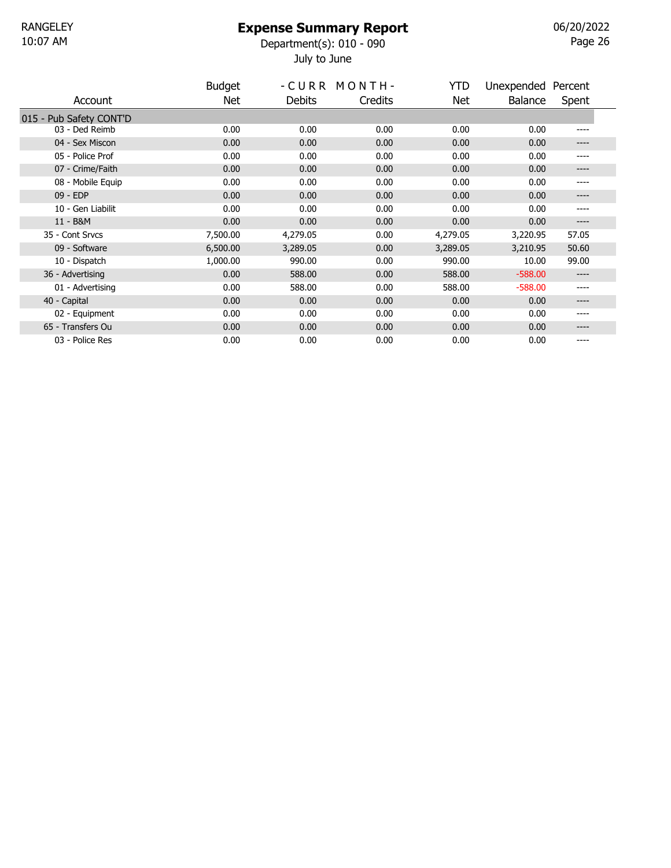### Expense Summary Report

July to June 10:07 AM Department(s): 010 - 090

Page 26 06/20/2022

|                         | <b>Budget</b> |          | -CURR MONTH- | YTD      | Unexpended Percent |       |
|-------------------------|---------------|----------|--------------|----------|--------------------|-------|
| Account                 | Net.          | Debits   | Credits      | Net      | Balance            | Spent |
| 015 - Pub Safety CONT'D |               |          |              |          |                    |       |
| 03 - Ded Reimb          | 0.00          | 0.00     | 0.00         | 0.00     | 0.00               | ----  |
| 04 - Sex Miscon         | 0.00          | 0.00     | 0.00         | 0.00     | 0.00               | ----  |
| 05 - Police Prof        | 0.00          | 0.00     | 0.00         | 0.00     | 0.00               | ----  |
| 07 - Crime/Faith        | 0.00          | 0.00     | 0.00         | 0.00     | 0.00               | ----  |
| 08 - Mobile Equip       | 0.00          | 0.00     | 0.00         | 0.00     | 0.00               | ----  |
| 09 - EDP                | 0.00          | 0.00     | 0.00         | 0.00     | 0.00               | ----  |
| 10 - Gen Liabilit       | 0.00          | 0.00     | 0.00         | 0.00     | 0.00               | ----  |
| 11 - B&M                | 0.00          | 0.00     | 0.00         | 0.00     | 0.00               | ----  |
| 35 - Cont Srvcs         | 7,500.00      | 4,279.05 | 0.00         | 4,279.05 | 3,220.95           | 57.05 |
| 09 - Software           | 6,500.00      | 3,289.05 | 0.00         | 3,289.05 | 3,210.95           | 50.60 |
| 10 - Dispatch           | 1,000.00      | 990.00   | 0.00         | 990.00   | 10.00              | 99.00 |
| 36 - Advertising        | 0.00          | 588.00   | 0.00         | 588.00   | $-588.00$          | ----  |
| 01 - Advertising        | 0.00          | 588.00   | 0.00         | 588.00   | $-588.00$          | ----  |
| 40 - Capital            | 0.00          | 0.00     | 0.00         | 0.00     | 0.00               | ----  |
| 02 - Equipment          | 0.00          | 0.00     | 0.00         | 0.00     | 0.00               | ----  |
| 65 - Transfers Ou       | 0.00          | 0.00     | 0.00         | 0.00     | 0.00               | ----  |
| 03 - Police Res         | 0.00          | 0.00     | 0.00         | 0.00     | 0.00               | ----  |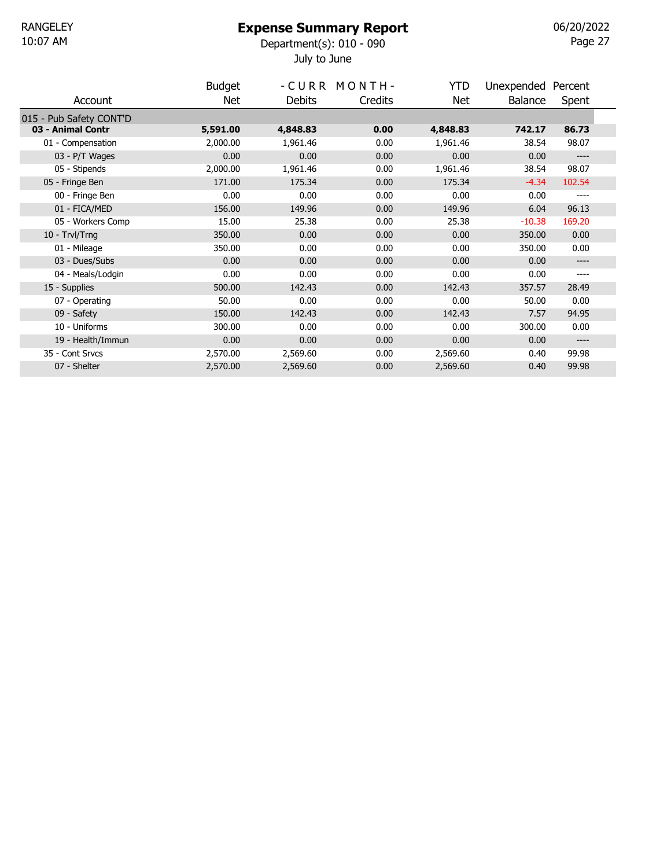#### Expense Summary Report

July to June 10:07 AM Department(s): 010 - 090

Page 27 06/20/2022

|                         | <b>Budget</b> |               | -CURR MONTH- | YTD      | Unexpended Percent |        |
|-------------------------|---------------|---------------|--------------|----------|--------------------|--------|
| Account                 | Net           | <b>Debits</b> | Credits      | Net      | Balance            | Spent  |
| 015 - Pub Safety CONT'D |               |               |              |          |                    |        |
| 03 - Animal Contr       | 5,591.00      | 4,848.83      | 0.00         | 4,848.83 | 742.17             | 86.73  |
| 01 - Compensation       | 2,000.00      | 1,961.46      | 0.00         | 1,961.46 | 38.54              | 98.07  |
| 03 - P/T Wages          | 0.00          | 0.00          | 0.00         | 0.00     | 0.00               | ----   |
| 05 - Stipends           | 2,000.00      | 1,961.46      | 0.00         | 1,961.46 | 38.54              | 98.07  |
| 05 - Fringe Ben         | 171.00        | 175.34        | 0.00         | 175.34   | $-4.34$            | 102.54 |
| 00 - Fringe Ben         | 0.00          | 0.00          | 0.00         | 0.00     | 0.00               | ----   |
| 01 - FICA/MED           | 156.00        | 149.96        | 0.00         | 149.96   | 6.04               | 96.13  |
| 05 - Workers Comp       | 15.00         | 25.38         | 0.00         | 25.38    | $-10.38$           | 169.20 |
| 10 - Trvl/Trng          | 350.00        | 0.00          | 0.00         | 0.00     | 350.00             | 0.00   |
| 01 - Mileage            | 350.00        | 0.00          | 0.00         | 0.00     | 350.00             | 0.00   |
| 03 - Dues/Subs          | 0.00          | 0.00          | 0.00         | 0.00     | 0.00               | ----   |
| 04 - Meals/Lodgin       | 0.00          | 0.00          | 0.00         | 0.00     | 0.00               | ----   |
| 15 - Supplies           | 500.00        | 142.43        | 0.00         | 142.43   | 357.57             | 28.49  |
| 07 - Operating          | 50.00         | 0.00          | 0.00         | 0.00     | 50.00              | 0.00   |
| 09 - Safety             | 150.00        | 142.43        | 0.00         | 142.43   | 7.57               | 94.95  |
| 10 - Uniforms           | 300.00        | 0.00          | 0.00         | 0.00     | 300.00             | 0.00   |
| 19 - Health/Immun       | 0.00          | 0.00          | 0.00         | 0.00     | 0.00               | ----   |
| 35 - Cont Srvcs         | 2,570.00      | 2,569.60      | 0.00         | 2,569.60 | 0.40               | 99.98  |
| 07 - Shelter            | 2,570.00      | 2,569.60      | 0.00         | 2,569.60 | 0.40               | 99.98  |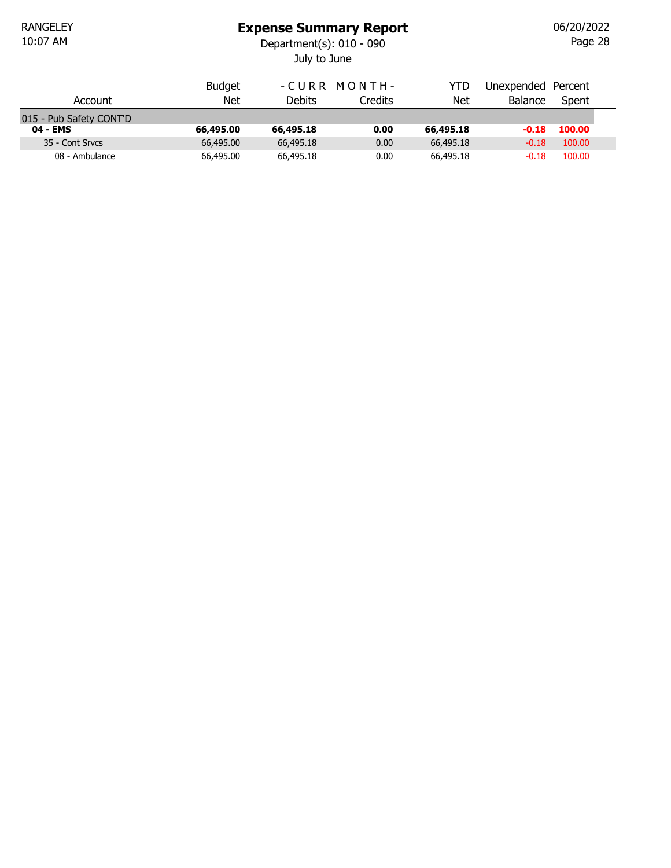## Expense Summary Report

July to June 10:07 AM Department(s): 010 - 090

Page 28 06/20/2022

|                         | <b>Budget</b> |           | -CURR MONTH- | YTD       | Unexpended Percent |        |  |
|-------------------------|---------------|-----------|--------------|-----------|--------------------|--------|--|
| Account                 | Net           | Debits    | Credits      | Net       | <b>Balance</b>     | Spent  |  |
| 015 - Pub Safety CONT'D |               |           |              |           |                    |        |  |
| 04 - EMS                | 66,495.00     | 66,495.18 | 0.00         | 66,495.18 | $-0.18$            | 100.00 |  |
| 35 - Cont Srvcs         | 66,495.00     | 66,495.18 | 0.00         | 66,495.18 | $-0.18$            | 100.00 |  |
| 08 - Ambulance          | 66,495.00     | 66,495.18 | 0.00         | 66,495.18 | $-0.18$            | 100.00 |  |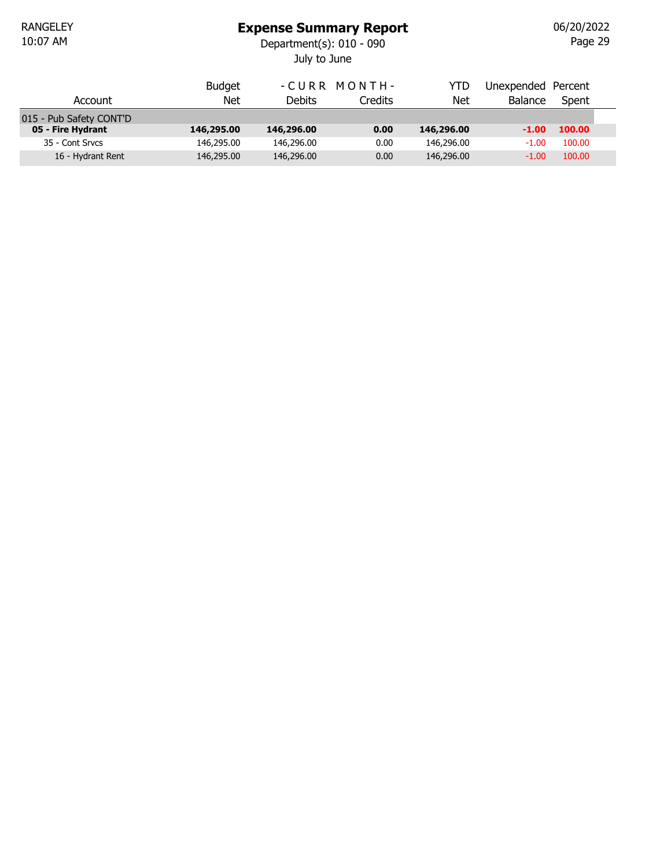# Expense Summary Report

July to June 10:07 AM Department(s): 010 - 090

Page 29 06/20/2022

|                         | <b>Budget</b> |            | -CURR MONTH- | YTD        | Unexpended Percent |        |  |
|-------------------------|---------------|------------|--------------|------------|--------------------|--------|--|
| Account                 | Net           | Debits     | Credits      | Net        | <b>Balance</b>     | Spent  |  |
| 015 - Pub Safety CONT'D |               |            |              |            |                    |        |  |
| 05 - Fire Hydrant       | 146,295.00    | 146,296.00 | 0.00         | 146,296.00 | $-1.00$            | 100.00 |  |
| 35 - Cont Srvcs         | 146,295.00    | 146,296.00 | 0.00         | 146,296.00 | $-1.00$            | 100.00 |  |
| 16 - Hydrant Rent       | 146,295.00    | 146,296.00 | 0.00         | 146,296.00 | $-1.00$            | 100.00 |  |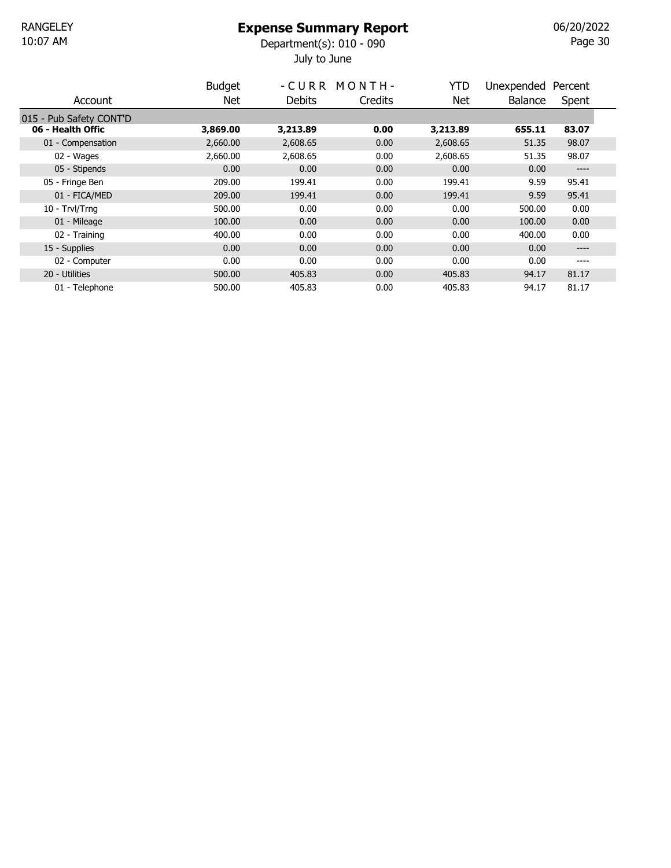### Expense Summary Report

July to June 10:07 AM Department(s): 010 - 090

Page 30 06/20/2022

|                         | <b>Budget</b> |          | -CURR MONTH- | <b>YTD</b> | Unexpended | Percent |  |
|-------------------------|---------------|----------|--------------|------------|------------|---------|--|
| Account                 | <b>Net</b>    | Debits   | Credits      | Net.       | Balance    | Spent   |  |
| 015 - Pub Safety CONT'D |               |          |              |            |            |         |  |
| 06 - Health Offic       | 3,869.00      | 3,213.89 | 0.00         | 3,213.89   | 655.11     | 83.07   |  |
| 01 - Compensation       | 2,660.00      | 2,608.65 | 0.00         | 2,608.65   | 51.35      | 98.07   |  |
| 02 - Wages              | 2,660.00      | 2,608.65 | 0.00         | 2,608.65   | 51.35      | 98.07   |  |
| 05 - Stipends           | 0.00          | 0.00     | 0.00         | 0.00       | 0.00       | $--- -$ |  |
| 05 - Fringe Ben         | 209.00        | 199.41   | 0.00         | 199.41     | 9.59       | 95.41   |  |
| 01 - FICA/MED           | 209.00        | 199.41   | 0.00         | 199.41     | 9.59       | 95.41   |  |
| 10 - Trvl/Trng          | 500.00        | 0.00     | 0.00         | 0.00       | 500.00     | 0.00    |  |
| 01 - Mileage            | 100.00        | 0.00     | 0.00         | 0.00       | 100.00     | 0.00    |  |
| 02 - Training           | 400.00        | 0.00     | 0.00         | 0.00       | 400.00     | 0.00    |  |
| 15 - Supplies           | 0.00          | 0.00     | 0.00         | 0.00       | 0.00       | $--- -$ |  |
| 02 - Computer           | 0.00          | 0.00     | 0.00         | 0.00       | 0.00       | ----    |  |
| 20 - Utilities          | 500.00        | 405.83   | 0.00         | 405.83     | 94.17      | 81.17   |  |
| 01 - Telephone          | 500.00        | 405.83   | 0.00         | 405.83     | 94.17      | 81.17   |  |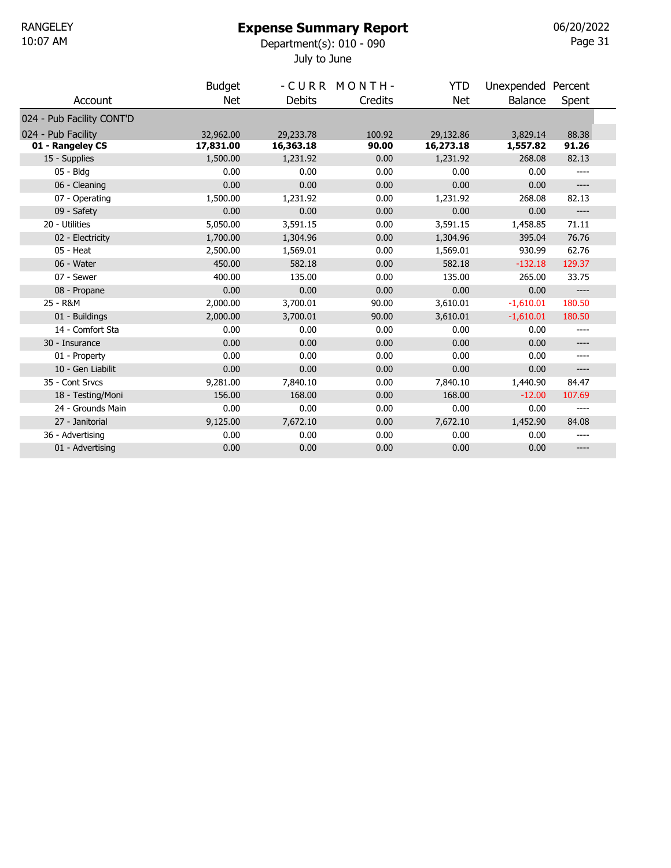### Expense Summary Report

July to June 10:07 AM Department(s): 010 - 090

Page 31 06/20/2022

|                           | <b>Budget</b> |               | -CURR MONTH- | <b>YTD</b> | Unexpended Percent |        |  |
|---------------------------|---------------|---------------|--------------|------------|--------------------|--------|--|
| Account                   | <b>Net</b>    | <b>Debits</b> | Credits      | <b>Net</b> | <b>Balance</b>     | Spent  |  |
| 024 - Pub Facility CONT'D |               |               |              |            |                    |        |  |
| 024 - Pub Facility        | 32,962.00     | 29,233.78     | 100.92       | 29,132.86  | 3,829.14           | 88.38  |  |
| 01 - Rangeley CS          | 17,831.00     | 16,363.18     | 90.00        | 16,273.18  | 1,557.82           | 91.26  |  |
| 15 - Supplies             | 1,500.00      | 1,231.92      | 0.00         | 1,231.92   | 268.08             | 82.13  |  |
| 05 - Bldg                 | 0.00          | 0.00          | 0.00         | 0.00       | 0.00               |        |  |
| 06 - Cleaning             | 0.00          | 0.00          | 0.00         | 0.00       | 0.00               | $---$  |  |
| 07 - Operating            | 1,500.00      | 1,231.92      | 0.00         | 1,231.92   | 268.08             | 82.13  |  |
| 09 - Safety               | 0.00          | 0.00          | 0.00         | 0.00       | 0.00               | $---$  |  |
| 20 - Utilities            | 5,050.00      | 3,591.15      | 0.00         | 3,591.15   | 1,458.85           | 71.11  |  |
| 02 - Electricity          | 1,700.00      | 1,304.96      | 0.00         | 1,304.96   | 395.04             | 76.76  |  |
| $05 - Heat$               | 2,500.00      | 1,569.01      | 0.00         | 1,569.01   | 930.99             | 62.76  |  |
| 06 - Water                | 450.00        | 582.18        | 0.00         | 582.18     | $-132.18$          | 129.37 |  |
| 07 - Sewer                | 400.00        | 135.00        | 0.00         | 135.00     | 265.00             | 33.75  |  |
| 08 - Propane              | 0.00          | 0.00          | 0.00         | 0.00       | 0.00               | $---$  |  |
| 25 - R&M                  | 2,000.00      | 3,700.01      | 90.00        | 3,610.01   | $-1,610.01$        | 180.50 |  |
| 01 - Buildings            | 2,000.00      | 3,700.01      | 90.00        | 3,610.01   | $-1,610.01$        | 180.50 |  |
| 14 - Comfort Sta          | 0.00          | 0.00          | 0.00         | 0.00       | 0.00               | ----   |  |
| 30 - Insurance            | 0.00          | 0.00          | 0.00         | 0.00       | 0.00               | $---$  |  |
| 01 - Property             | 0.00          | 0.00          | 0.00         | 0.00       | 0.00               | ----   |  |
| 10 - Gen Liabilit         | 0.00          | 0.00          | 0.00         | 0.00       | 0.00               | $---$  |  |
| 35 - Cont Srvcs           | 9,281.00      | 7,840.10      | 0.00         | 7,840.10   | 1,440.90           | 84.47  |  |
| 18 - Testing/Moni         | 156.00        | 168.00        | 0.00         | 168.00     | $-12.00$           | 107.69 |  |
| 24 - Grounds Main         | 0.00          | 0.00          | 0.00         | 0.00       | 0.00               | ----   |  |
| 27 - Janitorial           | 9,125.00      | 7,672.10      | 0.00         | 7,672.10   | 1,452.90           | 84.08  |  |
| 36 - Advertising          | 0.00          | 0.00          | 0.00         | 0.00       | 0.00               | ----   |  |
| 01 - Advertising          | 0.00          | 0.00          | 0.00         | 0.00       | 0.00               | ----   |  |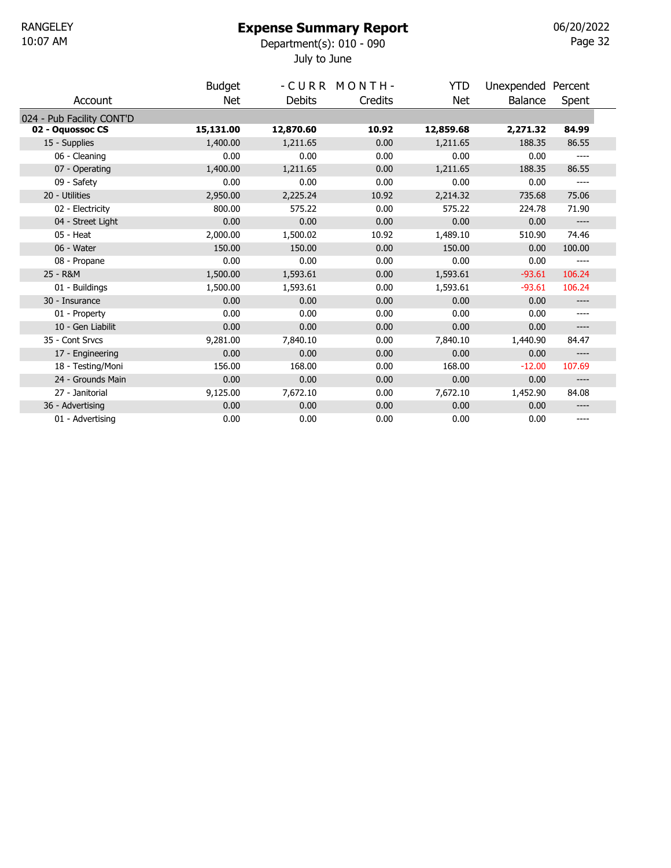#### Expense Summary Report

July to June 10:07 AM Department(s): 010 - 090

Page 32 06/20/2022

|                           | <b>Budget</b> |               | -CURR MONTH- | <b>YTD</b> | Unexpended Percent |        |  |
|---------------------------|---------------|---------------|--------------|------------|--------------------|--------|--|
| Account                   | Net           | <b>Debits</b> | Credits      | Net        | Balance            | Spent  |  |
| 024 - Pub Facility CONT'D |               |               |              |            |                    |        |  |
| 02 - Oquossoc CS          | 15,131.00     | 12,870.60     | 10.92        | 12,859.68  | 2,271.32           | 84.99  |  |
| 15 - Supplies             | 1,400.00      | 1,211.65      | 0.00         | 1,211.65   | 188.35             | 86.55  |  |
| 06 - Cleaning             | 0.00          | 0.00          | 0.00         | 0.00       | 0.00               | ----   |  |
| 07 - Operating            | 1,400.00      | 1,211.65      | 0.00         | 1,211.65   | 188.35             | 86.55  |  |
| 09 - Safety               | 0.00          | 0.00          | 0.00         | 0.00       | 0.00               | ----   |  |
| 20 - Utilities            | 2,950.00      | 2,225.24      | 10.92        | 2,214.32   | 735.68             | 75.06  |  |
| 02 - Electricity          | 800.00        | 575.22        | 0.00         | 575.22     | 224.78             | 71.90  |  |
| 04 - Street Light         | 0.00          | 0.00          | 0.00         | 0.00       | 0.00               | ----   |  |
| $05 - Heat$               | 2,000.00      | 1,500.02      | 10.92        | 1,489.10   | 510.90             | 74.46  |  |
| 06 - Water                | 150.00        | 150.00        | 0.00         | 150.00     | 0.00               | 100.00 |  |
| 08 - Propane              | 0.00          | 0.00          | 0.00         | 0.00       | 0.00               |        |  |
| 25 - R&M                  | 1,500.00      | 1,593.61      | 0.00         | 1,593.61   | $-93.61$           | 106.24 |  |
| 01 - Buildings            | 1,500.00      | 1,593.61      | 0.00         | 1,593.61   | $-93.61$           | 106.24 |  |
| 30 - Insurance            | 0.00          | 0.00          | 0.00         | 0.00       | 0.00               | ----   |  |
| 01 - Property             | 0.00          | 0.00          | 0.00         | 0.00       | 0.00               | ----   |  |
| 10 - Gen Liabilit         | 0.00          | 0.00          | 0.00         | 0.00       | 0.00               | ----   |  |
| 35 - Cont Srvcs           | 9,281.00      | 7,840.10      | 0.00         | 7,840.10   | 1,440.90           | 84.47  |  |
| 17 - Engineering          | 0.00          | 0.00          | 0.00         | 0.00       | 0.00               | ----   |  |
| 18 - Testing/Moni         | 156.00        | 168.00        | 0.00         | 168.00     | $-12.00$           | 107.69 |  |
| 24 - Grounds Main         | 0.00          | 0.00          | 0.00         | 0.00       | 0.00               | ----   |  |
| 27 - Janitorial           | 9,125.00      | 7,672.10      | 0.00         | 7,672.10   | 1,452.90           | 84.08  |  |
| 36 - Advertising          | 0.00          | 0.00          | 0.00         | 0.00       | 0.00               | ----   |  |
| 01 - Advertising          | 0.00          | 0.00          | 0.00         | 0.00       | 0.00               | ----   |  |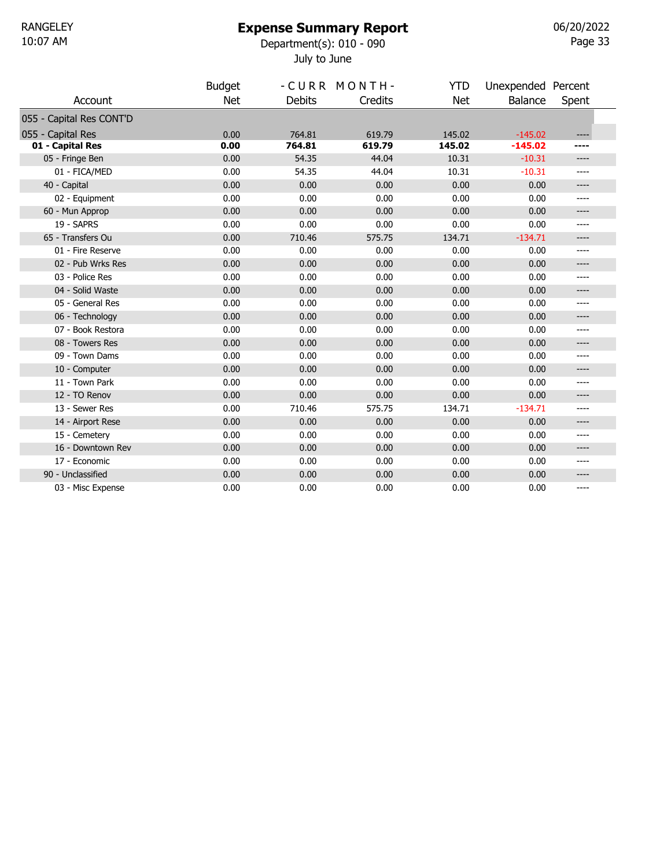#### Expense Summary Report

July to June 10:07 AM Department(s): 010 - 090 06/20/2022

| ı<br>r<br>o. |  |
|--------------|--|
|--------------|--|

|                          | <b>Budget</b> |               | -CURR MONTH- | YTD        | Unexpended Percent |       |
|--------------------------|---------------|---------------|--------------|------------|--------------------|-------|
| Account                  | <b>Net</b>    | <b>Debits</b> | Credits      | <b>Net</b> | Balance            | Spent |
| 055 - Capital Res CONT'D |               |               |              |            |                    |       |
| 055 - Capital Res        | 0.00          | 764.81        | 619.79       | 145.02     | $-145.02$          | ----  |
| 01 - Capital Res         | 0.00          | 764.81        | 619.79       | 145.02     | $-145.02$          | ----  |
| 05 - Fringe Ben          | 0.00          | 54.35         | 44.04        | 10.31      | $-10.31$           | $---$ |
| 01 - FICA/MED            | 0.00          | 54.35         | 44.04        | 10.31      | $-10.31$           | ----  |
| 40 - Capital             | 0.00          | 0.00          | 0.00         | 0.00       | 0.00               | ----  |
| 02 - Equipment           | 0.00          | 0.00          | 0.00         | 0.00       | 0.00               | $---$ |
| 60 - Mun Approp          | 0.00          | 0.00          | 0.00         | 0.00       | 0.00               | ----  |
| 19 - SAPRS               | 0.00          | 0.00          | 0.00         | 0.00       | 0.00               | ----  |
| 65 - Transfers Ou        | 0.00          | 710.46        | 575.75       | 134.71     | $-134.71$          | ----  |
| 01 - Fire Reserve        | 0.00          | 0.00          | 0.00         | 0.00       | 0.00               | ----  |
| 02 - Pub Wrks Res        | 0.00          | 0.00          | 0.00         | 0.00       | 0.00               | ----  |
| 03 - Police Res          | 0.00          | 0.00          | 0.00         | 0.00       | 0.00               | $---$ |
| 04 - Solid Waste         | 0.00          | 0.00          | 0.00         | 0.00       | 0.00               | ----  |
| 05 - General Res         | 0.00          | 0.00          | 0.00         | 0.00       | 0.00               | ----  |
| 06 - Technology          | 0.00          | 0.00          | 0.00         | 0.00       | 0.00               | $---$ |
| 07 - Book Restora        | 0.00          | 0.00          | 0.00         | 0.00       | 0.00               | ----  |
| 08 - Towers Res          | 0.00          | 0.00          | 0.00         | 0.00       | 0.00               | $---$ |
| 09 - Town Dams           | 0.00          | 0.00          | 0.00         | 0.00       | 0.00               | ----  |
| 10 - Computer            | 0.00          | 0.00          | 0.00         | 0.00       | 0.00               | $---$ |
| 11 - Town Park           | 0.00          | 0.00          | 0.00         | 0.00       | 0.00               | ----  |
| 12 - TO Renov            | 0.00          | 0.00          | 0.00         | 0.00       | 0.00               | $---$ |
| 13 - Sewer Res           | 0.00          | 710.46        | 575.75       | 134.71     | $-134.71$          | ----  |
| 14 - Airport Rese        | 0.00          | 0.00          | 0.00         | 0.00       | 0.00               | $---$ |
| 15 - Cemetery            | 0.00          | 0.00          | 0.00         | 0.00       | 0.00               | ----  |
| 16 - Downtown Rev        | 0.00          | 0.00          | 0.00         | 0.00       | 0.00               | $---$ |
| 17 - Economic            | 0.00          | 0.00          | 0.00         | 0.00       | 0.00               | ----  |
| 90 - Unclassified        | 0.00          | 0.00          | 0.00         | 0.00       | 0.00               | ----  |
| 03 - Misc Expense        | 0.00          | 0.00          | 0.00         | 0.00       | 0.00               | $---$ |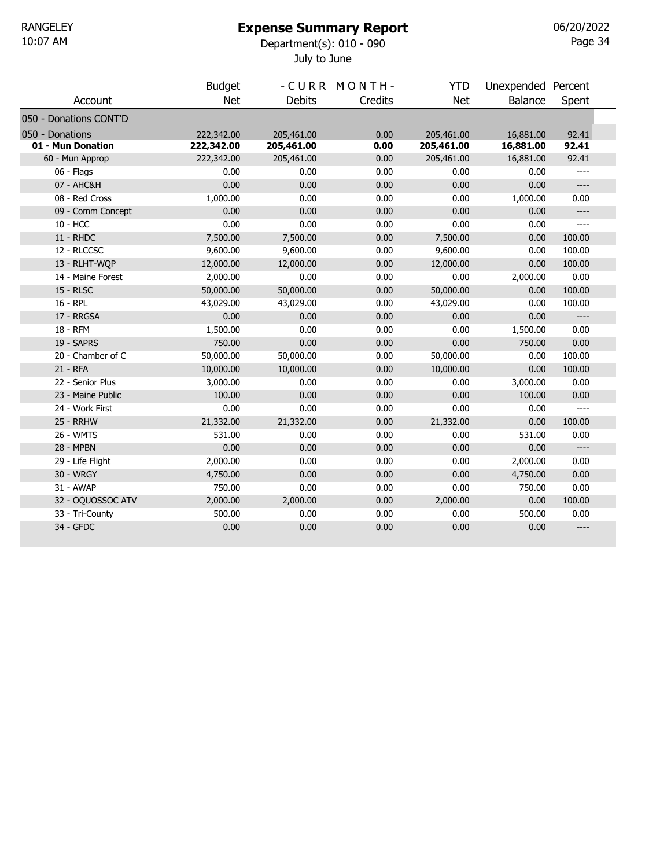### Expense Summary Report

July to June 10:07 AM Department(s): 010 - 090

Page 34 06/20/2022

|                        | <b>Budget</b> |               | -CURR MONTH- | <b>YTD</b> | Unexpended Percent |        |  |
|------------------------|---------------|---------------|--------------|------------|--------------------|--------|--|
| Account                | <b>Net</b>    | <b>Debits</b> | Credits      | <b>Net</b> | <b>Balance</b>     | Spent  |  |
| 050 - Donations CONT'D |               |               |              |            |                    |        |  |
| 050 - Donations        | 222,342.00    | 205,461.00    | 0.00         | 205,461.00 | 16,881.00          | 92.41  |  |
| 01 - Mun Donation      | 222,342.00    | 205,461.00    | 0.00         | 205,461.00 | 16,881.00          | 92.41  |  |
| 60 - Mun Approp        | 222,342.00    | 205,461.00    | 0.00         | 205,461.00 | 16,881.00          | 92.41  |  |
| 06 - Flags             | 0.00          | 0.00          | 0.00         | 0.00       | 0.00               | $---$  |  |
| 07 - AHC&H             | 0.00          | 0.00          | 0.00         | 0.00       | 0.00               | $---$  |  |
| 08 - Red Cross         | 1,000.00      | 0.00          | 0.00         | 0.00       | 1,000.00           | 0.00   |  |
| 09 - Comm Concept      | 0.00          | 0.00          | 0.00         | 0.00       | 0.00               | $---$  |  |
| 10 - HCC               | 0.00          | 0.00          | 0.00         | 0.00       | 0.00               | ----   |  |
| <b>11 - RHDC</b>       | 7,500.00      | 7,500.00      | 0.00         | 7,500.00   | 0.00               | 100.00 |  |
| 12 - RLCCSC            | 9,600.00      | 9,600.00      | 0.00         | 9,600.00   | 0.00               | 100.00 |  |
| 13 - RLHT-WQP          | 12,000.00     | 12,000.00     | 0.00         | 12,000.00  | 0.00               | 100.00 |  |
| 14 - Maine Forest      | 2,000.00      | 0.00          | 0.00         | 0.00       | 2,000.00           | 0.00   |  |
| <b>15 - RLSC</b>       | 50,000.00     | 50,000.00     | 0.00         | 50,000.00  | 0.00               | 100.00 |  |
| 16 - RPL               | 43,029.00     | 43,029.00     | 0.00         | 43,029.00  | 0.00               | 100.00 |  |
| 17 - RRGSA             | 0.00          | 0.00          | 0.00         | 0.00       | 0.00               | $---$  |  |
| 18 - RFM               | 1,500.00      | 0.00          | 0.00         | 0.00       | 1,500.00           | 0.00   |  |
| 19 - SAPRS             | 750.00        | 0.00          | 0.00         | 0.00       | 750.00             | 0.00   |  |
| 20 - Chamber of C      | 50,000.00     | 50,000.00     | 0.00         | 50,000.00  | 0.00               | 100.00 |  |
| 21 - RFA               | 10,000.00     | 10,000.00     | 0.00         | 10,000.00  | 0.00               | 100.00 |  |
| 22 - Senior Plus       | 3,000.00      | 0.00          | 0.00         | 0.00       | 3,000.00           | 0.00   |  |
| 23 - Maine Public      | 100.00        | 0.00          | 0.00         | 0.00       | 100.00             | 0.00   |  |
| 24 - Work First        | 0.00          | 0.00          | 0.00         | 0.00       | 0.00               | $---$  |  |
| <b>25 - RRHW</b>       | 21,332.00     | 21,332.00     | 0.00         | 21,332.00  | 0.00               | 100.00 |  |
| 26 - WMTS              | 531.00        | 0.00          | 0.00         | 0.00       | 531.00             | 0.00   |  |
| 28 - MPBN              | 0.00          | 0.00          | 0.00         | 0.00       | 0.00               | $---$  |  |
| 29 - Life Flight       | 2,000.00      | 0.00          | 0.00         | 0.00       | 2,000.00           | 0.00   |  |
| 30 - WRGY              | 4,750.00      | 0.00          | 0.00         | 0.00       | 4,750.00           | 0.00   |  |
| 31 - AWAP              | 750.00        | 0.00          | 0.00         | 0.00       | 750.00             | 0.00   |  |
| 32 - OQUOSSOC ATV      | 2,000.00      | 2,000.00      | 0.00         | 2,000.00   | 0.00               | 100.00 |  |
| 33 - Tri-County        | 500.00        | 0.00          | 0.00         | 0.00       | 500.00             | 0.00   |  |
| 34 - GFDC              | 0.00          | 0.00          | 0.00         | 0.00       | 0.00               | $---$  |  |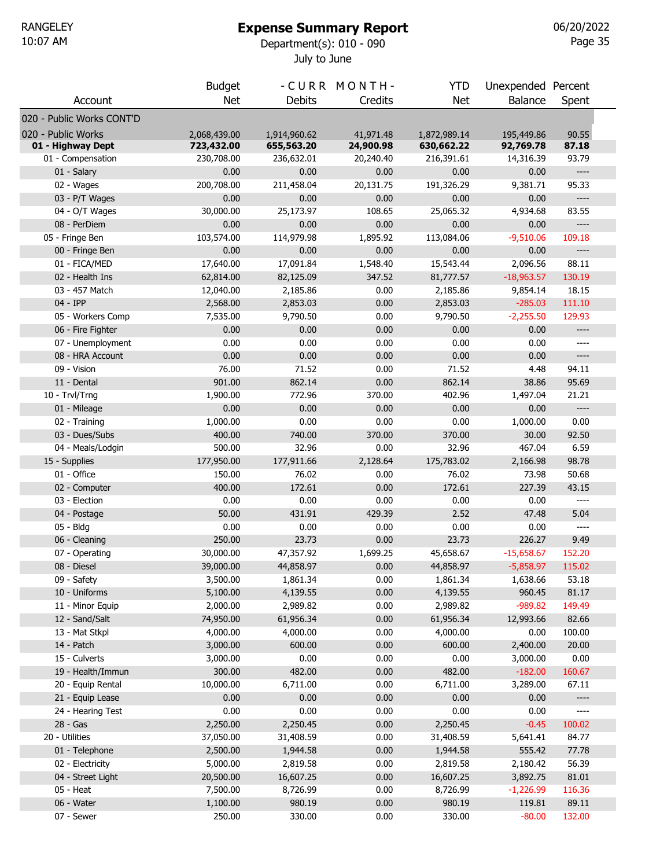Budget - CURR MONTH- YTD Unexpended Percent

July to June 10:07 AM Department(s): 010 - 090

Page 35 06/20/2022

| Account                   | <b>Net</b>                 | <b>Debits</b>              | Credits                | <b>Net</b>                 | <b>Balance</b>          | Spent                                                                                                                                                                                                                                                                                                                                                             |  |
|---------------------------|----------------------------|----------------------------|------------------------|----------------------------|-------------------------|-------------------------------------------------------------------------------------------------------------------------------------------------------------------------------------------------------------------------------------------------------------------------------------------------------------------------------------------------------------------|--|
| 020 - Public Works CONT'D |                            |                            |                        |                            |                         |                                                                                                                                                                                                                                                                                                                                                                   |  |
| 020 - Public Works        |                            |                            |                        |                            |                         |                                                                                                                                                                                                                                                                                                                                                                   |  |
| 01 - Highway Dept         | 2,068,439.00<br>723,432.00 | 1,914,960.62<br>655,563.20 | 41,971.48<br>24,900.98 | 1,872,989.14<br>630,662.22 | 195,449.86<br>92,769.78 | 90.55<br>87.18                                                                                                                                                                                                                                                                                                                                                    |  |
| 01 - Compensation         | 230,708.00                 | 236,632.01                 | 20,240.40              | 216,391.61                 | 14,316.39               | 93.79                                                                                                                                                                                                                                                                                                                                                             |  |
| 01 - Salary               | 0.00                       | 0.00                       | 0.00                   | 0.00                       | 0.00                    | $---$                                                                                                                                                                                                                                                                                                                                                             |  |
| 02 - Wages                | 200,708.00                 | 211,458.04                 | 20,131.75              | 191,326.29                 | 9,381.71                | 95.33                                                                                                                                                                                                                                                                                                                                                             |  |
| 03 - P/T Wages            | 0.00                       | 0.00                       | 0.00                   | 0.00                       | 0.00                    | ----                                                                                                                                                                                                                                                                                                                                                              |  |
| 04 - O/T Wages            | 30,000.00                  | 25,173.97                  | 108.65                 | 25,065.32                  | 4,934.68                | 83.55                                                                                                                                                                                                                                                                                                                                                             |  |
| 08 - PerDiem              | 0.00                       | 0.00                       | 0.00                   | 0.00                       | 0.00                    | ----                                                                                                                                                                                                                                                                                                                                                              |  |
| 05 - Fringe Ben           | 103,574.00                 | 114,979.98                 | 1,895.92               | 113,084.06                 | $-9,510.06$             | 109.18                                                                                                                                                                                                                                                                                                                                                            |  |
| 00 - Fringe Ben           | 0.00                       | 0.00                       | 0.00                   | 0.00                       | 0.00                    | $---$                                                                                                                                                                                                                                                                                                                                                             |  |
| 01 - FICA/MED             | 17,640.00                  | 17,091.84                  | 1,548.40               | 15,543.44                  | 2,096.56                | 88.11                                                                                                                                                                                                                                                                                                                                                             |  |
| 02 - Health Ins           | 62,814.00                  | 82,125.09                  | 347.52                 | 81,777.57                  | $-18,963.57$            | 130.19                                                                                                                                                                                                                                                                                                                                                            |  |
| 03 - 457 Match            | 12,040.00                  | 2,185.86                   | 0.00                   | 2,185.86                   | 9,854.14                | 18.15                                                                                                                                                                                                                                                                                                                                                             |  |
| 04 - IPP                  | 2,568.00                   | 2,853.03                   | 0.00                   | 2,853.03                   | $-285.03$               | 111.10                                                                                                                                                                                                                                                                                                                                                            |  |
| 05 - Workers Comp         | 7,535.00                   | 9,790.50                   | 0.00                   | 9,790.50                   | $-2,255.50$             | 129.93                                                                                                                                                                                                                                                                                                                                                            |  |
| 06 - Fire Fighter         | 0.00                       | 0.00                       | 0.00                   | 0.00                       | 0.00                    | $-----$                                                                                                                                                                                                                                                                                                                                                           |  |
| 07 - Unemployment         | 0.00                       | 0.00                       | 0.00                   | 0.00                       | 0.00                    | $---$                                                                                                                                                                                                                                                                                                                                                             |  |
| 08 - HRA Account          | 0.00                       | 0.00                       | 0.00                   | 0.00                       | 0.00                    | $\hspace{0.02in} \hspace{0.02in} \hspace{0.02in} \hspace{0.02in} \hspace{0.02in} \hspace{0.02in} \hspace{0.02in} \hspace{0.02in} \hspace{0.02in} \hspace{0.02in} \hspace{0.02in} \hspace{0.02in} \hspace{0.02in} \hspace{0.02in} \hspace{0.02in} \hspace{0.02in} \hspace{0.02in} \hspace{0.02in} \hspace{0.02in} \hspace{0.02in} \hspace{0.02in} \hspace{0.02in}$ |  |
| 09 - Vision               | 76.00                      | 71.52                      | 0.00                   | 71.52                      | 4.48                    | 94.11                                                                                                                                                                                                                                                                                                                                                             |  |
| 11 - Dental               | 901.00                     | 862.14                     | 0.00                   | 862.14                     | 38.86                   | 95.69                                                                                                                                                                                                                                                                                                                                                             |  |
| 10 - Trvl/Trng            | 1,900.00                   | 772.96                     | 370.00                 | 402.96                     | 1,497.04                | 21.21                                                                                                                                                                                                                                                                                                                                                             |  |
| 01 - Mileage              | 0.00                       | 0.00                       | 0.00                   | 0.00                       | 0.00                    | $\hspace{0.02in} \hspace{0.02in} \hspace{0.02in} \hspace{0.02in} \hspace{0.02in} \hspace{0.02in} \hspace{0.02in} \hspace{0.02in} \hspace{0.02in} \hspace{0.02in} \hspace{0.02in} \hspace{0.02in} \hspace{0.02in} \hspace{0.02in} \hspace{0.02in} \hspace{0.02in} \hspace{0.02in} \hspace{0.02in} \hspace{0.02in} \hspace{0.02in} \hspace{0.02in} \hspace{0.02in}$ |  |
| 02 - Training             | 1,000.00                   | 0.00                       | 0.00                   | 0.00                       | 1,000.00                | 0.00                                                                                                                                                                                                                                                                                                                                                              |  |
| 03 - Dues/Subs            | 400.00                     | 740.00                     | 370.00                 | 370.00                     | 30.00                   | 92.50                                                                                                                                                                                                                                                                                                                                                             |  |
| 04 - Meals/Lodgin         | 500.00                     | 32.96                      | 0.00                   | 32.96                      | 467.04                  | 6.59                                                                                                                                                                                                                                                                                                                                                              |  |
| 15 - Supplies             | 177,950.00                 | 177,911.66                 | 2,128.64               | 175,783.02                 | 2,166.98                | 98.78                                                                                                                                                                                                                                                                                                                                                             |  |
| 01 - Office               | 150.00                     | 76.02                      | 0.00                   | 76.02                      | 73.98                   | 50.68                                                                                                                                                                                                                                                                                                                                                             |  |
| 02 - Computer             | 400.00                     | 172.61                     | 0.00                   | 172.61                     | 227.39                  | 43.15                                                                                                                                                                                                                                                                                                                                                             |  |
| 03 - Election             | 0.00                       | 0.00                       | 0.00                   | 0.00                       | 0.00                    | $\qquad \qquad - - -$                                                                                                                                                                                                                                                                                                                                             |  |
| 04 - Postage              | 50.00                      | 431.91                     | 429.39                 | 2.52                       | 47.48                   | 5.04                                                                                                                                                                                                                                                                                                                                                              |  |
| 05 - Bldg                 | 0.00                       | 0.00                       | 0.00                   | 0.00                       | 0.00                    | $\qquad \qquad - - -$                                                                                                                                                                                                                                                                                                                                             |  |
| 06 - Cleaning             | 250.00                     | 23.73                      | 0.00                   | 23.73                      | 226.27                  | 9.49                                                                                                                                                                                                                                                                                                                                                              |  |
| 07 - Operating            | 30,000.00                  | 47,357.92                  | 1,699.25               | 45,658.67                  | $-15,658.67$            | 152.20                                                                                                                                                                                                                                                                                                                                                            |  |
| 08 - Diesel               | 39,000.00                  | 44,858.97                  | 0.00                   | 44,858.97                  | $-5,858.97$             | 115.02                                                                                                                                                                                                                                                                                                                                                            |  |
| 09 - Safety               | 3,500.00                   | 1,861.34                   | 0.00                   | 1,861.34                   | 1,638.66                | 53.18                                                                                                                                                                                                                                                                                                                                                             |  |
| 10 - Uniforms             | 5,100.00                   | 4,139.55                   | 0.00                   | 4,139.55                   | 960.45                  | 81.17                                                                                                                                                                                                                                                                                                                                                             |  |
| 11 - Minor Equip          | 2,000.00                   | 2,989.82                   | 0.00                   | 2,989.82                   | $-989.82$               | 149.49                                                                                                                                                                                                                                                                                                                                                            |  |
| 12 - Sand/Salt            | 74,950.00                  | 61,956.34                  | 0.00                   | 61,956.34                  | 12,993.66               | 82.66                                                                                                                                                                                                                                                                                                                                                             |  |
| 13 - Mat Stkpl            | 4,000.00                   | 4,000.00                   | 0.00                   | 4,000.00                   | 0.00                    | 100.00                                                                                                                                                                                                                                                                                                                                                            |  |
| 14 - Patch                | 3,000.00                   | 600.00                     | 0.00                   | 600.00                     | 2,400.00                | 20.00                                                                                                                                                                                                                                                                                                                                                             |  |
| 15 - Culverts             | 3,000.00                   | 0.00                       | 0.00                   | 0.00                       | 3,000.00                | 0.00                                                                                                                                                                                                                                                                                                                                                              |  |
| 19 - Health/Immun         | 300.00                     | 482.00                     | 0.00                   | 482.00                     | $-182.00$               | 160.67                                                                                                                                                                                                                                                                                                                                                            |  |
| 20 - Equip Rental         | 10,000.00                  | 6,711.00                   | 0.00                   | 6,711.00                   | 3,289.00                | 67.11                                                                                                                                                                                                                                                                                                                                                             |  |
| 21 - Equip Lease          | 0.00                       | 0.00                       | 0.00                   | 0.00                       | 0.00                    | ----                                                                                                                                                                                                                                                                                                                                                              |  |
| 24 - Hearing Test         | 0.00                       | 0.00                       | 0.00                   | 0.00                       | 0.00                    | ----                                                                                                                                                                                                                                                                                                                                                              |  |
| 28 - Gas                  | 2,250.00                   | 2,250.45                   | 0.00                   | 2,250.45                   | $-0.45$                 | 100.02                                                                                                                                                                                                                                                                                                                                                            |  |
| 20 - Utilities            | 37,050.00                  | 31,408.59                  | 0.00                   | 31,408.59                  | 5,641.41                | 84.77                                                                                                                                                                                                                                                                                                                                                             |  |
| 01 - Telephone            | 2,500.00                   | 1,944.58                   | 0.00                   | 1,944.58                   | 555.42                  | 77.78                                                                                                                                                                                                                                                                                                                                                             |  |
| 02 - Electricity          | 5,000.00                   | 2,819.58                   | 0.00                   | 2,819.58                   | 2,180.42                | 56.39                                                                                                                                                                                                                                                                                                                                                             |  |
| 04 - Street Light         | 20,500.00                  | 16,607.25                  | 0.00                   | 16,607.25                  | 3,892.75                | 81.01                                                                                                                                                                                                                                                                                                                                                             |  |
| 05 - Heat                 | 7,500.00                   | 8,726.99                   | 0.00                   | 8,726.99                   | $-1,226.99$             | 116.36                                                                                                                                                                                                                                                                                                                                                            |  |
| 06 - Water                | 1,100.00                   | 980.19                     | 0.00                   | 980.19                     | 119.81                  | 89.11                                                                                                                                                                                                                                                                                                                                                             |  |
| 07 - Sewer                | 250.00                     | 330.00                     | 0.00                   | 330.00                     | $-80.00$                | 132.00                                                                                                                                                                                                                                                                                                                                                            |  |
|                           |                            |                            |                        |                            |                         |                                                                                                                                                                                                                                                                                                                                                                   |  |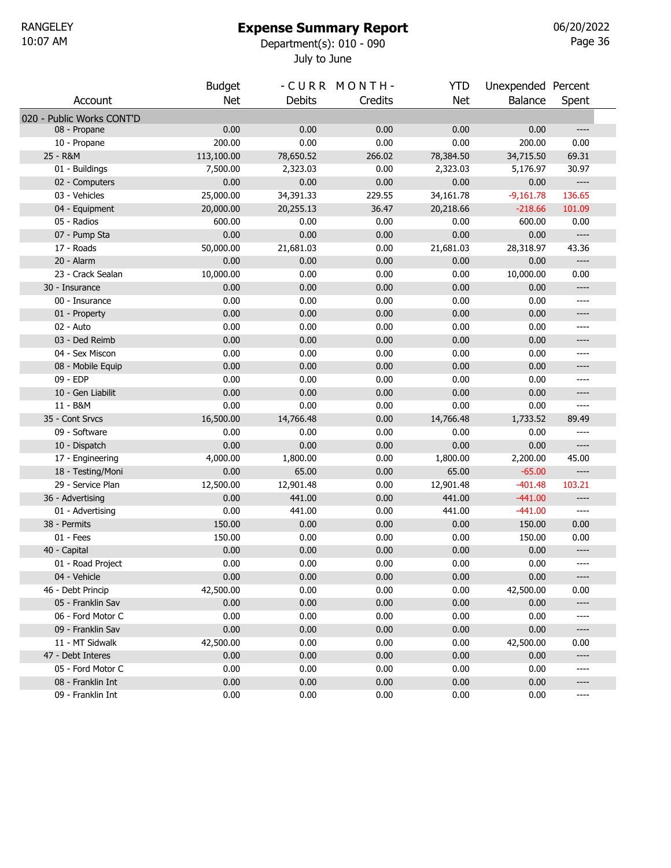### Expense Summary Report

July to June 10:07 AM Department(s): 010 - 090

Page 36 06/20/2022

|                                  | <b>Budget</b>  |                | -CURR MONTH- | <b>YTD</b>     | Unexpended Percent  |                                              |  |
|----------------------------------|----------------|----------------|--------------|----------------|---------------------|----------------------------------------------|--|
| Account                          | <b>Net</b>     | <b>Debits</b>  | Credits      | <b>Net</b>     | <b>Balance</b>      | Spent                                        |  |
| 020 - Public Works CONT'D        |                |                |              |                |                     |                                              |  |
| 08 - Propane                     | 0.00           | 0.00           | 0.00         | 0.00           | 0.00                | $-----$                                      |  |
| 10 - Propane                     | 200.00         | 0.00           | 0.00         | 0.00           | 200.00              | 0.00                                         |  |
| 25 - R&M                         | 113,100.00     | 78,650.52      | 266.02       | 78,384.50      | 34,715.50           | 69.31                                        |  |
| 01 - Buildings                   | 7,500.00       | 2,323.03       | 0.00         | 2,323.03       | 5,176.97            | 30.97                                        |  |
| 02 - Computers                   | 0.00           | 0.00           | 0.00         | 0.00           | 0.00                | $---$                                        |  |
| 03 - Vehicles                    | 25,000.00      | 34,391.33      | 229.55       | 34,161.78      | $-9,161.78$         | 136.65                                       |  |
| 04 - Equipment                   | 20,000.00      | 20,255.13      | 36.47        | 20,218.66      | $-218.66$           | 101.09                                       |  |
| 05 - Radios                      | 600.00         | 0.00           | 0.00         | 0.00           | 600.00              | 0.00                                         |  |
| 07 - Pump Sta                    | 0.00           | 0.00           | 0.00         | 0.00           | 0.00                | $---$                                        |  |
| 17 - Roads                       | 50,000.00      | 21,681.03      | 0.00         | 21,681.03      | 28,318.97           | 43.36                                        |  |
| 20 - Alarm                       | 0.00           | 0.00           | 0.00         | 0.00           | 0.00                | $\overline{\phantom{a}}$                     |  |
| 23 - Crack Sealan                | 10,000.00      | 0.00           | 0.00         | 0.00           | 10,000.00           | 0.00                                         |  |
| 30 - Insurance                   | 0.00           | 0.00           | 0.00         | 0.00           | 0.00                | $---$                                        |  |
| 00 - Insurance                   | 0.00           | 0.00           | 0.00         | 0.00           | 0.00                | ----                                         |  |
| 01 - Property                    | 0.00           | 0.00           | 0.00         | 0.00           | 0.00                | $---$                                        |  |
| 02 - Auto                        | 0.00           | 0.00           | 0.00         | 0.00           | 0.00                | ----                                         |  |
| 03 - Ded Reimb                   | 0.00           | 0.00           | 0.00         | 0.00           | 0.00                | ----                                         |  |
| 04 - Sex Miscon                  | 0.00           | 0.00           | 0.00         | 0.00           | 0.00                | ----                                         |  |
| 08 - Mobile Equip                | 0.00           | 0.00           | 0.00         | 0.00           | 0.00                | ----                                         |  |
| 09 - EDP                         | 0.00           | 0.00           | 0.00         | 0.00           | 0.00                | ----                                         |  |
| 10 - Gen Liabilit                | 0.00           | 0.00           | 0.00         | 0.00           | 0.00                | $---$                                        |  |
| 11 - B&M                         | 0.00           | 0.00           | 0.00         | 0.00           | 0.00                | $\cdots$                                     |  |
| 35 - Cont Srvcs                  | 16,500.00      | 14,766.48      | 0.00         | 14,766.48      | 1,733.52            | 89.49                                        |  |
| 09 - Software                    | 0.00           | 0.00           | 0.00         | 0.00           | 0.00                | $\cdots$                                     |  |
| 10 - Dispatch                    | 0.00           | 0.00           | 0.00         | 0.00           | 0.00                | $---$                                        |  |
| 17 - Engineering                 | 4,000.00       | 1,800.00       | 0.00         | 1,800.00       | 2,200.00            | 45.00                                        |  |
| 18 - Testing/Moni                | 0.00           | 65.00          | 0.00         | 65.00          | $-65.00$            | $---$                                        |  |
| 29 - Service Plan                | 12,500.00      | 12,901.48      | 0.00         | 12,901.48      | $-401.48$           | 103.21                                       |  |
| 36 - Advertising                 | 0.00           | 441.00         | 0.00         | 441.00         | $-441.00$           | $---$<br>$---$                               |  |
| 01 - Advertising<br>38 - Permits | 0.00<br>150.00 | 441.00<br>0.00 | 0.00<br>0.00 | 441.00<br>0.00 | $-441.00$<br>150.00 | 0.00                                         |  |
| $01 - Fees$                      | 150.00         | 0.00           | 0.00         | 0.00           | 150.00              | 0.00                                         |  |
| 40 - Capital                     | 0.00           | 0.00           | 0.00         | 0.00           | 0.00                | $---$                                        |  |
| 01 - Road Project                | 0.00           | 0.00           | 0.00         | 0.00           | 0.00                | ----                                         |  |
| 04 - Vehicle                     | 0.00           | 0.00           | 0.00         | 0.00           | 0.00                | $\hspace{1.5cm} \textbf{---} \hspace{1.5cm}$ |  |
| 46 - Debt Princip                | 42,500.00      | 0.00           | 0.00         | 0.00           | 42,500.00           | 0.00                                         |  |
| 05 - Franklin Sav                | 0.00           | 0.00           | 0.00         | 0.00           | 0.00                | $---$                                        |  |
| 06 - Ford Motor C                | 0.00           | 0.00           | 0.00         | 0.00           | 0.00                | ----                                         |  |
| 09 - Franklin Sav                | 0.00           | 0.00           | 0.00         | 0.00           | 0.00                | $---$                                        |  |
| 11 - MT Sidwalk                  | 42,500.00      | 0.00           | 0.00         | 0.00           | 42,500.00           | 0.00                                         |  |
| 47 - Debt Interes                | 0.00           | 0.00           | 0.00         | 0.00           | 0.00                | $---$                                        |  |
| 05 - Ford Motor C                | 0.00           | 0.00           | 0.00         | 0.00           | 0.00                | ----                                         |  |
| 08 - Franklin Int                | 0.00           | 0.00           | 0.00         | 0.00           | 0.00                | ----                                         |  |
| 09 - Franklin Int                | 0.00           | 0.00           | 0.00         | 0.00           | 0.00                | ----                                         |  |
|                                  |                |                |              |                |                     |                                              |  |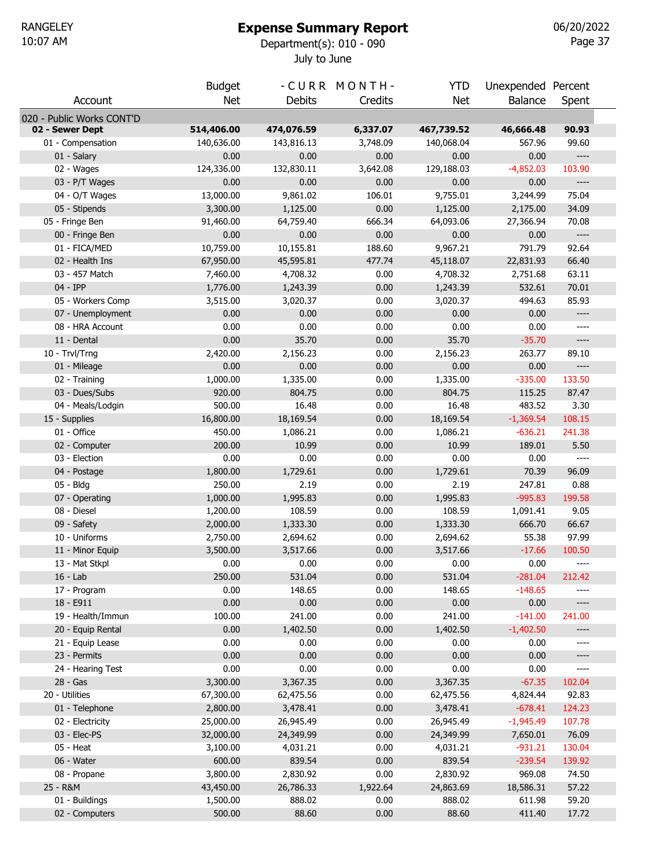# Expense Summary Report

July to June 10:07 AM Department(s): 010 - 090

Page 37 06/20/2022

|                               | <b>Budget</b>         |                       | -CURR MONTH- | <b>YTD</b>            | Unexpended Percent    |                                                                                                                                                                                                   |  |
|-------------------------------|-----------------------|-----------------------|--------------|-----------------------|-----------------------|---------------------------------------------------------------------------------------------------------------------------------------------------------------------------------------------------|--|
| Account                       | <b>Net</b>            | Debits                | Credits      | <b>Net</b>            | Balance               | Spent                                                                                                                                                                                             |  |
| 020 - Public Works CONT'D     |                       |                       |              |                       |                       |                                                                                                                                                                                                   |  |
| 02 - Sewer Dept               | 514,406.00            | 474,076.59            | 6,337.07     | 467,739.52            | 46,666.48             | 90.93                                                                                                                                                                                             |  |
| 01 - Compensation             | 140,636.00            | 143,816.13            | 3,748.09     | 140,068.04            | 567.96                | 99.60                                                                                                                                                                                             |  |
| 01 - Salary                   | 0.00                  | 0.00                  | 0.00         | 0.00                  | 0.00                  | $\hspace{0.02in} \hspace{0.02in} \hspace{0.02in} \hspace{0.02in} \hspace{0.02in} \hspace{0.02in} \hspace{0.02in} \hspace{0.02in} \hspace{0.02in} \hspace{0.02in} \hspace{0.02in} \hspace{0.02in}$ |  |
| 02 - Wages                    | 124,336.00            | 132,830.11            | 3,642.08     | 129,188.03            | $-4,852.03$           | 103.90                                                                                                                                                                                            |  |
| 03 - P/T Wages                | 0.00                  | 0.00                  | 0.00         | 0.00                  | 0.00                  | $\hspace{0.02in} \hspace{0.02in} \hspace{0.02in} \hspace{0.02in} \hspace{0.02in} \hspace{0.02in} \hspace{0.02in} \hspace{0.02in} \hspace{0.02in} \hspace{0.02in} \hspace{0.02in} \hspace{0.02in}$ |  |
| 04 - O/T Wages                | 13,000.00             | 9,861.02              | 106.01       | 9,755.01              | 3,244.99              | 75.04                                                                                                                                                                                             |  |
| 05 - Stipends                 | 3,300.00              | 1,125.00              | 0.00         | 1,125.00              | 2,175.00              | 34.09                                                                                                                                                                                             |  |
| 05 - Fringe Ben               | 91,460.00             | 64,759.40             | 666.34       | 64,093.06             | 27,366.94             | 70.08                                                                                                                                                                                             |  |
| 00 - Fringe Ben               | 0.00                  | 0.00                  | 0.00         | 0.00                  | 0.00                  | $\hspace{0.02in} \hspace{0.02in} \hspace{0.02in} \hspace{0.02in} \hspace{0.02in} \hspace{0.02in} \hspace{0.02in} \hspace{0.02in} \hspace{0.02in} \hspace{0.02in} \hspace{0.02in} \hspace{0.02in}$ |  |
| 01 - FICA/MED                 | 10,759.00             | 10,155.81             | 188.60       | 9,967.21              | 791.79                | 92.64                                                                                                                                                                                             |  |
| 02 - Health Ins               | 67,950.00             | 45,595.81             | 477.74       | 45,118.07             | 22,831.93             | 66.40                                                                                                                                                                                             |  |
| 03 - 457 Match                | 7,460.00              | 4,708.32              | 0.00         | 4,708.32              | 2,751.68              | 63.11                                                                                                                                                                                             |  |
| 04 - IPP                      | 1,776.00              | 1,243.39              | 0.00         | 1,243.39              | 532.61                | 70.01                                                                                                                                                                                             |  |
| 05 - Workers Comp             | 3,515.00              | 3,020.37              | 0.00         | 3,020.37              | 494.63                | 85.93                                                                                                                                                                                             |  |
| 07 - Unemployment             | 0.00                  | 0.00                  | 0.00         | 0.00                  | 0.00                  | $-----$                                                                                                                                                                                           |  |
| 08 - HRA Account              | 0.00                  | 0.00                  | 0.00         | 0.00                  | 0.00                  | ----                                                                                                                                                                                              |  |
| 11 - Dental                   | 0.00                  | 35.70                 | 0.00         | 35.70                 | $-35.70$              | $-----$                                                                                                                                                                                           |  |
| 10 - Trvl/Trng                | 2,420.00              | 2,156.23              | 0.00         | 2,156.23              | 263.77                | 89.10                                                                                                                                                                                             |  |
| 01 - Mileage                  | 0.00                  | 0.00                  | 0.00         | 0.00                  | 0.00                  | $\hspace{0.02in} \hspace{0.02in} \hspace{0.02in} \hspace{0.02in} \hspace{0.02in} \hspace{0.02in} \hspace{0.02in} \hspace{0.02in} \hspace{0.02in} \hspace{0.02in} \hspace{0.02in} \hspace{0.02in}$ |  |
| 02 - Training                 | 1,000.00              | 1,335.00              | 0.00         | 1,335.00              | $-335.00$             | 133.50                                                                                                                                                                                            |  |
| 03 - Dues/Subs                | 920.00                | 804.75                | 0.00         | 804.75                | 115.25                | 87.47                                                                                                                                                                                             |  |
| 04 - Meals/Lodgin             | 500.00                | 16.48                 | 0.00         | 16.48                 | 483.52                | 3.30                                                                                                                                                                                              |  |
| 15 - Supplies                 | 16,800.00             | 18,169.54             | 0.00         | 18,169.54             | $-1,369.54$           | 108.15                                                                                                                                                                                            |  |
| 01 - Office                   | 450.00                | 1,086.21              | 0.00         | 1,086.21              | $-636.21$             | 241.38                                                                                                                                                                                            |  |
| 02 - Computer                 | 200.00                | 10.99                 | 0.00         | 10.99                 | 189.01                | 5.50                                                                                                                                                                                              |  |
| 03 - Election                 | 0.00                  | 0.00                  | 0.00         | 0.00                  | 0.00                  | $\hspace{0.02in} \hspace{0.02in} \hspace{0.02in} \hspace{0.02in} \hspace{0.02in} \hspace{0.02in} \hspace{0.02in} \hspace{0.02in} \hspace{0.02in} \hspace{0.02in} \hspace{0.02in} \hspace{0.02in}$ |  |
| 04 - Postage                  | 1,800.00              | 1,729.61              | 0.00         | 1,729.61              | 70.39                 | 96.09                                                                                                                                                                                             |  |
| 05 - Bldg                     | 250.00                | 2.19                  | 0.00         | 2.19                  | 247.81                | 0.88                                                                                                                                                                                              |  |
| 07 - Operating                | 1,000.00              | 1,995.83              | 0.00         | 1,995.83              | $-995.83$             | 199.58                                                                                                                                                                                            |  |
| 08 - Diesel                   | 1,200.00              | 108.59                | 0.00         | 108.59                | 1,091.41              | 9.05                                                                                                                                                                                              |  |
| 09 - Safety                   | 2,000.00              | 1,333.30              | 0.00         | 1,333.30              | 666.70                | 66.67                                                                                                                                                                                             |  |
| 10 - Uniforms                 | 2,750.00              | 2,694.62              | 0.00         | 2,694.62              | 55.38                 | 97.99                                                                                                                                                                                             |  |
| 11 - Minor Equip              | 3,500.00              | 3,517.66              | 0.00         | 3,517.66              | $-17.66$              | 100.50                                                                                                                                                                                            |  |
| 13 - Mat Stkpl                | 0.00                  | 0.00                  | 0.00         | 0.00                  | 0.00                  | ----                                                                                                                                                                                              |  |
| $16 - Lab$                    | 250.00                | 531.04                | 0.00         | 531.04                | $-281.04$             | 212.42                                                                                                                                                                                            |  |
| 17 - Program                  | 0.00                  | 148.65                | 0.00         | 148.65                | $-148.65$             |                                                                                                                                                                                                   |  |
| 18 - E911                     | 0.00                  | 0.00                  | 0.00         | 0.00                  | 0.00                  | $-----$                                                                                                                                                                                           |  |
| 19 - Health/Immun             | 100.00                | 241.00                | 0.00         | 241.00                | $-141.00$             | 241.00                                                                                                                                                                                            |  |
| 20 - Equip Rental             | 0.00                  | 1,402.50              | 0.00         | 1,402.50              | $-1,402.50$           |                                                                                                                                                                                                   |  |
| 21 - Equip Lease              | 0.00                  | 0.00                  | 0.00         | 0.00                  | 0.00                  |                                                                                                                                                                                                   |  |
| 23 - Permits                  | 0.00<br>0.00          | 0.00<br>0.00          | 0.00<br>0.00 | 0.00                  | 0.00                  | ----                                                                                                                                                                                              |  |
| 24 - Hearing Test<br>28 - Gas | 3,300.00              | 3,367.35              | 0.00         | 0.00<br>3,367.35      | 0.00<br>$-67.35$      | ----<br>102.04                                                                                                                                                                                    |  |
| 20 - Utilities                |                       |                       | 0.00         |                       |                       |                                                                                                                                                                                                   |  |
| 01 - Telephone                | 67,300.00<br>2,800.00 | 62,475.56<br>3,478.41 | 0.00         | 62,475.56<br>3,478.41 | 4,824.44<br>$-678.41$ | 92.83<br>124.23                                                                                                                                                                                   |  |
| 02 - Electricity              | 25,000.00             | 26,945.49             | 0.00         | 26,945.49             | $-1,945.49$           | 107.78                                                                                                                                                                                            |  |
| 03 - Elec-PS                  | 32,000.00             | 24,349.99             | 0.00         | 24,349.99             | 7,650.01              | 76.09                                                                                                                                                                                             |  |
| 05 - Heat                     | 3,100.00              | 4,031.21              | 0.00         | 4,031.21              | $-931.21$             | 130.04                                                                                                                                                                                            |  |
| 06 - Water                    | 600.00                | 839.54                | 0.00         | 839.54                | $-239.54$             | 139.92                                                                                                                                                                                            |  |
| 08 - Propane                  | 3,800.00              | 2,830.92              | 0.00         | 2,830.92              | 969.08                | 74.50                                                                                                                                                                                             |  |
| 25 - R&M                      | 43,450.00             | 26,786.33             | 1,922.64     | 24,863.69             | 18,586.31             | 57.22                                                                                                                                                                                             |  |
| 01 - Buildings                | 1,500.00              | 888.02                | 0.00         | 888.02                | 611.98                | 59.20                                                                                                                                                                                             |  |
| 02 - Computers                | 500.00                | 88.60                 | 0.00         | 88.60                 | 411.40                | 17.72                                                                                                                                                                                             |  |
|                               |                       |                       |              |                       |                       |                                                                                                                                                                                                   |  |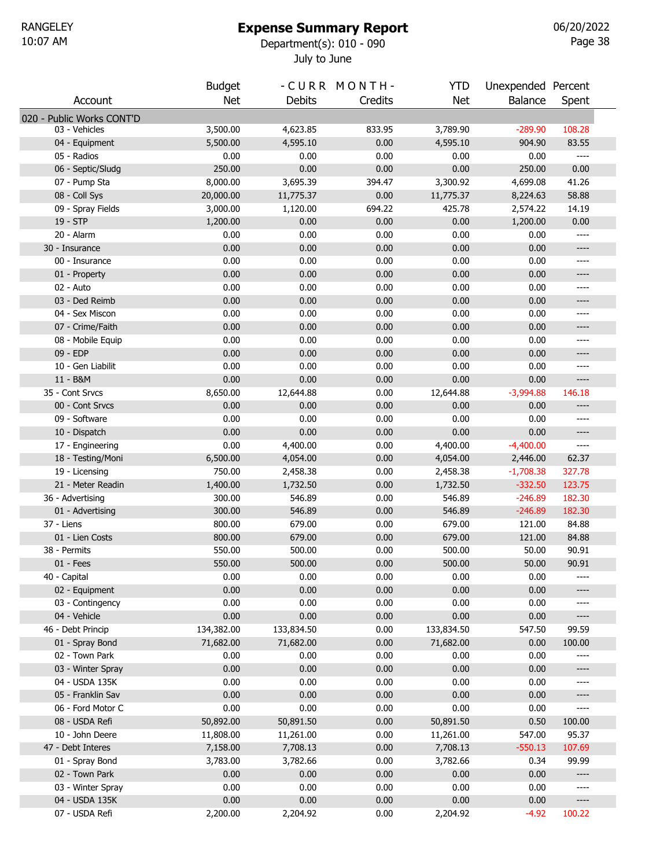### Expense Summary Report

July to June 10:07 AM Department(s): 010 - 090

Page 38 06/20/2022

|                           | <b>Budget</b> |               | -CURR MONTH- | YTD        | Unexpended Percent |                                              |  |
|---------------------------|---------------|---------------|--------------|------------|--------------------|----------------------------------------------|--|
| Account                   | <b>Net</b>    | <b>Debits</b> | Credits      | Net        | Balance            | Spent                                        |  |
| 020 - Public Works CONT'D |               |               |              |            |                    |                                              |  |
| 03 - Vehicles             | 3,500.00      | 4,623.85      | 833.95       | 3,789.90   | $-289.90$          | 108.28                                       |  |
| 04 - Equipment            | 5,500.00      | 4,595.10      | 0.00         | 4,595.10   | 904.90             | 83.55                                        |  |
| 05 - Radios               | 0.00          | 0.00          | 0.00         | 0.00       | 0.00               | $---$                                        |  |
| 06 - Septic/Sludg         | 250.00        | 0.00          | 0.00         | 0.00       | 250.00             | 0.00                                         |  |
| 07 - Pump Sta             | 8,000.00      | 3,695.39      | 394.47       | 3,300.92   | 4,699.08           | 41.26                                        |  |
| 08 - Coll Sys             | 20,000.00     | 11,775.37     | 0.00         | 11,775.37  | 8,224.63           | 58.88                                        |  |
| 09 - Spray Fields         | 3,000.00      | 1,120.00      | 694.22       | 425.78     | 2,574.22           | 14.19                                        |  |
| 19 - STP                  | 1,200.00      | 0.00          | 0.00         | 0.00       | 1,200.00           | 0.00                                         |  |
| 20 - Alarm                | 0.00          | 0.00          | 0.00         | 0.00       | 0.00               | $\qquad \qquad - - -$                        |  |
| 30 - Insurance            | 0.00          | 0.00          | 0.00         | 0.00       | 0.00               | $---$                                        |  |
| 00 - Insurance            | 0.00          | 0.00          | 0.00         | 0.00       | 0.00               | ----                                         |  |
| 01 - Property             | 0.00          | 0.00          | 0.00         | 0.00       | 0.00               | ----                                         |  |
| 02 - Auto                 | 0.00          | 0.00          | 0.00         | 0.00       | 0.00               | $-----$                                      |  |
| 03 - Ded Reimb            | 0.00          | 0.00          | 0.00         | 0.00       | 0.00               | ----                                         |  |
| 04 - Sex Miscon           | 0.00          | 0.00          | 0.00         | 0.00       | 0.00               | $-----$                                      |  |
| 07 - Crime/Faith          | 0.00          | 0.00          | 0.00         | 0.00       | 0.00               | ----                                         |  |
| 08 - Mobile Equip         | 0.00          | 0.00          | 0.00         | 0.00       | 0.00               | $-----$                                      |  |
| 09 - EDP                  | 0.00          | 0.00          | 0.00         | 0.00       | 0.00               | ----                                         |  |
| 10 - Gen Liabilit         | 0.00          | 0.00          | 0.00         | 0.00       | 0.00               | $-----$                                      |  |
| 11 - B&M                  | 0.00          | 0.00          | 0.00         | 0.00       | 0.00               | $\hspace{1.5cm} \textbf{---}$                |  |
| 35 - Cont Srvcs           | 8,650.00      | 12,644.88     | 0.00         | 12,644.88  | $-3,994.88$        | 146.18                                       |  |
| 00 - Cont Srvcs           | 0.00          | 0.00          | 0.00         | 0.00       | 0.00               | $\hspace{1.5cm} \textbf{---}$                |  |
| 09 - Software             | 0.00          | 0.00          | 0.00         | 0.00       | 0.00               | $---$                                        |  |
| 10 - Dispatch             | 0.00          | 0.00          | 0.00         | 0.00       | 0.00               | $---$                                        |  |
| 17 - Engineering          | 0.00          | 4,400.00      | 0.00         | 4,400.00   | $-4,400.00$        | $\hspace{1.5cm} \textbf{---}$                |  |
| 18 - Testing/Moni         | 6,500.00      | 4,054.00      | 0.00         | 4,054.00   | 2,446.00           | 62.37                                        |  |
| 19 - Licensing            | 750.00        | 2,458.38      | 0.00         | 2,458.38   | $-1,708.38$        | 327.78                                       |  |
| 21 - Meter Readin         | 1,400.00      | 1,732.50      | 0.00         | 1,732.50   | $-332.50$          | 123.75                                       |  |
| 36 - Advertising          | 300.00        | 546.89        | 0.00         | 546.89     | $-246.89$          | 182.30                                       |  |
| 01 - Advertising          | 300.00        | 546.89        | 0.00         | 546.89     | $-246.89$          | 182.30                                       |  |
| 37 - Liens                | 800.00        | 679.00        | 0.00         | 679.00     | 121.00             | 84.88                                        |  |
| 01 - Lien Costs           | 800.00        | 679.00        | 0.00         | 679.00     | 121.00             | 84.88                                        |  |
| 38 - Permits              | 550.00        | 500.00        | 0.00         | 500.00     | 50.00              | 90.91                                        |  |
| $01 - Fees$               | 550.00        | 500.00        | 0.00         | 500.00     | 50.00              | 90.91                                        |  |
| 40 - Capital              | 0.00          | 0.00          | 0.00         | 0.00       | 0.00               | ----                                         |  |
| 02 - Equipment            | 0.00          | 0.00          | 0.00         | 0.00       | 0.00               | ----                                         |  |
| 03 - Contingency          | 0.00          | 0.00          | 0.00         | 0.00       | 0.00               | $---$                                        |  |
| 04 - Vehicle              | 0.00          | 0.00          | 0.00         | 0.00       | 0.00               | $\hspace{1.5cm} \textbf{---}$                |  |
| 46 - Debt Princip         | 134,382.00    | 133,834.50    | 0.00         | 133,834.50 | 547.50             | 99.59                                        |  |
| 01 - Spray Bond           | 71,682.00     | 71,682.00     | 0.00         | 71,682.00  | 0.00               | 100.00                                       |  |
| 02 - Town Park            | 0.00          | 0.00          | 0.00         | 0.00       | 0.00               |                                              |  |
| 03 - Winter Spray         | 0.00          | 0.00          | 0.00         | 0.00       | 0.00               | ----                                         |  |
| 04 - USDA 135K            | 0.00          | 0.00          | 0.00         | 0.00       | 0.00               | $-----$                                      |  |
| 05 - Franklin Sav         | 0.00          | 0.00          | 0.00         | 0.00       | 0.00               | $---$                                        |  |
| 06 - Ford Motor C         | 0.00          | 0.00          | 0.00         | 0.00       | 0.00               | $\hspace{1.5cm} \textbf{---} \hspace{1.5cm}$ |  |
| 08 - USDA Refi            | 50,892.00     | 50,891.50     | 0.00         | 50,891.50  | 0.50               | 100.00                                       |  |
| 10 - John Deere           | 11,808.00     | 11,261.00     | 0.00         | 11,261.00  | 547.00             | 95.37                                        |  |
| 47 - Debt Interes         | 7,158.00      | 7,708.13      | 0.00         | 7,708.13   | $-550.13$          | 107.69                                       |  |
| 01 - Spray Bond           | 3,783.00      | 3,782.66      | 0.00         | 3,782.66   | 0.34               | 99.99                                        |  |
| 02 - Town Park            | 0.00          | 0.00          | 0.00         | 0.00       | 0.00               | $\hspace{1.5cm} \textbf{---} \hspace{1.5cm}$ |  |
| 03 - Winter Spray         | 0.00          | 0.00          | 0.00         | 0.00       | 0.00               | $-----$                                      |  |
| 04 - USDA 135K            | 0.00          | 0.00          | 0.00         | 0.00       | 0.00               | $---$                                        |  |
| 07 - USDA Refi            | 2,200.00      | 2,204.92      | 0.00         | 2,204.92   | $-4.92$            | 100.22                                       |  |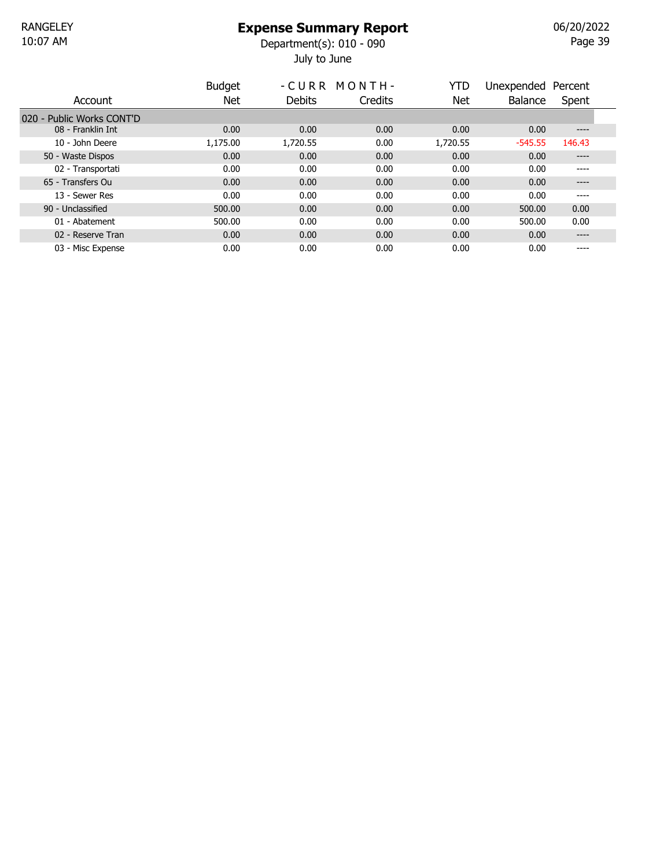July to June 10:07 AM Department(s): 010 - 090

Page 39 06/20/2022

|                           | <b>Budget</b> |          | -CURR MONTH- | YTD      | Unexpended Percent |        |  |
|---------------------------|---------------|----------|--------------|----------|--------------------|--------|--|
| Account                   | Net           | Debits   | Credits      | Net      | Balance            | Spent  |  |
| 020 - Public Works CONT'D |               |          |              |          |                    |        |  |
| 08 - Franklin Int         | 0.00          | 0.00     | 0.00         | 0.00     | 0.00               | $---$  |  |
| 10 - John Deere           | 1,175.00      | 1,720.55 | 0.00         | 1,720.55 | $-545.55$          | 146.43 |  |
| 50 - Waste Dispos         | 0.00          | 0.00     | 0.00         | 0.00     | 0.00               | ----   |  |
| 02 - Transportati         | 0.00          | 0.00     | 0.00         | 0.00     | 0.00               | ----   |  |
| 65 - Transfers Ou         | 0.00          | 0.00     | 0.00         | 0.00     | 0.00               | ----   |  |
| 13 - Sewer Res            | 0.00          | 0.00     | 0.00         | 0.00     | 0.00               | ----   |  |
| 90 - Unclassified         | 500.00        | 0.00     | 0.00         | 0.00     | 500.00             | 0.00   |  |
| 01 - Abatement            | 500.00        | 0.00     | 0.00         | 0.00     | 500.00             | 0.00   |  |
| 02 - Reserve Tran         | 0.00          | 0.00     | 0.00         | 0.00     | 0.00               | $---$  |  |
| 03 - Misc Expense         | 0.00          | 0.00     | 0.00         | 0.00     | 0.00               | $---$  |  |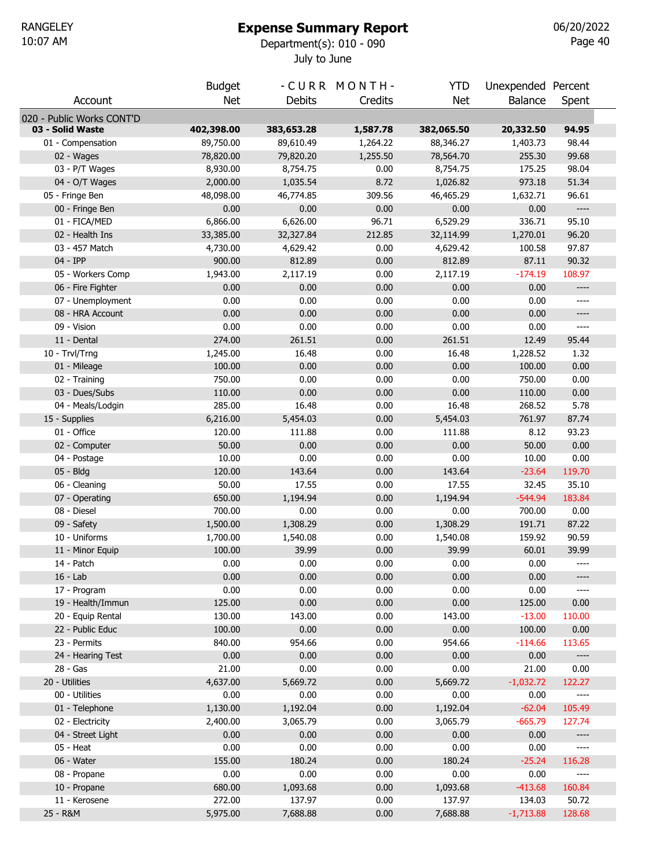# Expense Summary Report

July to June 10:07 AM Department(s): 010 - 090

Page 40 06/20/2022

|                                               | <b>Budget</b> |               | -CURR MONTH- | <b>YTD</b> | Unexpended Percent |                          |  |
|-----------------------------------------------|---------------|---------------|--------------|------------|--------------------|--------------------------|--|
| Account                                       | <b>Net</b>    | <b>Debits</b> | Credits      | <b>Net</b> | Balance            | Spent                    |  |
|                                               |               |               |              |            |                    |                          |  |
| 020 - Public Works CONT'D<br>03 - Solid Waste | 402,398.00    | 383,653.28    | 1,587.78     | 382,065.50 | 20,332.50          | 94.95                    |  |
| 01 - Compensation                             | 89,750.00     | 89,610.49     | 1,264.22     | 88,346.27  | 1,403.73           | 98.44                    |  |
| 02 - Wages                                    | 78,820.00     | 79,820.20     | 1,255.50     | 78,564.70  | 255.30             | 99.68                    |  |
| 03 - P/T Wages                                | 8,930.00      | 8,754.75      | 0.00         | 8,754.75   | 175.25             | 98.04                    |  |
| 04 - O/T Wages                                | 2,000.00      | 1,035.54      | 8.72         | 1,026.82   | 973.18             | 51.34                    |  |
| 05 - Fringe Ben                               | 48,098.00     | 46,774.85     | 309.56       | 46,465.29  | 1,632.71           | 96.61                    |  |
| 00 - Fringe Ben                               | 0.00          | 0.00          | 0.00         | 0.00       | 0.00               | $\overline{\phantom{a}}$ |  |
| 01 - FICA/MED                                 | 6,866.00      | 6,626.00      | 96.71        | 6,529.29   | 336.71             | 95.10                    |  |
| 02 - Health Ins                               | 33,385.00     | 32,327.84     | 212.85       | 32,114.99  | 1,270.01           | 96.20                    |  |
| 03 - 457 Match                                | 4,730.00      | 4,629.42      | 0.00         | 4,629.42   | 100.58             | 97.87                    |  |
| 04 - IPP                                      | 900.00        | 812.89        | 0.00         | 812.89     | 87.11              | 90.32                    |  |
| 05 - Workers Comp                             | 1,943.00      | 2,117.19      | 0.00         | 2,117.19   | $-174.19$          | 108.97                   |  |
| 06 - Fire Fighter                             | 0.00          | 0.00          | 0.00         | 0.00       | 0.00               | ----                     |  |
| 07 - Unemployment                             | 0.00          | 0.00          | 0.00         | 0.00       | 0.00               | ----                     |  |
| 08 - HRA Account                              | 0.00          | 0.00          | 0.00         | 0.00       | 0.00               | ----                     |  |
| 09 - Vision                                   | 0.00          | 0.00          | 0.00         | 0.00       | 0.00               | $---$                    |  |
| 11 - Dental                                   | 274.00        | 261.51        | 0.00         | 261.51     | 12.49              | 95.44                    |  |
| 10 - Trvl/Trng                                | 1,245.00      | 16.48         | 0.00         | 16.48      | 1,228.52           | 1.32                     |  |
| 01 - Mileage                                  | 100.00        | 0.00          | 0.00         | 0.00       | 100.00             | 0.00                     |  |
| 02 - Training                                 | 750.00        | 0.00          | 0.00         | 0.00       | 750.00             | 0.00                     |  |
| 03 - Dues/Subs                                | 110.00        | 0.00          | 0.00         | 0.00       | 110.00             | 0.00                     |  |
| 04 - Meals/Lodgin                             | 285.00        | 16.48         | 0.00         | 16.48      | 268.52             | 5.78                     |  |
| 15 - Supplies                                 | 6,216.00      | 5,454.03      | 0.00         | 5,454.03   | 761.97             | 87.74                    |  |
| 01 - Office                                   | 120.00        | 111.88        | 0.00         | 111.88     | 8.12               | 93.23                    |  |
| 02 - Computer                                 | 50.00         | 0.00          | 0.00         | 0.00       | 50.00              | 0.00                     |  |
| 04 - Postage                                  | 10.00         | 0.00          | 0.00         | 0.00       | 10.00              | 0.00                     |  |
| 05 - Bldg                                     | 120.00        | 143.64        | 0.00         | 143.64     | $-23.64$           | 119.70                   |  |
| 06 - Cleaning                                 | 50.00         | 17.55         | 0.00         | 17.55      | 32.45              | 35.10                    |  |
| 07 - Operating                                | 650.00        | 1,194.94      | 0.00         | 1,194.94   | $-544.94$          | 183.84                   |  |
| 08 - Diesel                                   | 700.00        | 0.00          | 0.00         | 0.00       | 700.00             | 0.00                     |  |
| 09 - Safety                                   | 1,500.00      | 1,308.29      | 0.00         | 1,308.29   | 191.71             | 87.22                    |  |
| 10 - Uniforms                                 | 1,700.00      | 1,540.08      | 0.00         | 1,540.08   | 159.92             | 90.59                    |  |
| 11 - Minor Equip                              | 100.00        | 39.99         | 0.00         | 39.99      | 60.01              | 39.99                    |  |
| 14 - Patch                                    | 0.00          | 0.00          | 0.00         | 0.00       | 0.00               | $---$                    |  |
| $16 - Lab$                                    | 0.00          | 0.00          | 0.00         | 0.00       | 0.00               | ----                     |  |
| 17 - Program                                  | 0.00          | 0.00          | 0.00         | 0.00       | 0.00               |                          |  |
| 19 - Health/Immun                             | 125.00        | 0.00          | 0.00         | 0.00       | 125.00             | 0.00                     |  |
| 20 - Equip Rental                             | 130.00        | 143.00        | 0.00         | 143.00     | $-13.00$           | 110.00                   |  |
| 22 - Public Educ                              | 100.00        | 0.00          | 0.00         | 0.00       | 100.00             | 0.00                     |  |
| 23 - Permits                                  | 840.00        | 954.66        | 0.00         | 954.66     | $-114.66$          | 113.65                   |  |
| 24 - Hearing Test                             | 0.00          | 0.00          | 0.00         | 0.00       | 0.00               | ----                     |  |
| 28 - Gas                                      | 21.00         | 0.00          | 0.00         | 0.00       | 21.00              | 0.00                     |  |
| 20 - Utilities                                | 4,637.00      | 5,669.72      | 0.00         | 5,669.72   | $-1,032.72$        | 122.27                   |  |
| 00 - Utilities                                | 0.00          | 0.00          | 0.00         | 0.00       | 0.00               | ----                     |  |
| 01 - Telephone                                | 1,130.00      | 1,192.04      | 0.00         | 1,192.04   | $-62.04$           | 105.49                   |  |
| 02 - Electricity                              | 2,400.00      | 3,065.79      | 0.00         | 3,065.79   | $-665.79$          | 127.74                   |  |
| 04 - Street Light                             | 0.00          | 0.00          | 0.00         | 0.00       | 0.00               | ----                     |  |
| 05 - Heat                                     | 0.00          | 0.00          | 0.00         | 0.00       | 0.00               | ----                     |  |
| 06 - Water                                    | 155.00        | 180.24        | 0.00         | 180.24     | $-25.24$           | 116.28                   |  |
| 08 - Propane                                  | 0.00          | 0.00          | 0.00         | 0.00       | 0.00               | ----                     |  |
| 10 - Propane                                  | 680.00        | 1,093.68      | 0.00         | 1,093.68   | $-413.68$          | 160.84                   |  |
| 11 - Kerosene                                 | 272.00        | 137.97        | 0.00         | 137.97     | 134.03             | 50.72                    |  |
| 25 - R&M                                      | 5,975.00      | 7,688.88      | 0.00         | 7,688.88   | $-1,713.88$        | 128.68                   |  |
|                                               |               |               |              |            |                    |                          |  |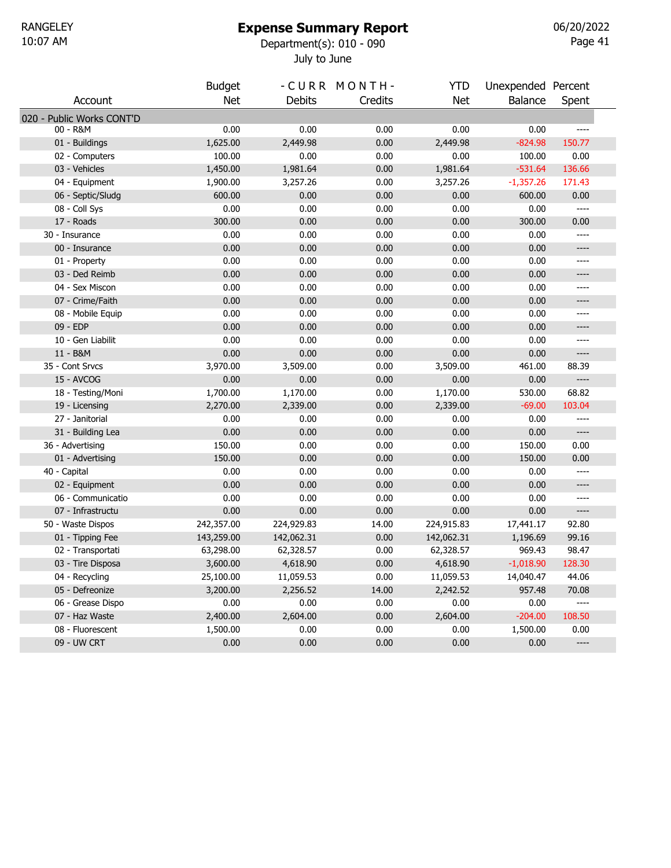# Expense Summary Report

July to June 10:07 AM Department(s): 010 - 090

Page 41 06/20/2022

|                           | <b>Budget</b> |            | -CURR MONTH- | <b>YTD</b> | Unexpended Percent |                                                                                                                                                                                                                                                                                                                                                                   |  |
|---------------------------|---------------|------------|--------------|------------|--------------------|-------------------------------------------------------------------------------------------------------------------------------------------------------------------------------------------------------------------------------------------------------------------------------------------------------------------------------------------------------------------|--|
| Account                   | <b>Net</b>    | Debits     | Credits      | <b>Net</b> | <b>Balance</b>     | Spent                                                                                                                                                                                                                                                                                                                                                             |  |
| 020 - Public Works CONT'D |               |            |              |            |                    |                                                                                                                                                                                                                                                                                                                                                                   |  |
| 00 - R&M                  | 0.00          | 0.00       | 0.00         | 0.00       | 0.00               |                                                                                                                                                                                                                                                                                                                                                                   |  |
| 01 - Buildings            | 1,625.00      | 2,449.98   | 0.00         | 2,449.98   | $-824.98$          | 150.77                                                                                                                                                                                                                                                                                                                                                            |  |
| 02 - Computers            | 100.00        | 0.00       | 0.00         | 0.00       | 100.00             | 0.00                                                                                                                                                                                                                                                                                                                                                              |  |
| 03 - Vehicles             | 1,450.00      | 1,981.64   | 0.00         | 1,981.64   | $-531.64$          | 136.66                                                                                                                                                                                                                                                                                                                                                            |  |
| 04 - Equipment            | 1,900.00      | 3,257.26   | 0.00         | 3,257.26   | $-1,357.26$        | 171.43                                                                                                                                                                                                                                                                                                                                                            |  |
| 06 - Septic/Sludg         | 600.00        | 0.00       | 0.00         | 0.00       | 600.00             | 0.00                                                                                                                                                                                                                                                                                                                                                              |  |
| 08 - Coll Sys             | 0.00          | 0.00       | 0.00         | 0.00       | 0.00               | ----                                                                                                                                                                                                                                                                                                                                                              |  |
| 17 - Roads                | 300.00        | 0.00       | 0.00         | 0.00       | 300.00             | 0.00                                                                                                                                                                                                                                                                                                                                                              |  |
| 30 - Insurance            | 0.00          | 0.00       | 0.00         | 0.00       | 0.00               | ----                                                                                                                                                                                                                                                                                                                                                              |  |
| 00 - Insurance            | 0.00          | 0.00       | 0.00         | 0.00       | 0.00               | ----                                                                                                                                                                                                                                                                                                                                                              |  |
| 01 - Property             | 0.00          | 0.00       | 0.00         | 0.00       | 0.00               | ----                                                                                                                                                                                                                                                                                                                                                              |  |
| 03 - Ded Reimb            | 0.00          | 0.00       | 0.00         | 0.00       | 0.00               | ----                                                                                                                                                                                                                                                                                                                                                              |  |
| 04 - Sex Miscon           | 0.00          | 0.00       | 0.00         | 0.00       | 0.00               | $---$                                                                                                                                                                                                                                                                                                                                                             |  |
| 07 - Crime/Faith          | 0.00          | 0.00       | 0.00         | 0.00       | 0.00               | ----                                                                                                                                                                                                                                                                                                                                                              |  |
| 08 - Mobile Equip         | 0.00          | 0.00       | 0.00         | 0.00       | 0.00               | $---$                                                                                                                                                                                                                                                                                                                                                             |  |
| 09 - EDP                  | 0.00          | 0.00       | 0.00         | 0.00       | 0.00               | ----                                                                                                                                                                                                                                                                                                                                                              |  |
| 10 - Gen Liabilit         | 0.00          | 0.00       | 0.00         | 0.00       | 0.00               | ----                                                                                                                                                                                                                                                                                                                                                              |  |
| 11 - B&M                  | 0.00          | 0.00       | 0.00         | 0.00       | 0.00               | ----                                                                                                                                                                                                                                                                                                                                                              |  |
| 35 - Cont Srvcs           | 3,970.00      | 3,509.00   | 0.00         | 3,509.00   | 461.00             | 88.39                                                                                                                                                                                                                                                                                                                                                             |  |
| 15 - AVCOG                | 0.00          | 0.00       | 0.00         | 0.00       | 0.00               | $\hspace{0.02in} \hspace{0.02in} \hspace{0.02in} \hspace{0.02in} \hspace{0.02in} \hspace{0.02in} \hspace{0.02in} \hspace{0.02in} \hspace{0.02in} \hspace{0.02in} \hspace{0.02in} \hspace{0.02in} \hspace{0.02in} \hspace{0.02in} \hspace{0.02in} \hspace{0.02in} \hspace{0.02in} \hspace{0.02in} \hspace{0.02in} \hspace{0.02in} \hspace{0.02in} \hspace{0.02in}$ |  |
| 18 - Testing/Moni         | 1,700.00      | 1,170.00   | 0.00         | 1,170.00   | 530.00             | 68.82                                                                                                                                                                                                                                                                                                                                                             |  |
| 19 - Licensing            | 2,270.00      | 2,339.00   | 0.00         | 2,339.00   | $-69.00$           | 103.04                                                                                                                                                                                                                                                                                                                                                            |  |
| 27 - Janitorial           | 0.00          | 0.00       | 0.00         | 0.00       | 0.00               |                                                                                                                                                                                                                                                                                                                                                                   |  |
| 31 - Building Lea         | 0.00          | 0.00       | 0.00         | 0.00       | 0.00               | $---$                                                                                                                                                                                                                                                                                                                                                             |  |
| 36 - Advertising          | 150.00        | 0.00       | 0.00         | 0.00       | 150.00             | 0.00                                                                                                                                                                                                                                                                                                                                                              |  |
| 01 - Advertising          | 150.00        | 0.00       | 0.00         | 0.00       | 150.00             | 0.00                                                                                                                                                                                                                                                                                                                                                              |  |
| 40 - Capital              | 0.00          | 0.00       | 0.00         | 0.00       | 0.00               | ----                                                                                                                                                                                                                                                                                                                                                              |  |
| 02 - Equipment            | 0.00          | 0.00       | 0.00         | 0.00       | 0.00               | ----                                                                                                                                                                                                                                                                                                                                                              |  |
| 06 - Communicatio         | 0.00          | 0.00       | 0.00         | 0.00       | 0.00               | ----                                                                                                                                                                                                                                                                                                                                                              |  |
| 07 - Infrastructu         | 0.00          | 0.00       | 0.00         | 0.00       | 0.00               | $\hspace{1.5cm} \textbf{---} \hspace{1.5cm}$                                                                                                                                                                                                                                                                                                                      |  |
| 50 - Waste Dispos         | 242,357.00    | 224,929.83 | 14.00        | 224,915.83 | 17,441.17          | 92.80                                                                                                                                                                                                                                                                                                                                                             |  |
| 01 - Tipping Fee          | 143,259.00    | 142,062.31 | 0.00         | 142,062.31 | 1,196.69           | 99.16                                                                                                                                                                                                                                                                                                                                                             |  |
| 02 - Transportati         | 63,298.00     | 62,328.57  | 0.00         | 62,328.57  | 969.43             | 98.47                                                                                                                                                                                                                                                                                                                                                             |  |
| 03 - Tire Disposa         | 3,600.00      | 4,618.90   | 0.00         | 4,618.90   | $-1,018.90$        | 128.30                                                                                                                                                                                                                                                                                                                                                            |  |
| 04 - Recycling            | 25,100.00     | 11,059.53  | 0.00         | 11,059.53  | 14,040.47          | 44.06                                                                                                                                                                                                                                                                                                                                                             |  |
| 05 - Defreonize           | 3,200.00      | 2,256.52   | 14.00        | 2,242.52   | 957.48             | 70.08                                                                                                                                                                                                                                                                                                                                                             |  |
| 06 - Grease Dispo         | 0.00          | 0.00       | 0.00         | 0.00       | 0.00               | ----                                                                                                                                                                                                                                                                                                                                                              |  |
| 07 - Haz Waste            | 2,400.00      | 2,604.00   | 0.00         | 2,604.00   | $-204.00$          | 108.50                                                                                                                                                                                                                                                                                                                                                            |  |
| 08 - Fluorescent          | 1,500.00      | 0.00       | 0.00         | 0.00       | 1,500.00           | 0.00                                                                                                                                                                                                                                                                                                                                                              |  |
| 09 - UW CRT               | 0.00          | 0.00       | 0.00         | 0.00       | 0.00               | $\hspace{0.05cm} \textbf{---}$                                                                                                                                                                                                                                                                                                                                    |  |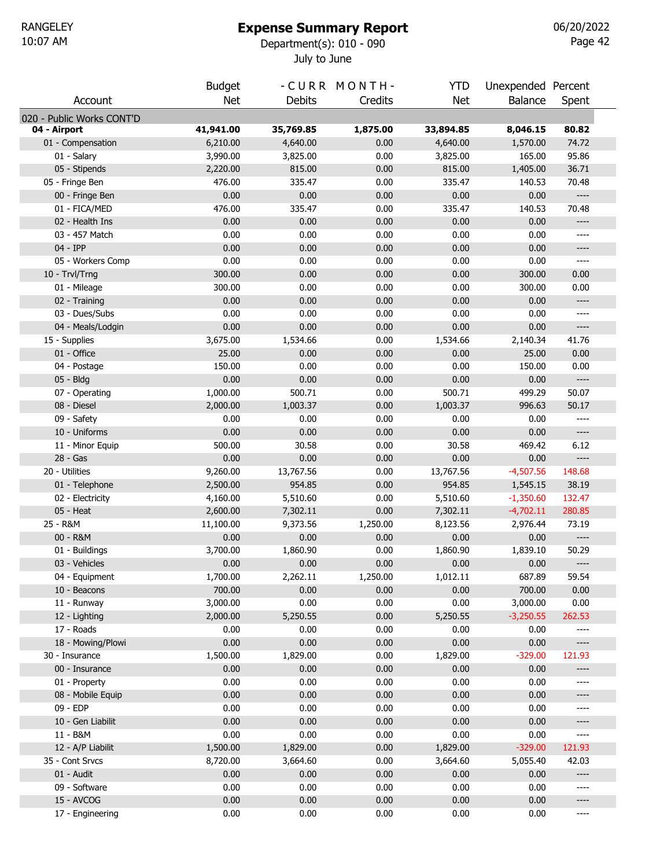# Expense Summary Report

July to June 10:07 AM Department(s): 010 - 090

Page 42 06/20/2022

|                           | <b>Budget</b> |               | -CURR MONTH- | <b>YTD</b> | Unexpended Percent |                                                                                                                                                                                                   |
|---------------------------|---------------|---------------|--------------|------------|--------------------|---------------------------------------------------------------------------------------------------------------------------------------------------------------------------------------------------|
| Account                   | <b>Net</b>    | <b>Debits</b> | Credits      | <b>Net</b> | Balance            | Spent                                                                                                                                                                                             |
| 020 - Public Works CONT'D |               |               |              |            |                    |                                                                                                                                                                                                   |
| 04 - Airport              | 41,941.00     | 35,769.85     | 1,875.00     | 33,894.85  | 8,046.15           | 80.82                                                                                                                                                                                             |
| 01 - Compensation         | 6,210.00      | 4,640.00      | 0.00         | 4,640.00   | 1,570.00           | 74.72                                                                                                                                                                                             |
| 01 - Salary               | 3,990.00      | 3,825.00      | 0.00         | 3,825.00   | 165.00             | 95.86                                                                                                                                                                                             |
| 05 - Stipends             | 2,220.00      | 815.00        | 0.00         | 815.00     | 1,405.00           | 36.71                                                                                                                                                                                             |
| 05 - Fringe Ben           | 476.00        | 335.47        | 0.00         | 335.47     | 140.53             | 70.48                                                                                                                                                                                             |
| 00 - Fringe Ben           | 0.00          | 0.00          | 0.00         | 0.00       | 0.00               | $\hspace{0.02in} \hspace{0.02in} \hspace{0.02in} \hspace{0.02in} \hspace{0.02in} \hspace{0.02in} \hspace{0.02in} \hspace{0.02in} \hspace{0.02in} \hspace{0.02in} \hspace{0.02in} \hspace{0.02in}$ |
| 01 - FICA/MED             | 476.00        | 335.47        | 0.00         | 335.47     | 140.53             | 70.48                                                                                                                                                                                             |
| 02 - Health Ins           | 0.00          | 0.00          | 0.00         | 0.00       | 0.00               | ----                                                                                                                                                                                              |
| 03 - 457 Match            | 0.00          | 0.00          | 0.00         | 0.00       | 0.00               | ----                                                                                                                                                                                              |
| 04 - IPP                  | 0.00          | 0.00          | 0.00         | 0.00       | 0.00               | ----                                                                                                                                                                                              |
| 05 - Workers Comp         | 0.00          | 0.00          | 0.00         | 0.00       | 0.00               | ----                                                                                                                                                                                              |
| 10 - Trvl/Trng            | 300.00        | 0.00          | 0.00         | 0.00       | 300.00             | 0.00                                                                                                                                                                                              |
| 01 - Mileage              | 300.00        | 0.00          | 0.00         | 0.00       | 300.00             | 0.00                                                                                                                                                                                              |
| 02 - Training             | 0.00          | 0.00          | 0.00         | 0.00       | 0.00               | $-----$                                                                                                                                                                                           |
| 03 - Dues/Subs            | 0.00          | 0.00          | 0.00         | 0.00       | 0.00               | ----                                                                                                                                                                                              |
| 04 - Meals/Lodgin         | 0.00          | 0.00          | 0.00         | 0.00       | 0.00               | ----                                                                                                                                                                                              |
| 15 - Supplies             | 3,675.00      | 1,534.66      | 0.00         | 1,534.66   | 2,140.34           | 41.76                                                                                                                                                                                             |
| 01 - Office               | 25.00         | 0.00          | 0.00         | 0.00       | 25.00              | 0.00                                                                                                                                                                                              |
| 04 - Postage              | 150.00        | 0.00          | 0.00         | 0.00       | 150.00             | 0.00                                                                                                                                                                                              |
| 05 - Bldg                 | 0.00          | 0.00          | 0.00         | 0.00       | 0.00               | $\hspace{0.02in} \hspace{0.02in} \hspace{0.02in} \hspace{0.02in} \hspace{0.02in} \hspace{0.02in} \hspace{0.02in} \hspace{0.02in} \hspace{0.02in} \hspace{0.02in} \hspace{0.02in} \hspace{0.02in}$ |
| 07 - Operating            | 1,000.00      | 500.71        | 0.00         | 500.71     | 499.29             | 50.07                                                                                                                                                                                             |
| 08 - Diesel               | 2,000.00      | 1,003.37      | 0.00         | 1,003.37   | 996.63             | 50.17                                                                                                                                                                                             |
| 09 - Safety               | 0.00          | 0.00          | 0.00         | 0.00       | 0.00               | ----                                                                                                                                                                                              |
| 10 - Uniforms             | 0.00          | 0.00          | 0.00         | 0.00       | 0.00               | $---$                                                                                                                                                                                             |
| 11 - Minor Equip          | 500.00        | 30.58         | 0.00         | 30.58      | 469.42             | 6.12                                                                                                                                                                                              |
| 28 - Gas                  | 0.00          | 0.00          | 0.00         | 0.00       | 0.00               | ----                                                                                                                                                                                              |
| 20 - Utilities            | 9,260.00      | 13,767.56     | 0.00         | 13,767.56  | $-4,507.56$        | 148.68                                                                                                                                                                                            |
| 01 - Telephone            | 2,500.00      | 954.85        | 0.00         | 954.85     | 1,545.15           | 38.19                                                                                                                                                                                             |
| 02 - Electricity          | 4,160.00      | 5,510.60      | 0.00         | 5,510.60   | $-1,350.60$        | 132.47                                                                                                                                                                                            |
| 05 - Heat                 | 2,600.00      | 7,302.11      | 0.00         | 7,302.11   | $-4,702.11$        | 280.85                                                                                                                                                                                            |
| 25 - R&M                  | 11,100.00     | 9,373.56      | 1,250.00     | 8,123.56   | 2,976.44           | 73.19                                                                                                                                                                                             |
| 00 - R&M                  | 0.00          | 0.00          | 0.00         | 0.00       | 0.00               | $\hspace{1.5cm} \textbf{---} \hspace{1.5cm}$                                                                                                                                                      |
| 01 - Buildings            | 3,700.00      | 1,860.90      | 0.00         | 1,860.90   | 1,839.10           | 50.29                                                                                                                                                                                             |
| 03 - Vehicles             | 0.00          | 0.00          | 0.00         | 0.00       | 0.00               | ----                                                                                                                                                                                              |
| 04 - Equipment            | 1,700.00      | 2,262.11      | 1,250.00     | 1,012.11   | 687.89             | 59.54                                                                                                                                                                                             |
| 10 - Beacons              | 700.00        | 0.00          | 0.00         | 0.00       | 700.00             | 0.00                                                                                                                                                                                              |
| 11 - Runway               | 3,000.00      | 0.00          | 0.00         | 0.00       | 3,000.00           | 0.00                                                                                                                                                                                              |
| 12 - Lighting             | 2,000.00      | 5,250.55      | 0.00         | 5,250.55   | $-3,250.55$        | 262.53                                                                                                                                                                                            |
| 17 - Roads                | 0.00          | 0.00          | 0.00         | 0.00       | 0.00               | $---$                                                                                                                                                                                             |
| 18 - Mowing/Plowi         | 0.00          | 0.00          | 0.00         | 0.00       | 0.00               | $\hspace{0.05cm} \ldots \hspace{0.05cm}$                                                                                                                                                          |
| 30 - Insurance            | 1,500.00      | 1,829.00      | 0.00         | 1,829.00   | $-329.00$          | 121.93                                                                                                                                                                                            |
| 00 - Insurance            | 0.00          | 0.00          | 0.00         | 0.00       | 0.00               | ----                                                                                                                                                                                              |
| 01 - Property             | 0.00          | 0.00          | 0.00         | 0.00       | 0.00               | ----                                                                                                                                                                                              |
| 08 - Mobile Equip         | 0.00          | 0.00          | 0.00         | 0.00       | 0.00               | ----                                                                                                                                                                                              |
| 09 - EDP                  | 0.00          | 0.00          | 0.00         | 0.00       | 0.00               | ----                                                                                                                                                                                              |
| 10 - Gen Liabilit         | 0.00          | 0.00          | 0.00         | 0.00       | 0.00               | ----                                                                                                                                                                                              |
| 11 - B&M                  | 0.00          | 0.00          | 0.00         | 0.00       | 0.00               | $---$                                                                                                                                                                                             |
| 12 - A/P Liabilit         | 1,500.00      | 1,829.00      | 0.00         | 1,829.00   | $-329.00$          | 121.93                                                                                                                                                                                            |
| 35 - Cont Srvcs           | 8,720.00      | 3,664.60      | 0.00         | 3,664.60   | 5,055.40           | 42.03                                                                                                                                                                                             |
| 01 - Audit                | 0.00          | 0.00          | 0.00         | 0.00       | 0.00               | ----                                                                                                                                                                                              |
| 09 - Software             | 0.00          | 0.00          | 0.00         | 0.00       | 0.00               | ----                                                                                                                                                                                              |
| 15 - AVCOG                | 0.00          | 0.00          | 0.00         | 0.00       | 0.00               | ----                                                                                                                                                                                              |
| 17 - Engineering          | 0.00          | 0.00          | 0.00         | 0.00       | 0.00               | ----                                                                                                                                                                                              |
|                           |               |               |              |            |                    |                                                                                                                                                                                                   |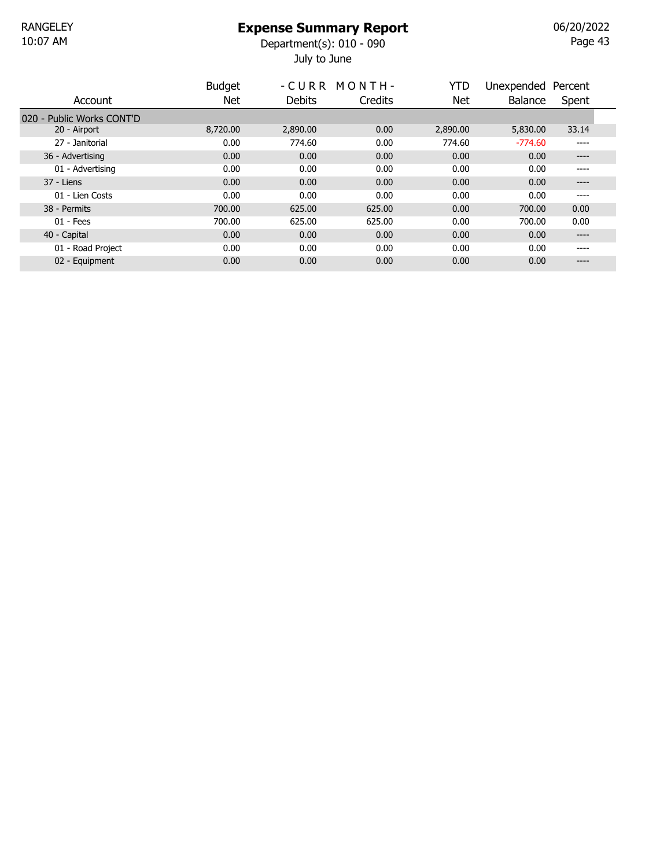July to June 10:07 AM Department(s): 010 - 090

Page 43 06/20/2022

|                           | <b>Budget</b> |          | -CURR MONTH- | YTD      | Unexpended Percent |       |  |
|---------------------------|---------------|----------|--------------|----------|--------------------|-------|--|
| Account                   | Net           | Debits   | Credits      | Net      | <b>Balance</b>     | Spent |  |
| 020 - Public Works CONT'D |               |          |              |          |                    |       |  |
| 20 - Airport              | 8,720.00      | 2,890.00 | 0.00         | 2,890.00 | 5,830.00           | 33.14 |  |
| 27 - Janitorial           | 0.00          | 774.60   | 0.00         | 774.60   | $-774.60$          | ----  |  |
| 36 - Advertising          | 0.00          | 0.00     | 0.00         | 0.00     | 0.00               | ----  |  |
| 01 - Advertising          | 0.00          | 0.00     | 0.00         | 0.00     | 0.00               | ----  |  |
| 37 - Liens                | 0.00          | 0.00     | 0.00         | 0.00     | 0.00               | ----  |  |
| 01 - Lien Costs           | 0.00          | 0.00     | 0.00         | 0.00     | 0.00               | ----  |  |
| 38 - Permits              | 700.00        | 625.00   | 625.00       | 0.00     | 700.00             | 0.00  |  |
| $01 - Fees$               | 700.00        | 625.00   | 625.00       | 0.00     | 700.00             | 0.00  |  |
| 40 - Capital              | 0.00          | 0.00     | 0.00         | 0.00     | 0.00               | ----  |  |
| 01 - Road Project         | 0.00          | 0.00     | 0.00         | 0.00     | 0.00               | ----  |  |
| 02 - Equipment            | 0.00          | 0.00     | 0.00         | 0.00     | 0.00               | ----  |  |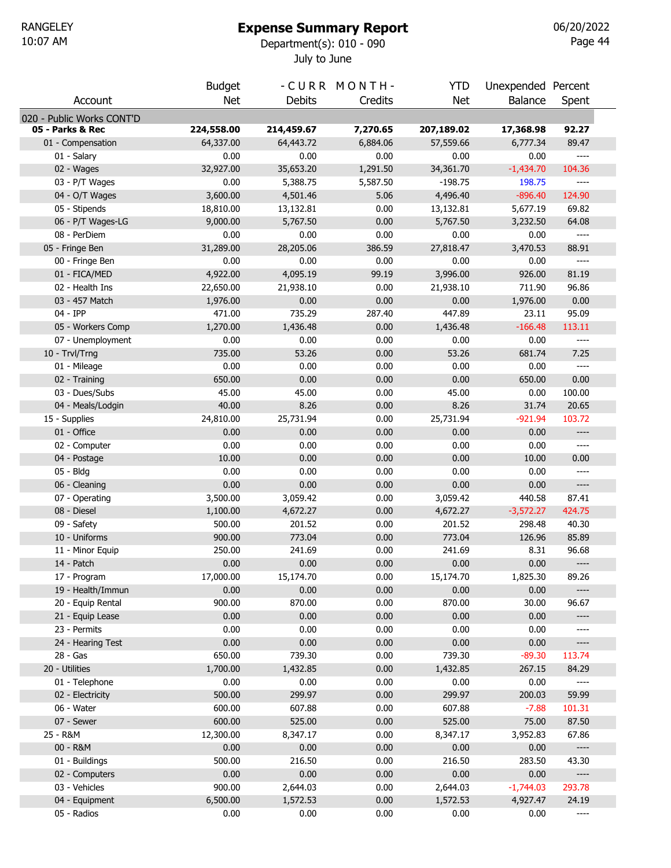#### Expense Summary Report

July to June 10:07 AM Department(s): 010 - 090

Page 44 06/20/2022

|                           | <b>Budget</b> |               | -CURR MONTH- | YTD        | Unexpended Percent |                                                                                                                                                                                                                                                                                                                                                                   |  |
|---------------------------|---------------|---------------|--------------|------------|--------------------|-------------------------------------------------------------------------------------------------------------------------------------------------------------------------------------------------------------------------------------------------------------------------------------------------------------------------------------------------------------------|--|
| Account                   | <b>Net</b>    | <b>Debits</b> | Credits      | <b>Net</b> | Balance            | Spent                                                                                                                                                                                                                                                                                                                                                             |  |
| 020 - Public Works CONT'D |               |               |              |            |                    |                                                                                                                                                                                                                                                                                                                                                                   |  |
| 05 - Parks & Rec          | 224,558.00    | 214,459.67    | 7,270.65     | 207,189.02 | 17,368.98          | 92.27                                                                                                                                                                                                                                                                                                                                                             |  |
| 01 - Compensation         | 64,337.00     | 64,443.72     | 6,884.06     | 57,559.66  | 6,777.34           | 89.47                                                                                                                                                                                                                                                                                                                                                             |  |
| 01 - Salary               | 0.00          | 0.00          | 0.00         | 0.00       | 0.00               | $\qquad \qquad - - -$                                                                                                                                                                                                                                                                                                                                             |  |
| 02 - Wages                | 32,927.00     | 35,653.20     | 1,291.50     | 34,361.70  | $-1,434.70$        | 104.36                                                                                                                                                                                                                                                                                                                                                            |  |
| 03 - P/T Wages            | 0.00          | 5,388.75      | 5,587.50     | $-198.75$  | 198.75             | $---$                                                                                                                                                                                                                                                                                                                                                             |  |
| 04 - O/T Wages            | 3,600.00      | 4,501.46      | 5.06         | 4,496.40   | $-896.40$          | 124.90                                                                                                                                                                                                                                                                                                                                                            |  |
| 05 - Stipends             | 18,810.00     | 13,132.81     | 0.00         | 13,132.81  | 5,677.19           | 69.82                                                                                                                                                                                                                                                                                                                                                             |  |
| 06 - P/T Wages-LG         | 9,000.00      | 5,767.50      | 0.00         | 5,767.50   | 3,232.50           | 64.08                                                                                                                                                                                                                                                                                                                                                             |  |
| 08 - PerDiem              | 0.00          | 0.00          | 0.00         | 0.00       | 0.00               | $\hspace{0.02in} \hspace{0.02in} \hspace{0.02in} \hspace{0.02in} \hspace{0.02in} \hspace{0.02in} \hspace{0.02in} \hspace{0.02in} \hspace{0.02in} \hspace{0.02in} \hspace{0.02in} \hspace{0.02in}$                                                                                                                                                                 |  |
| 05 - Fringe Ben           | 31,289.00     | 28,205.06     | 386.59       | 27,818.47  | 3,470.53           | 88.91                                                                                                                                                                                                                                                                                                                                                             |  |
| 00 - Fringe Ben           | 0.00          | 0.00          | 0.00         | 0.00       | 0.00               | $\hspace{1.5cm} \textbf{---}$                                                                                                                                                                                                                                                                                                                                     |  |
| 01 - FICA/MED             | 4,922.00      | 4,095.19      | 99.19        | 3,996.00   | 926.00             | 81.19                                                                                                                                                                                                                                                                                                                                                             |  |
| 02 - Health Ins           | 22,650.00     | 21,938.10     | 0.00         | 21,938.10  | 711.90             | 96.86                                                                                                                                                                                                                                                                                                                                                             |  |
| 03 - 457 Match            | 1,976.00      | 0.00          | 0.00         | 0.00       | 1,976.00           | 0.00                                                                                                                                                                                                                                                                                                                                                              |  |
| 04 - IPP                  | 471.00        | 735.29        | 287.40       | 447.89     | 23.11              | 95.09                                                                                                                                                                                                                                                                                                                                                             |  |
| 05 - Workers Comp         | 1,270.00      | 1,436.48      | 0.00         | 1,436.48   | $-166.48$          | 113.11                                                                                                                                                                                                                                                                                                                                                            |  |
| 07 - Unemployment         | 0.00          | 0.00          | 0.00         | 0.00       | 0.00               | $\qquad \qquad - - -$                                                                                                                                                                                                                                                                                                                                             |  |
| 10 - Trvl/Trng            | 735.00        | 53.26         | 0.00         | 53.26      | 681.74             | 7.25                                                                                                                                                                                                                                                                                                                                                              |  |
| 01 - Mileage              | 0.00          | 0.00          | 0.00         | 0.00       | 0.00               | $\hspace{0.02in} \hspace{0.02in} \hspace{0.02in} \hspace{0.02in} \hspace{0.02in} \hspace{0.02in} \hspace{0.02in} \hspace{0.02in} \hspace{0.02in} \hspace{0.02in} \hspace{0.02in} \hspace{0.02in}$                                                                                                                                                                 |  |
| 02 - Training             | 650.00        | 0.00          | 0.00         | 0.00       | 650.00             | 0.00                                                                                                                                                                                                                                                                                                                                                              |  |
| 03 - Dues/Subs            | 45.00         | 45.00         | 0.00         | 45.00      | 0.00               | 100.00                                                                                                                                                                                                                                                                                                                                                            |  |
| 04 - Meals/Lodgin         | 40.00         | 8.26          | 0.00         | 8.26       | 31.74              | 20.65                                                                                                                                                                                                                                                                                                                                                             |  |
| 15 - Supplies             | 24,810.00     | 25,731.94     | 0.00         | 25,731.94  | $-921.94$          | 103.72                                                                                                                                                                                                                                                                                                                                                            |  |
| 01 - Office               | 0.00          | 0.00          | 0.00         | 0.00       | 0.00               | $\hspace{0.02in} \hspace{0.02in} \hspace{0.02in} \hspace{0.02in} \hspace{0.02in} \hspace{0.02in} \hspace{0.02in} \hspace{0.02in} \hspace{0.02in} \hspace{0.02in} \hspace{0.02in} \hspace{0.02in} \hspace{0.02in} \hspace{0.02in} \hspace{0.02in} \hspace{0.02in} \hspace{0.02in} \hspace{0.02in} \hspace{0.02in} \hspace{0.02in} \hspace{0.02in} \hspace{0.02in}$ |  |
| 02 - Computer             | 0.00          | 0.00          | 0.00         | 0.00       | 0.00               | $\hspace{1.5cm} \textbf{---}$                                                                                                                                                                                                                                                                                                                                     |  |
| 04 - Postage              | 10.00         | 0.00          | 0.00         | 0.00       | 10.00              | 0.00                                                                                                                                                                                                                                                                                                                                                              |  |
| 05 - Bldg                 | 0.00          | 0.00          | 0.00         | 0.00       | 0.00               | $\cdots$                                                                                                                                                                                                                                                                                                                                                          |  |
| 06 - Cleaning             | 0.00          | 0.00          | 0.00         | 0.00       | 0.00               | $\hspace{0.05cm} \ldots \hspace{0.05cm}$                                                                                                                                                                                                                                                                                                                          |  |
| 07 - Operating            | 3,500.00      | 3,059.42      | 0.00         | 3,059.42   | 440.58             | 87.41                                                                                                                                                                                                                                                                                                                                                             |  |
| 08 - Diesel               | 1,100.00      | 4,672.27      | 0.00         | 4,672.27   | $-3,572.27$        | 424.75                                                                                                                                                                                                                                                                                                                                                            |  |
| 09 - Safety               | 500.00        | 201.52        | 0.00         | 201.52     | 298.48             | 40.30                                                                                                                                                                                                                                                                                                                                                             |  |
| 10 - Uniforms             | 900.00        | 773.04        | 0.00         | 773.04     | 126.96             | 85.89                                                                                                                                                                                                                                                                                                                                                             |  |
| 11 - Minor Equip          | 250.00        | 241.69        | 0.00         | 241.69     | 8.31               | 96.68                                                                                                                                                                                                                                                                                                                                                             |  |
| 14 - Patch                | 0.00          | 0.00          | 0.00         | 0.00       | 0.00               | $\hspace{0.02in} \hspace{0.02in} \hspace{0.02in} \hspace{0.02in} \hspace{0.02in} \hspace{0.02in} \hspace{0.02in} \hspace{0.02in} \hspace{0.02in} \hspace{0.02in} \hspace{0.02in} \hspace{0.02in} \hspace{0.02in} \hspace{0.02in} \hspace{0.02in} \hspace{0.02in} \hspace{0.02in} \hspace{0.02in} \hspace{0.02in} \hspace{0.02in} \hspace{0.02in} \hspace{0.02in}$ |  |
| 17 - Program              | 17,000.00     | 15,174.70     | 0.00         | 15,174.70  | 1,825.30           | 89.26                                                                                                                                                                                                                                                                                                                                                             |  |
| 19 - Health/Immun         | 0.00          | 0.00          | 0.00         | 0.00       | 0.00               | $\hspace{0.02in} \hspace{0.02in} \hspace{0.02in} \hspace{0.02in} \hspace{0.02in} \hspace{0.02in} \hspace{0.02in} \hspace{0.02in} \hspace{0.02in} \hspace{0.02in} \hspace{0.02in} \hspace{0.02in} \hspace{0.02in} \hspace{0.02in} \hspace{0.02in} \hspace{0.02in} \hspace{0.02in} \hspace{0.02in} \hspace{0.02in} \hspace{0.02in} \hspace{0.02in} \hspace{0.02in}$ |  |
| 20 - Equip Rental         | 900.00        | 870.00        | 0.00         | 870.00     | 30.00              | 96.67                                                                                                                                                                                                                                                                                                                                                             |  |
| 21 - Equip Lease          | 0.00          | 0.00          | 0.00         | 0.00       | 0.00               | $\hspace{0.02in} \hspace{0.02in} \hspace{0.02in} \hspace{0.02in} \hspace{0.02in} \hspace{0.02in} \hspace{0.02in} \hspace{0.02in} \hspace{0.02in} \hspace{0.02in} \hspace{0.02in} \hspace{0.02in} \hspace{0.02in} \hspace{0.02in} \hspace{0.02in} \hspace{0.02in} \hspace{0.02in} \hspace{0.02in} \hspace{0.02in} \hspace{0.02in} \hspace{0.02in} \hspace{0.02in}$ |  |
| 23 - Permits              | 0.00          | 0.00          | 0.00         | 0.00       | 0.00               | ----                                                                                                                                                                                                                                                                                                                                                              |  |
| 24 - Hearing Test         | 0.00          | 0.00          | 0.00         | 0.00       | 0.00               | $\hspace{1.5cm} \textbf{---}$                                                                                                                                                                                                                                                                                                                                     |  |
| 28 - Gas                  | 650.00        | 739.30        | 0.00         | 739.30     | $-89.30$           | 113.74                                                                                                                                                                                                                                                                                                                                                            |  |
| 20 - Utilities            | 1,700.00      | 1,432.85      | 0.00         | 1,432.85   | 267.15             | 84.29                                                                                                                                                                                                                                                                                                                                                             |  |
| 01 - Telephone            | 0.00          | 0.00          | 0.00         | 0.00       | 0.00               | $\qquad \qquad - - -$                                                                                                                                                                                                                                                                                                                                             |  |
| 02 - Electricity          | 500.00        | 299.97        | 0.00         | 299.97     | 200.03             | 59.99                                                                                                                                                                                                                                                                                                                                                             |  |
| 06 - Water                | 600.00        | 607.88        | 0.00         | 607.88     | $-7.88$            | 101.31                                                                                                                                                                                                                                                                                                                                                            |  |
| 07 - Sewer                | 600.00        | 525.00        | 0.00         | 525.00     | 75.00              | 87.50                                                                                                                                                                                                                                                                                                                                                             |  |
| 25 - R&M                  | 12,300.00     | 8,347.17      | 0.00         | 8,347.17   | 3,952.83           | 67.86                                                                                                                                                                                                                                                                                                                                                             |  |
| 00 - R&M                  | 0.00          | 0.00          | 0.00         | 0.00       | 0.00               | $\hspace{0.05cm} \textbf{---}$                                                                                                                                                                                                                                                                                                                                    |  |
| 01 - Buildings            | 500.00        | 216.50        | 0.00         | 216.50     | 283.50             | 43.30                                                                                                                                                                                                                                                                                                                                                             |  |
| 02 - Computers            | 0.00          | 0.00          | 0.00         | 0.00       | 0.00               | $\hspace{0.05cm} \textbf{---}$                                                                                                                                                                                                                                                                                                                                    |  |
| 03 - Vehicles             | 900.00        | 2,644.03      | 0.00         | 2,644.03   | $-1,744.03$        | 293.78                                                                                                                                                                                                                                                                                                                                                            |  |
| 04 - Equipment            | 6,500.00      | 1,572.53      | 0.00         | 1,572.53   | 4,927.47           | 24.19                                                                                                                                                                                                                                                                                                                                                             |  |
| 05 - Radios               | 0.00          | 0.00          | 0.00         | 0.00       | 0.00               | $\hspace{1.5cm} \textbf{---} \hspace{1.5cm}$                                                                                                                                                                                                                                                                                                                      |  |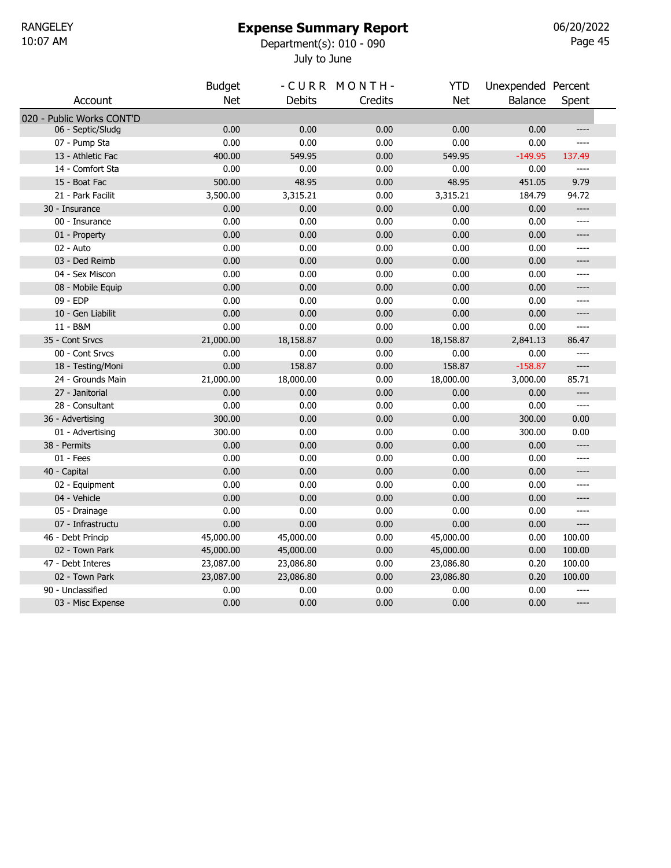# Expense Summary Report

July to June 10:07 AM Department(s): 010 - 090

Page 45 06/20/2022

|                           | <b>Budget</b> |               | -CURR MONTH- | <b>YTD</b> | Unexpended Percent |        |
|---------------------------|---------------|---------------|--------------|------------|--------------------|--------|
| Account                   | <b>Net</b>    | <b>Debits</b> | Credits      | <b>Net</b> | Balance            | Spent  |
| 020 - Public Works CONT'D |               |               |              |            |                    |        |
| 06 - Septic/Sludg         | 0.00          | 0.00          | 0.00         | 0.00       | 0.00               | $---$  |
| 07 - Pump Sta             | 0.00          | 0.00          | 0.00         | 0.00       | 0.00               | ----   |
| 13 - Athletic Fac         | 400.00        | 549.95        | 0.00         | 549.95     | $-149.95$          | 137.49 |
| 14 - Comfort Sta          | 0.00          | 0.00          | 0.00         | 0.00       | 0.00               | ----   |
| 15 - Boat Fac             | 500.00        | 48.95         | 0.00         | 48.95      | 451.05             | 9.79   |
| 21 - Park Facilit         | 3,500.00      | 3,315.21      | 0.00         | 3,315.21   | 184.79             | 94.72  |
| 30 - Insurance            | 0.00          | 0.00          | 0.00         | 0.00       | 0.00               | ----   |
| 00 - Insurance            | 0.00          | 0.00          | 0.00         | 0.00       | 0.00               | $---$  |
| 01 - Property             | 0.00          | 0.00          | 0.00         | 0.00       | 0.00               | ----   |
| 02 - Auto                 | 0.00          | 0.00          | 0.00         | 0.00       | 0.00               | ----   |
| 03 - Ded Reimb            | 0.00          | 0.00          | 0.00         | 0.00       | 0.00               | ----   |
| 04 - Sex Miscon           | 0.00          | 0.00          | 0.00         | 0.00       | 0.00               | ----   |
| 08 - Mobile Equip         | 0.00          | 0.00          | 0.00         | 0.00       | 0.00               | $---$  |
| 09 - EDP                  | 0.00          | 0.00          | 0.00         | 0.00       | 0.00               | $---$  |
| 10 - Gen Liabilit         | 0.00          | 0.00          | 0.00         | 0.00       | 0.00               | ----   |
| 11 - B&M                  | 0.00          | 0.00          | 0.00         | 0.00       | 0.00               | $---$  |
| 35 - Cont Srvcs           | 21,000.00     | 18,158.87     | 0.00         | 18,158.87  | 2,841.13           | 86.47  |
| 00 - Cont Srvcs           | 0.00          | 0.00          | 0.00         | 0.00       | 0.00               |        |
| 18 - Testing/Moni         | 0.00          | 158.87        | 0.00         | 158.87     | $-158.87$          | $---$  |
| 24 - Grounds Main         | 21,000.00     | 18,000.00     | 0.00         | 18,000.00  | 3,000.00           | 85.71  |
| 27 - Janitorial           | 0.00          | 0.00          | 0.00         | 0.00       | 0.00               | ----   |
| 28 - Consultant           | 0.00          | 0.00          | 0.00         | 0.00       | 0.00               | $---$  |
| 36 - Advertising          | 300.00        | 0.00          | 0.00         | 0.00       | 300.00             | 0.00   |
| 01 - Advertising          | 300.00        | 0.00          | 0.00         | 0.00       | 300.00             | 0.00   |
| 38 - Permits              | 0.00          | 0.00          | 0.00         | 0.00       | 0.00               | $---$  |
| $01 - Fees$               | 0.00          | 0.00          | 0.00         | 0.00       | 0.00               | $---$  |
| 40 - Capital              | 0.00          | 0.00          | 0.00         | 0.00       | 0.00               | ----   |
| 02 - Equipment            | 0.00          | 0.00          | 0.00         | 0.00       | 0.00               | ----   |
| 04 - Vehicle              | 0.00          | 0.00          | 0.00         | 0.00       | 0.00               | ----   |
| 05 - Drainage             | 0.00          | 0.00          | 0.00         | 0.00       | 0.00               | ----   |
| 07 - Infrastructu         | 0.00          | 0.00          | 0.00         | 0.00       | 0.00               | ----   |
| 46 - Debt Princip         | 45,000.00     | 45,000.00     | 0.00         | 45,000.00  | 0.00               | 100.00 |
| 02 - Town Park            | 45,000.00     | 45,000.00     | 0.00         | 45,000.00  | 0.00               | 100.00 |
| 47 - Debt Interes         | 23,087.00     | 23,086.80     | 0.00         | 23,086.80  | 0.20               | 100.00 |
| 02 - Town Park            | 23,087.00     | 23,086.80     | 0.00         | 23,086.80  | 0.20               | 100.00 |
| 90 - Unclassified         | 0.00          | 0.00          | 0.00         | 0.00       | 0.00               | $---$  |
| 03 - Misc Expense         | 0.00          | 0.00          | 0.00         | 0.00       | 0.00               | ----   |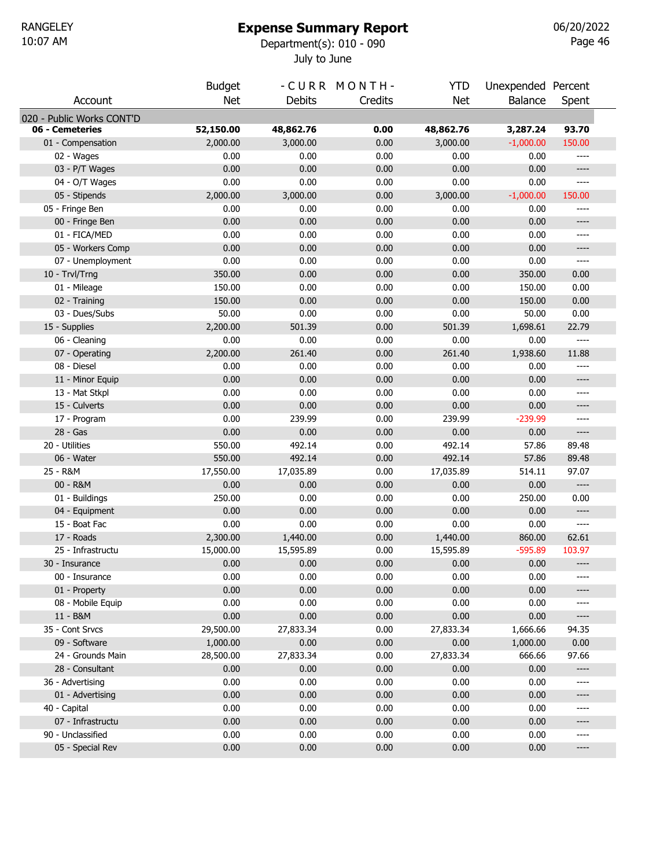#### Expense Summary Report

July to June 10:07 AM Department(s): 010 - 090

Page 46 06/20/2022

|                           | <b>Budget</b> |               | -CURR MONTH- | <b>YTD</b> | Unexpended Percent |         |
|---------------------------|---------------|---------------|--------------|------------|--------------------|---------|
| Account                   | <b>Net</b>    | <b>Debits</b> | Credits      | <b>Net</b> | Balance            | Spent   |
| 020 - Public Works CONT'D |               |               |              |            |                    |         |
| 06 - Cemeteries           | 52,150.00     | 48,862.76     | 0.00         | 48,862.76  | 3,287.24           | 93.70   |
| 01 - Compensation         | 2,000.00      | 3,000.00      | 0.00         | 3,000.00   | $-1,000.00$        | 150.00  |
| 02 - Wages                | 0.00          | 0.00          | 0.00         | 0.00       | 0.00               | ----    |
| 03 - P/T Wages            | 0.00          | 0.00          | 0.00         | 0.00       | 0.00               | $-----$ |
| 04 - O/T Wages            | 0.00          | 0.00          | 0.00         | 0.00       | 0.00               | $---$   |
| 05 - Stipends             | 2,000.00      | 3,000.00      | 0.00         | 3,000.00   | $-1,000.00$        | 150.00  |
| 05 - Fringe Ben           | 0.00          | 0.00          | 0.00         | 0.00       | 0.00               | ----    |
| 00 - Fringe Ben           | 0.00          | 0.00          | 0.00         | 0.00       | 0.00               | $-----$ |
| 01 - FICA/MED             | 0.00          | 0.00          | 0.00         | 0.00       | 0.00               | ----    |
| 05 - Workers Comp         | 0.00          | 0.00          | 0.00         | 0.00       | 0.00               | ----    |
| 07 - Unemployment         | 0.00          | 0.00          | 0.00         | 0.00       | 0.00               | ----    |
| 10 - Trvl/Trng            | 350.00        | 0.00          | 0.00         | 0.00       | 350.00             | 0.00    |
| 01 - Mileage              | 150.00        | 0.00          | 0.00         | 0.00       | 150.00             | 0.00    |
| 02 - Training             | 150.00        | 0.00          | 0.00         | 0.00       | 150.00             | 0.00    |
| 03 - Dues/Subs            | 50.00         | 0.00          | 0.00         | 0.00       | 50.00              | 0.00    |
| 15 - Supplies             | 2,200.00      | 501.39        | 0.00         | 501.39     | 1,698.61           | 22.79   |
| 06 - Cleaning             | 0.00          | 0.00          | 0.00         | 0.00       | 0.00               | $---$   |
| 07 - Operating            | 2,200.00      | 261.40        | 0.00         | 261.40     | 1,938.60           | 11.88   |
| 08 - Diesel               | 0.00          | 0.00          | 0.00         | 0.00       | 0.00               | ----    |
| 11 - Minor Equip          | 0.00          | 0.00          | 0.00         | 0.00       | 0.00               | $-----$ |
| 13 - Mat Stkpl            | 0.00          | 0.00          | 0.00         | 0.00       | 0.00               | ----    |
| 15 - Culverts             | 0.00          | 0.00          | 0.00         | 0.00       | 0.00               | $-----$ |
| 17 - Program              | 0.00          | 239.99        | 0.00         | 239.99     | $-239.99$          | ----    |
| 28 - Gas                  | 0.00          | 0.00          | 0.00         | 0.00       | 0.00               | ----    |
| 20 - Utilities            | 550.00        | 492.14        | 0.00         | 492.14     | 57.86              | 89.48   |
| 06 - Water                | 550.00        | 492.14        | 0.00         | 492.14     | 57.86              | 89.48   |
| 25 - R&M                  | 17,550.00     | 17,035.89     | 0.00         | 17,035.89  | 514.11             | 97.07   |
| 00 - R&M                  | 0.00          | 0.00          | 0.00         | 0.00       | 0.00               | ----    |
| 01 - Buildings            | 250.00        | 0.00          | 0.00         | 0.00       | 250.00             | 0.00    |
| 04 - Equipment            | 0.00          | 0.00          | 0.00         | 0.00       | 0.00               | ----    |
| 15 - Boat Fac             | 0.00          | 0.00          | 0.00         | 0.00       | 0.00               | ----    |
| 17 - Roads                | 2,300.00      | 1,440.00      | 0.00         | 1,440.00   | 860.00             | 62.61   |
| 25 - Infrastructu         | 15,000.00     | 15,595.89     | 0.00         | 15,595.89  | $-595.89$          | 103.97  |
| 30 - Insurance            | 0.00          | 0.00          | 0.00         | 0.00       | 0.00               | ----    |
| 00 - Insurance            | 0.00          | 0.00          | 0.00         | 0.00       | 0.00               | ----    |
| 01 - Property             | 0.00          | 0.00          | 0.00         | 0.00       | 0.00               | ----    |
| 08 - Mobile Equip         | 0.00          | 0.00          | 0.00         | 0.00       | 0.00               | ----    |
| 11 - B&M                  | 0.00          | 0.00          | 0.00         | 0.00       | 0.00               | ----    |
| 35 - Cont Srvcs           | 29,500.00     | 27,833.34     | 0.00         | 27,833.34  | 1,666.66           | 94.35   |
| 09 - Software             | 1,000.00      | 0.00          | 0.00         | 0.00       | 1,000.00           | 0.00    |
| 24 - Grounds Main         | 28,500.00     | 27,833.34     | 0.00         | 27,833.34  | 666.66             | 97.66   |
| 28 - Consultant           | 0.00          | 0.00          | 0.00         | 0.00       | 0.00               | ----    |
| 36 - Advertising          | 0.00          | 0.00          | 0.00         | 0.00       | 0.00               | ----    |
| 01 - Advertising          | 0.00          | 0.00          | 0.00         | 0.00       | 0.00               | ----    |
| 40 - Capital              | 0.00          | 0.00          | 0.00         | 0.00       | 0.00               | ----    |
| 07 - Infrastructu         | 0.00          | 0.00          | 0.00         | 0.00       | 0.00               | ----    |
| 90 - Unclassified         | 0.00          | 0.00          | 0.00         | 0.00       | 0.00               | ----    |
| 05 - Special Rev          | 0.00          | 0.00          | 0.00         | 0.00       | 0.00               | ----    |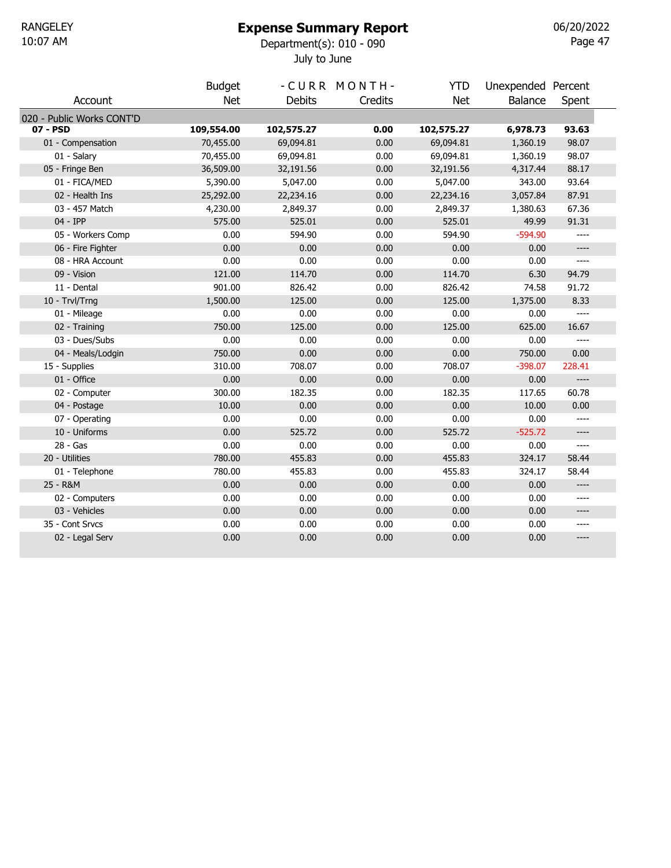### Expense Summary Report

July to June 10:07 AM Department(s): 010 - 090

Page 47 06/20/2022

|                           | <b>Budget</b> |               | -CURR MONTH- | <b>YTD</b> | Unexpended Percent |        |  |
|---------------------------|---------------|---------------|--------------|------------|--------------------|--------|--|
| Account                   | <b>Net</b>    | <b>Debits</b> | Credits      | <b>Net</b> | <b>Balance</b>     | Spent  |  |
| 020 - Public Works CONT'D |               |               |              |            |                    |        |  |
| 07 - PSD                  | 109,554.00    | 102,575.27    | 0.00         | 102,575.27 | 6,978.73           | 93.63  |  |
| 01 - Compensation         | 70,455.00     | 69,094.81     | 0.00         | 69,094.81  | 1,360.19           | 98.07  |  |
| 01 - Salary               | 70,455.00     | 69,094.81     | 0.00         | 69,094.81  | 1,360.19           | 98.07  |  |
| 05 - Fringe Ben           | 36,509.00     | 32,191.56     | 0.00         | 32,191.56  | 4,317.44           | 88.17  |  |
| 01 - FICA/MED             | 5,390.00      | 5,047.00      | 0.00         | 5,047.00   | 343.00             | 93.64  |  |
| 02 - Health Ins           | 25,292.00     | 22,234.16     | 0.00         | 22,234.16  | 3,057.84           | 87.91  |  |
| 03 - 457 Match            | 4,230.00      | 2,849.37      | 0.00         | 2,849.37   | 1,380.63           | 67.36  |  |
| 04 - IPP                  | 575.00        | 525.01        | 0.00         | 525.01     | 49.99              | 91.31  |  |
| 05 - Workers Comp         | 0.00          | 594.90        | 0.00         | 594.90     | $-594.90$          |        |  |
| 06 - Fire Fighter         | 0.00          | 0.00          | 0.00         | 0.00       | 0.00               | ----   |  |
| 08 - HRA Account          | 0.00          | 0.00          | 0.00         | 0.00       | 0.00               | $---$  |  |
| 09 - Vision               | 121.00        | 114.70        | 0.00         | 114.70     | 6.30               | 94.79  |  |
| 11 - Dental               | 901.00        | 826.42        | 0.00         | 826.42     | 74.58              | 91.72  |  |
| 10 - Trvl/Trng            | 1,500.00      | 125.00        | 0.00         | 125.00     | 1,375.00           | 8.33   |  |
| 01 - Mileage              | 0.00          | 0.00          | 0.00         | 0.00       | 0.00               | $---$  |  |
| 02 - Training             | 750.00        | 125.00        | 0.00         | 125.00     | 625.00             | 16.67  |  |
| 03 - Dues/Subs            | 0.00          | 0.00          | 0.00         | 0.00       | 0.00               | $---$  |  |
| 04 - Meals/Lodgin         | 750.00        | 0.00          | 0.00         | 0.00       | 750.00             | 0.00   |  |
| 15 - Supplies             | 310.00        | 708.07        | 0.00         | 708.07     | $-398.07$          | 228.41 |  |
| 01 - Office               | 0.00          | 0.00          | 0.00         | 0.00       | 0.00               | $---$  |  |
| 02 - Computer             | 300.00        | 182.35        | 0.00         | 182.35     | 117.65             | 60.78  |  |
| 04 - Postage              | 10.00         | 0.00          | 0.00         | 0.00       | 10.00              | 0.00   |  |
| 07 - Operating            | 0.00          | 0.00          | 0.00         | 0.00       | 0.00               | ----   |  |
| 10 - Uniforms             | 0.00          | 525.72        | 0.00         | 525.72     | $-525.72$          | $---$  |  |
| 28 - Gas                  | 0.00          | 0.00          | 0.00         | 0.00       | 0.00               | $---$  |  |
| 20 - Utilities            | 780.00        | 455.83        | 0.00         | 455.83     | 324.17             | 58.44  |  |
| 01 - Telephone            | 780.00        | 455.83        | 0.00         | 455.83     | 324.17             | 58.44  |  |
| 25 - R&M                  | 0.00          | 0.00          | 0.00         | 0.00       | 0.00               | ----   |  |
| 02 - Computers            | 0.00          | 0.00          | 0.00         | 0.00       | 0.00               | ----   |  |
| 03 - Vehicles             | 0.00          | 0.00          | 0.00         | 0.00       | 0.00               | ----   |  |
| 35 - Cont Srvcs           | 0.00          | 0.00          | 0.00         | 0.00       | 0.00               | ----   |  |
| 02 - Legal Serv           | 0.00          | 0.00          | 0.00         | 0.00       | 0.00               | $---$  |  |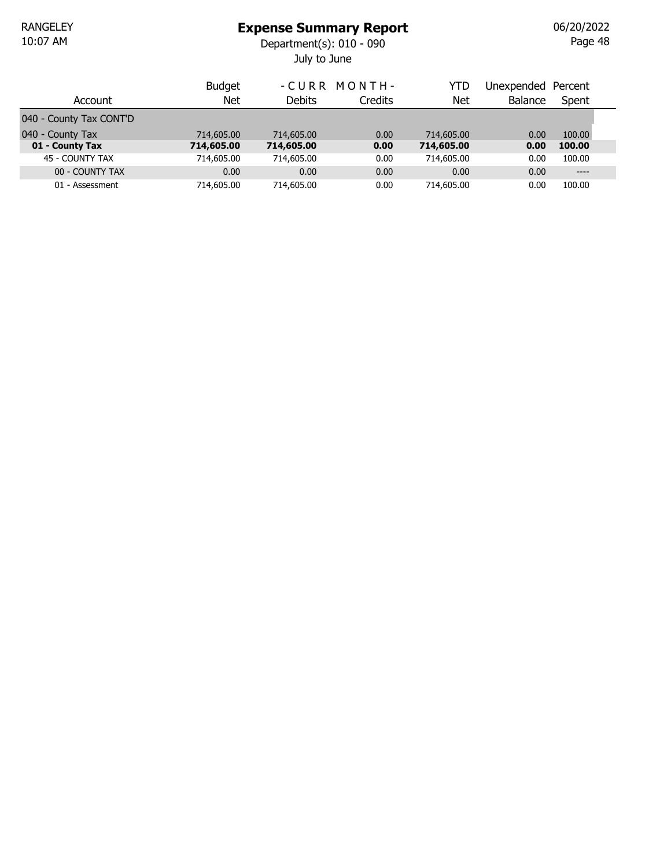July to June 10:07 AM Department(s): 010 - 090

|                         | <b>Budget</b> |               | -CURR MONTH-   | YTD        | Unexpended     | Percent |  |
|-------------------------|---------------|---------------|----------------|------------|----------------|---------|--|
| Account                 | <b>Net</b>    | <b>Debits</b> | <b>Credits</b> | Net        | <b>Balance</b> | Spent   |  |
| 040 - County Tax CONT'D |               |               |                |            |                |         |  |
| 040 - County Tax        | 714,605.00    | 714,605.00    | 0.00           | 714,605,00 | 0.00           | 100.00  |  |
| 01 - County Tax         | 714,605.00    | 714,605.00    | 0.00           | 714,605.00 | 0.00           | 100.00  |  |
| 45 - COUNTY TAX         | 714,605.00    | 714,605.00    | 0.00           | 714,605.00 | 0.00           | 100.00  |  |
| 00 - COUNTY TAX         | 0.00          | 0.00          | 0.00           | 0.00       | 0.00           | $---$   |  |
| 01 - Assessment         | 714,605.00    | 714,605.00    | 0.00           | 714,605.00 | 0.00           | 100.00  |  |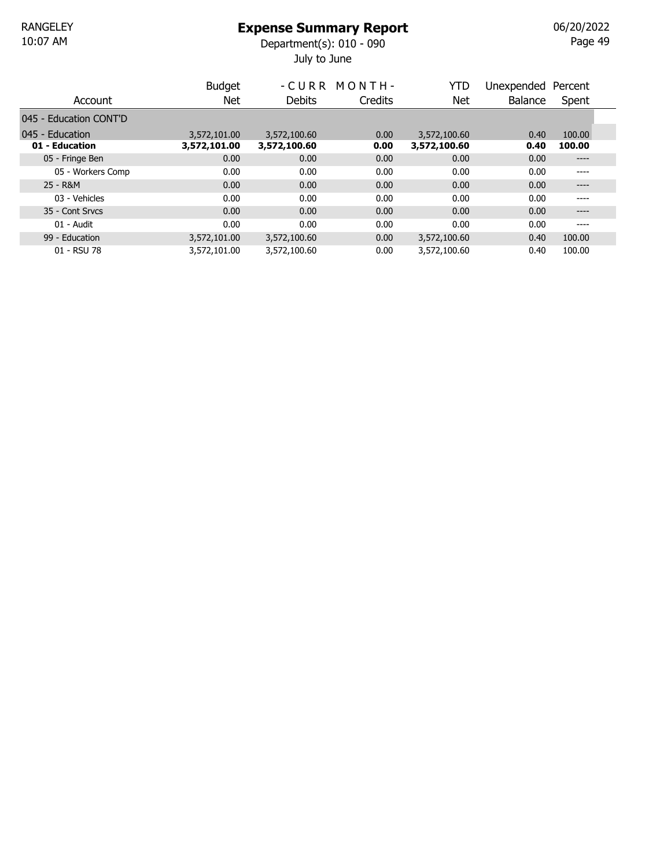July to June 10:07 AM Department(s): 010 - 090

Page 49 06/20/2022

|                        | <b>Budget</b> |               | -CURR MONTH- | YTD          | Unexpended     | Percent |  |
|------------------------|---------------|---------------|--------------|--------------|----------------|---------|--|
| Account                | Net           | <b>Debits</b> | Credits      | Net          | <b>Balance</b> | Spent   |  |
| 045 - Education CONT'D |               |               |              |              |                |         |  |
| 045 - Education        | 3,572,101.00  | 3,572,100.60  | 0.00         | 3,572,100.60 | 0.40           | 100.00  |  |
| 01 - Education         | 3,572,101.00  | 3,572,100.60  | 0.00         | 3,572,100.60 | 0.40           | 100.00  |  |
| 05 - Fringe Ben        | 0.00          | 0.00          | 0.00         | 0.00         | 0.00           | $---$   |  |
| 05 - Workers Comp      | 0.00          | 0.00          | 0.00         | 0.00         | 0.00           | ----    |  |
| 25 - R&M               | 0.00          | 0.00          | 0.00         | 0.00         | 0.00           | ----    |  |
| 03 - Vehicles          | 0.00          | 0.00          | 0.00         | 0.00         | 0.00           | ----    |  |
| 35 - Cont Srvcs        | 0.00          | 0.00          | 0.00         | 0.00         | 0.00           | ----    |  |
| 01 - Audit             | 0.00          | 0.00          | 0.00         | 0.00         | 0.00           | ----    |  |
| 99 - Education         | 3,572,101.00  | 3,572,100.60  | 0.00         | 3,572,100.60 | 0.40           | 100.00  |  |
| 01 - RSU 78            | 3,572,101.00  | 3,572,100.60  | 0.00         | 3,572,100.60 | 0.40           | 100.00  |  |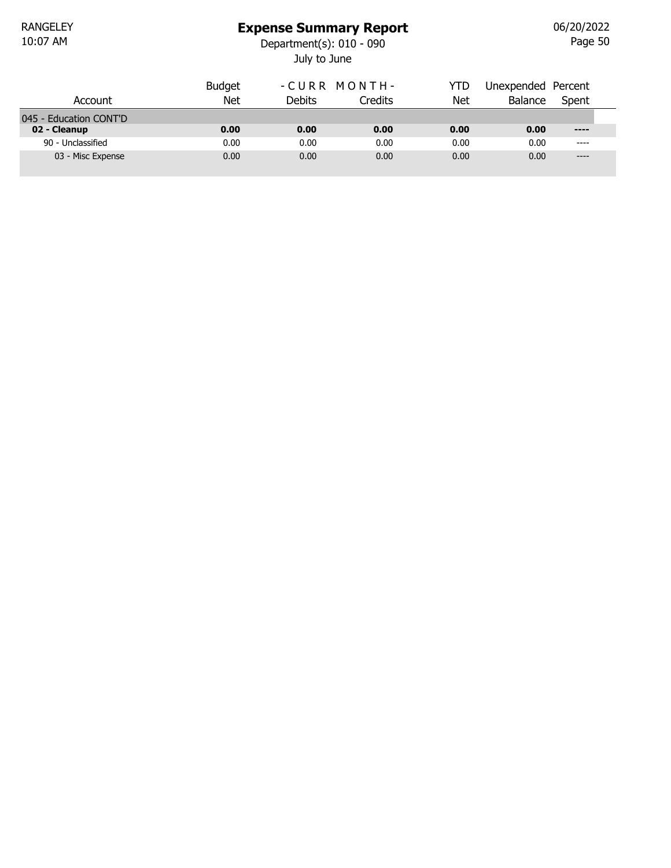### Expense Summary Report

July to June 10:07 AM Department(s): 010 - 090

Page 50 06/20/2022

|                        | <b>Budget</b> | -CURR MONTH-  |                | YTD  | Unexpended Percent |       |  |
|------------------------|---------------|---------------|----------------|------|--------------------|-------|--|
| Account                | Net           | <b>Debits</b> | <b>Credits</b> | Net  | <b>Balance</b>     | Spent |  |
| 045 - Education CONT'D |               |               |                |      |                    |       |  |
| 02 - Cleanup           | 0.00          | 0.00          | 0.00           | 0.00 | 0.00               | $---$ |  |
| 90 - Unclassified      | 0.00          | 0.00          | 0.00           | 0.00 | 0.00               | $---$ |  |
| 03 - Misc Expense      | 0.00          | 0.00          | 0.00           | 0.00 | 0.00               | $---$ |  |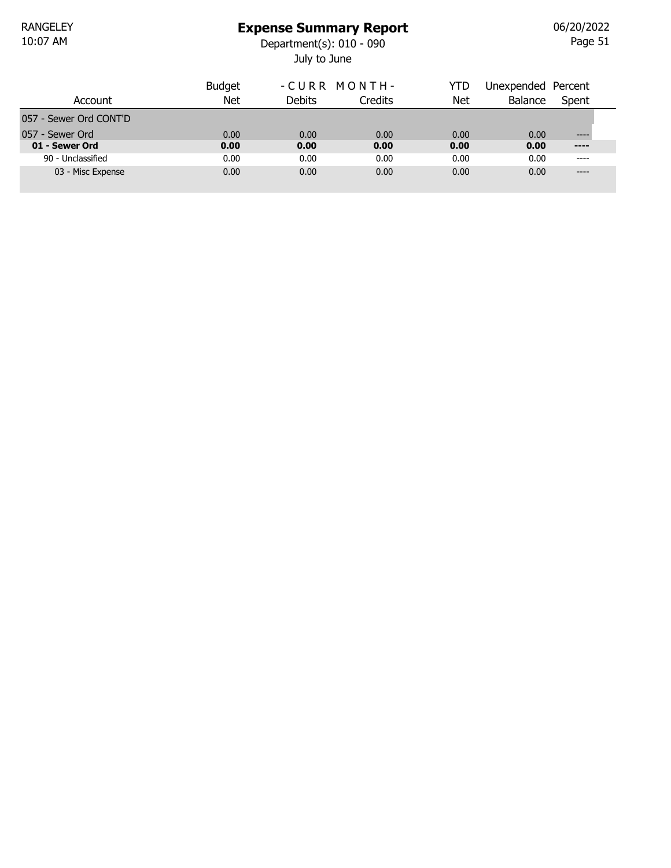## Expense Summary Report

July to June 10:07 AM Department(s): 010 - 090

Page 51 06/20/2022

| Account                           | <b>Budget</b><br>Net | -CURR MONTH-<br>Debits | Credits      | YTD<br>Net   | Unexpended Percent<br>Balance | Spent                 |
|-----------------------------------|----------------------|------------------------|--------------|--------------|-------------------------------|-----------------------|
| 057 - Sewer Ord CONT'D            |                      |                        |              |              |                               |                       |
| 057 - Sewer Ord<br>01 - Sewer Ord | 0.00<br>0.00         | 0.00<br>0.00           | 0.00<br>0.00 | 0.00<br>0.00 | 0.00<br>0.00                  | $- - - -$<br>$\cdots$ |
| 90 - Unclassified                 | 0.00                 | 0.00                   | 0.00         | 0.00         | 0.00                          | ----                  |
| 03 - Misc Expense                 | 0.00                 | 0.00                   | 0.00         | 0.00         | 0.00                          | $---$                 |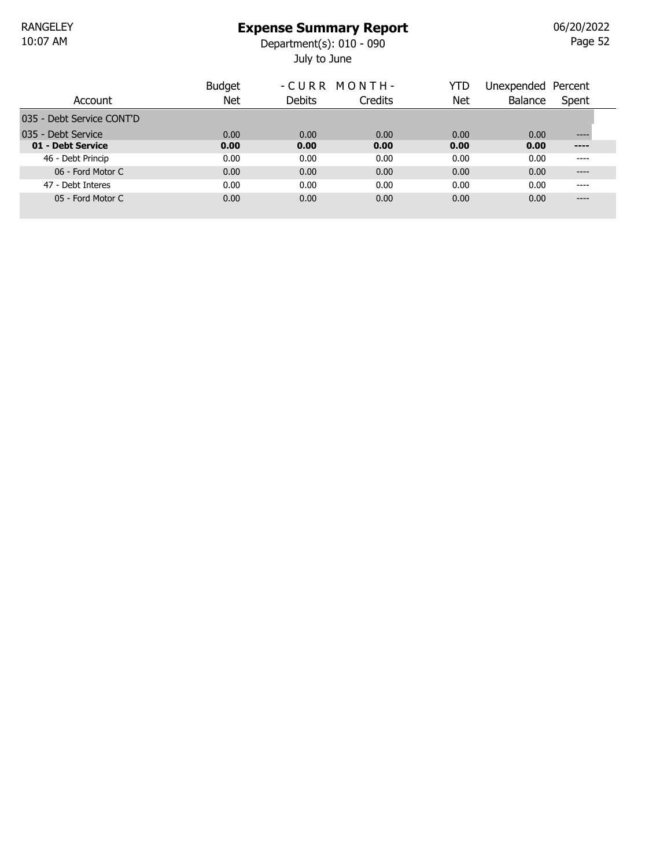July to June 10:07 AM Department(s): 010 - 090

Page 52 06/20/2022

|                           | <b>Budget</b> |        | -CURR MONTH- | YTD  | Unexpended     | Percent |
|---------------------------|---------------|--------|--------------|------|----------------|---------|
| Account                   | Net           | Debits | Credits      | Net  | <b>Balance</b> | Spent   |
| 035 - Debt Service CONT'D |               |        |              |      |                |         |
| 035 - Debt Service        | 0.00          | 0.00   | 0.00         | 0.00 | 0.00           | ----    |
| 01 - Debt Service         | 0.00          | 0.00   | 0.00         | 0.00 | 0.00           | ----    |
| 46 - Debt Princip         | 0.00          | 0.00   | 0.00         | 0.00 | 0.00           | ----    |
| 06 - Ford Motor C         | 0.00          | 0.00   | 0.00         | 0.00 | 0.00           | ----    |
| 47 - Debt Interes         | 0.00          | 0.00   | 0.00         | 0.00 | 0.00           | ----    |
| 05 - Ford Motor C         | 0.00          | 0.00   | 0.00         | 0.00 | 0.00           | ----    |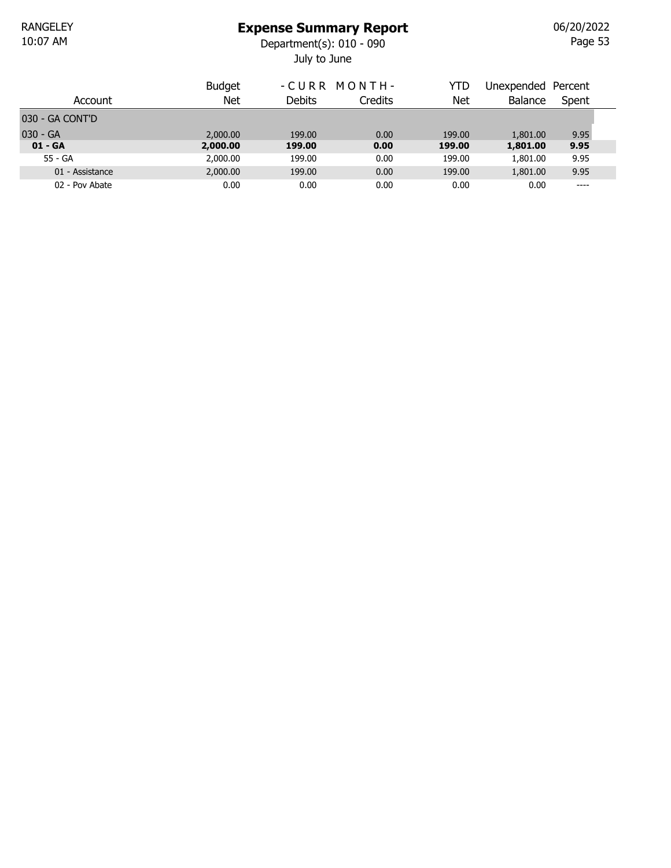July to June 10:07 AM Department(s): 010 - 090

Page 53 06/20/2022

| Account         | <b>Budget</b><br>Net | -CURR MONTH-<br><b>Debits</b> | <b>Credits</b> | YTD<br>Net | Unexpended Percent<br><b>Balance</b> | Spent |
|-----------------|----------------------|-------------------------------|----------------|------------|--------------------------------------|-------|
| 030 - GA CONT'D |                      |                               |                |            |                                      |       |
| $030 - GA$      | 2,000.00             | 199.00                        | 0.00           | 199.00     | 1,801.00                             | 9.95  |
| $01 - GA$       | 2,000.00             | 199.00                        | 0.00           | 199.00     | 1,801.00                             | 9.95  |
| 55 - GA         | 2,000.00             | 199.00                        | 0.00           | 199.00     | 1,801.00                             | 9.95  |
| 01 - Assistance | 2,000.00             | 199.00                        | 0.00           | 199.00     | 1,801.00                             | 9.95  |
| 02 - Pov Abate  | 0.00                 | 0.00                          | 0.00           | 0.00       | 0.00                                 | ----  |